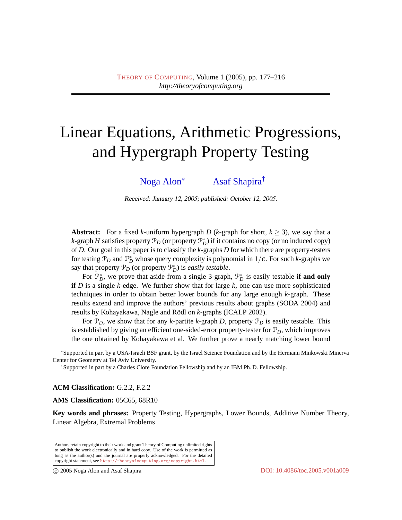# Linear Equations, Arithmetic Progressions, and Hypergraph Property Testing

[Noga Alon](#page-38-0)<sup>∗</sup> [Asaf Shapira](#page-38-1)†

Received: January 12, 2005; published: October 12, 2005.

**Abstract:** For a fixed *k*-uniform hypergraph *D* (*k*-graph for short,  $k \ge 3$ ), we say that a *k*-graph *H* satisfies property  $\mathcal{P}_D$  (or property  $\mathcal{P}_D^*$ ) if it contains no copy (or no induced copy) of *D*. Our goal in this paper is to classify the *k*-graphs *D* for which there are property-testers for testing  $\mathcal{P}_D$  and  $\mathcal{P}_D^*$  whose query complexity is polynomial in  $1/\varepsilon$ . For such *k*-graphs we say that property  $\mathcal{P}_D$  (or property  $\mathcal{P}_D^*$ ) is *easily testable*.

For  $\mathcal{P}_D^*$ , we prove that aside from a single 3-graph,  $\mathcal{P}_D^*$  is easily testable **if and only if** *D* is a single *k*-edge. We further show that for large *k*, one can use more sophisticated techniques in order to obtain better lower bounds for any large enough *k*-graph. These results extend and improve the authors' previous results about graphs (SODA 2004) and results by Kohayakawa, Nagle and Rödl on *k*-graphs (ICALP 2002).

For  $\mathcal{P}_D$ , we show that for any *k*-partite *k*-graph *D*, property  $\mathcal{P}_D$  is easily testable. This is established by giving an efficient one-sided-error property-tester for P*D*, which improves the one obtained by Kohayakawa et al. We further prove a nearly matching lower bound

**ACM Classification:** G.2.2, F.2.2

**AMS Classification:** 05C65, 68R10

**Key words and phrases:** Property Testing, Hypergraphs, Lower Bounds, Additive Number Theory, Linear Algebra, Extremal Problems

Authors retain copyright to their work and grant Theory of Computing unlimited rights to publish the work electronically and in hard copy. Use of the work is permitted as long as the author(s) and the journal are properly acknowledged. For the detailed copyright statement, see <http://theoryofcomputing.org/copyright.html>.

<sup>∗</sup>Supported in part by a USA-Israeli BSF grant, by the Israel Science Foundation and by the Hermann Minkowski Minerva Center for Geometry at Tel Aviv University.

<sup>†</sup>Supported in part by a Charles Clore Foundation Fellowship and by an IBM Ph. D. Fellowship.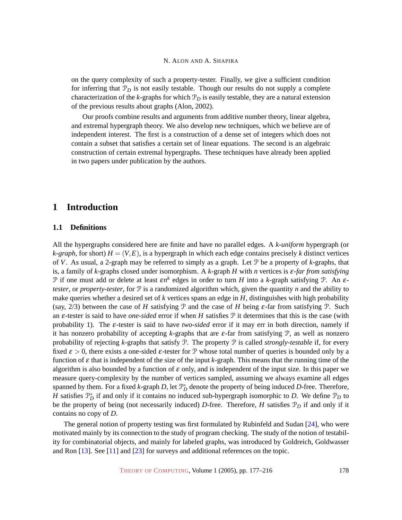on the query complexity of such a property-tester. Finally, we give a sufficient condition for inferring that  $P<sub>D</sub>$  is not easily testable. Though our results do not supply a complete characterization of the *k*-graphs for which  $P_D$  is easily testable, they are a natural extension of the previous results about graphs (Alon, 2002).

Our proofs combine results and arguments from additive number theory, linear algebra, and extremal hypergraph theory. We also develop new techniques, which we believe are of independent interest. The first is a construction of a dense set of integers which does not contain a subset that satisfies a certain set of linear equations. The second is an algebraic construction of certain extremal hypergraphs. These techniques have already been applied in two papers under publication by the authors.

# **1 Introduction**

## <span id="page-1-0"></span>**1.1 Definitions**

All the hypergraphs considered here are finite and have no parallel edges. A *k-uniform* hypergraph (or *k*-graph, for short)  $H = (V, E)$ , is a hypergraph in which each edge contains precisely *k* distinct vertices of *V*. As usual, a 2-graph may be referred to simply as a graph. Let P be a property of *k*-graphs, that is, a family of *k*-graphs closed under isomorphism. A *k*-graph *H* with *n* vertices is ε*-far from satisfying*  $\mathcal{P}$  if one must add or delete at least  $\epsilon n^k$  edges in order to turn *H* into a *k*-graph satisfying  $\mathcal{P}$ . An  $\epsilon$ *tester*, or *property-tester*, for  $P$  is a randomized algorithm which, given the quantity *n* and the ability to make queries whether a desired set of *k* vertices spans an edge in *H*, distinguishes with high probability (say,  $2/3$ ) between the case of *H* satisfying  $\mathcal P$  and the case of *H* being  $\varepsilon$ -far from satisfying  $\mathcal P$ . Such an ε-tester is said to have *one-sided* error if when *H* satisfies P it determines that this is the case (with probability 1). The ε-tester is said to have *two-sided* error if it may err in both direction, namely if it has nonzero probability of accepting *k*-graphs that are ε-far from satisfying P, as well as nonzero probability of rejecting *k*-graphs that satisfy P. The property P is called *strongly-testable* if, for every fixed  $\varepsilon > 0$ , there exists a one-sided  $\varepsilon$ -tester for P whose total number of queries is bounded only by a function of  $\varepsilon$  that is independent of the size of the input *k*-graph. This means that the running time of the algorithm is also bounded by a function of  $\varepsilon$  only, and is independent of the input size. In this paper we measure query-complexity by the number of vertices sampled, assuming we always examine all edges spanned by them. For a fixed *k*-graph *D*, let  $\mathcal{P}_D^*$  denote the property of being induced *D*-free. Therefore, *H* satisfies  $\mathcal{P}_D^*$  if and only if it contains no induced sub-hypergraph isomorphic to *D*. We define  $\mathcal{P}_D$  to be the property of being (not necessarily induced) *D*-free. Therefore, *H* satisfies P*<sup>D</sup>* if and only if it contains no copy of *D*.

The general notion of property testing was first formulated by Rubinfeld and Sudan [\[24\]](#page-38-2), who were motivated mainly by its connection to the study of program checking. The study of the notion of testability for combinatorial objects, and mainly for labeled graphs, was introduced by Goldreich, Goldwasser and Ron [\[13\]](#page-37-0). See [\[11\]](#page-37-1) and [\[23\]](#page-38-3) for surveys and additional references on the topic.

THEORY OF C[OMPUTING](http://dx.doi.org/10.4086/toc), Volume 1 (2005), pp. 177–216 178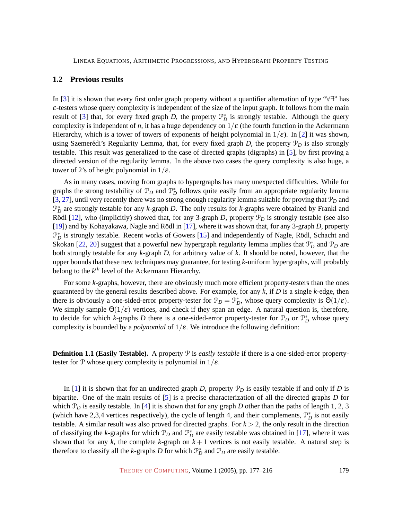## <span id="page-2-1"></span>**1.2 Previous results**

In [\[3\]](#page-36-0) it is shown that every first order graph property without a quantifier alternation of type "∀∃" has ε-testers whose query complexity is independent of the size of the input graph. It follows from the main result of [\[3\]](#page-36-0) that, for every fixed graph *D*, the property  $\mathcal{P}_D^*$  is strongly testable. Although the query complexity is independent of *n*, it has a huge dependency on  $1/\varepsilon$  (the fourth function in the Ackermann Hierarchy, which is a tower of towers of exponents of height polynomial in  $1/\varepsilon$ ). In [\[2\]](#page-36-1) it was shown, using Szemerédi's Regularity Lemma, that, for every fixed graph  $D$ , the property  $\mathcal{P}_D$  is also strongly testable. This result was generalized to the case of directed graphs (digraphs) in [\[5\]](#page-36-2), by first proving a directed version of the regularity lemma. In the above two cases the query complexity is also huge, a tower of 2's of height polynomial in  $1/\varepsilon$ .

As in many cases, moving from graphs to hypergraphs has many unexpected difficulties. While for graphs the strong testability of  $\mathcal{P}_D$  and  $\mathcal{P}_D^*$  follows quite easily from an appropriate regularity lemma [\[3,](#page-36-0) [27\]](#page-38-4), until very recently there was no strong enough regularity lemma suitable for proving that P*<sup>D</sup>* and P ∗ *D* are strongly testable for any *k*-graph *D*. The only results for *k*-graphs were obtained by Frankl and Rödl [[12\]](#page-37-2), who (implicitly) showed that, for any 3-graph *D*, property  $\mathcal{P}_D$  is strongly testable (see also [\[19\]](#page-37-3)) and by Kohayakawa, Nagle and Rödl in [[17\]](#page-37-4), where it was shown that, for any 3-graph *D*, property  $\mathcal{P}_{D}^{*}$  is strongly testable. Recent works of Gowers [\[15\]](#page-37-5) and independently of Nagle, Rödl, Schacht and Skokan [\[22,](#page-37-6) [20\]](#page-37-7) suggest that a powerful new hypergraph regularity lemma implies that  $\mathcal{P}_D^*$  and  $\mathcal{P}_D$  are both strongly testable for any *k*-graph *D*, for arbitrary value of *k*. It should be noted, however, that the upper bounds that these new techniques may guarantee, for testing *k*-uniform hypergraphs, will probably belong to the *k th* level of the Ackermann Hierarchy.

For some *k*-graphs, however, there are obviously much more efficient property-testers than the ones guaranteed by the general results described above. For example, for any *k*, if *D* is a single *k*-edge, then there is obviously a one-sided-error property-tester for  $\mathcal{P}_D = \mathcal{P}_D^*$ , whose query complexity is  $\Theta(1/\varepsilon)$ . We simply sample  $\Theta(1/\varepsilon)$  vertices, and check if they span an edge. A natural question is, therefore, to decide for which *k*-graphs *D* there is a one-sided-error property-tester for  $\mathcal{P}_D$  or  $\mathcal{P}_D^*$  whose query complexity is bounded by a *polynomial* of  $1/\varepsilon$ . We introduce the following definition:

<span id="page-2-0"></span>**Definition 1.1 (Easily Testable).** A property  $P$  is *easily testable* if there is a one-sided-error propertytester for P whose query complexity is polynomial in  $1/\varepsilon$ .

In [\[1\]](#page-36-3) it is shown that for an undirected graph *D*, property  $\mathcal{P}_D$  is easily testable if and only if *D* is bipartite. One of the main results of [\[5\]](#page-36-2) is a precise characterization of all the directed graphs *D* for which  $\mathcal{P}_D$  is easily testable. In [\[4\]](#page-36-4) it is shown that for any graph *D* other than the paths of length 1, 2, 3 (which have 2,3,4 vertices respectively), the cycle of length 4, and their complements,  $\mathcal{P}_D^*$  is not easily testable. A similar result was also proved for directed graphs. For  $k > 2$ , the only result in the direction of classifying the *k*-graphs for which  $\mathcal{P}_D$  and  $\mathcal{P}_D^*$  are easily testable was obtained in [\[17\]](#page-37-4), where it was shown that for any  $k$ , the complete  $k$ -graph on  $k + 1$  vertices is not easily testable. A natural step is therefore to classify all the *k*-graphs *D* for which  $\mathcal{P}_D^*$  and  $\mathcal{P}_D$  are easily testable.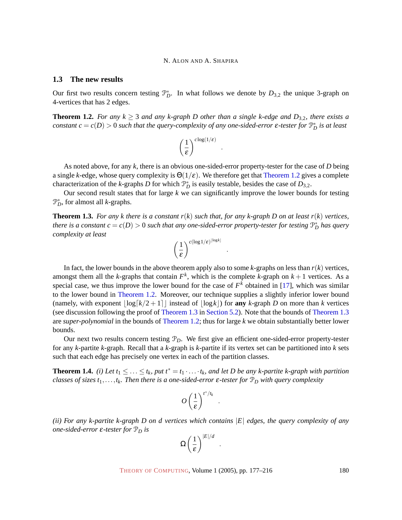## **1.3 The new results**

Our first two results concern testing  $\mathcal{P}_D^*$ . In what follows we denote by  $D_{3,2}$  the unique 3-graph on 4-vertices that has 2 edges.

<span id="page-3-0"></span>**Theorem 1.2.** *For any k*  $\geq$  3 *and any k-graph D other than a single k-edge and D*<sub>3,2</sub>*, there exists a constant*  $c = c(D) > 0$  *such that the query-complexity of any one-sided-error*  $\varepsilon$ *-tester for*  $\mathbb{P}_D^*$  *is at least* 

$$
\left(\frac{1}{\epsilon}\right)^{c\log(1/\epsilon)}
$$

.

.

As noted above, for any *k*, there is an obvious one-sided-error property-tester for the case of *D* being a single *k*-edge, whose query complexity is  $\Theta(1/\epsilon)$ . We therefore get that [Theorem 1.2](#page-3-0) gives a complete characterization of the *k*-graphs *D* for which  $\mathcal{P}_D^*$  is easily testable, besides the case of  $D_{3,2}$ .

Our second result states that for large *k* we can significantly improve the lower bounds for testing P ∗ *D* , for almost all *k*-graphs.

<span id="page-3-1"></span>**Theorem 1.3.** For any k there is a constant  $r(k)$  such that, for any k-graph D on at least  $r(k)$  vertices, *there is a constant*  $c = c(D) > 0$  *such that any one-sided-error property-tester for testing*  $\mathbb{P}_D^*$  *has query complexity at least*

$$
\left(\frac{1}{\epsilon}\right)^{c(\log 1/\epsilon)^{\lfloor \log k \rfloor}}
$$

In fact, the lower bounds in the above theorem apply also to some  $k$ -graphs on less than  $r(k)$  vertices, amongst them all the *k*-graphs that contain  $F^k$ , which is the complete *k*-graph on  $k+1$  vertices. As a special case, we thus improve the lower bound for the case of  $F<sup>k</sup>$  obtained in [\[17\]](#page-37-4), which was similar to the lower bound in [Theorem 1.2.](#page-3-0) Moreover, our technique supplies a slightly inferior lower bound (namely, with exponent  $\log[k/2 + 1]$  instead of  $\log(k)$  for any *k*-graph *D* on more than *k* vertices (see discussion following the proof of [Theorem 1.3](#page-3-1) in Section [5.2\). Note that the bounds of](#page-26-0) [Theorem 1.3](#page-3-1) are *super-polynomial* in the bounds of [Theorem 1.2;](#page-3-0) thus for large *k* we obtain substantially better lower bounds.

Our next two results concern testing P*D*. We first give an efficient one-sided-error property-tester for any *k*-partite *k*-graph. Recall that a *k*-graph is *k*-partite if its vertex set can be partitioned into *k* sets such that each edge has precisely one vertex in each of the partition classes.

<span id="page-3-2"></span>**Theorem 1.4.** *(i)* Let  $t_1 \leq \ldots \leq t_k$ , put  $t^* = t_1 \cdot \ldots \cdot t_k$ , and let D be any k-partite k-graph with partition *classes of sizes t*1,...,*tk. Then there is a one-sided-error* ε*-tester for* P*<sup>D</sup> with query complexity*

$$
O\left(\frac{1}{\varepsilon}\right)^{t^*/t_k}
$$

.

.

*(ii) For any k-partite k-graph D on d vertices which contains* |*E*| *edges, the query complexity of any one-sided-error*  $\varepsilon$ -tester for  $\mathcal{P}_D$  *is* 

$$
\Omega\left(\frac{1}{\varepsilon}\right)^{|E|/d}
$$

THEORY OF C[OMPUTING](http://dx.doi.org/10.4086/toc), Volume 1 (2005), pp. 177–216 180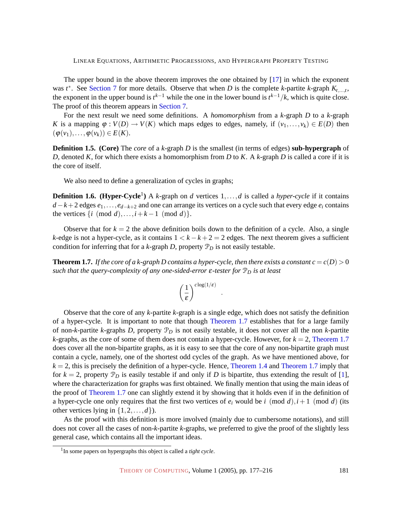The upper bound in the above theorem improves the one obtained by [\[17\]](#page-37-4) in which the exponent was  $t^*$ . See Section [7](#page-33-0) [for more details. Observe that when](#page-33-0) *D* is the complete *k*-partite *k*-graph  $K_{t,\dots,t}$ , the exponent in the upper bound is  $t^{k-1}$  while the one in the lower bound is  $t^{k-1}/k$ , which is quite close. The proof of this theorem appears in [Section](#page-33-0) [7.](#page-33-0)

For the next result we need some definitions. A *homomorphism* from a *k*-graph *D* to a *k*-graph *K* is a mapping  $\varphi : V(D) \to V(K)$  which maps edges to edges, namely, if  $(v_1, \ldots, v_k) \in E(D)$  then  $(\varphi(v_1), \ldots, \varphi(v_k)) \in E(K).$ 

<span id="page-4-1"></span>**Definition 1.5. (Core)** The *core* of a *k*-graph *D* is the smallest (in terms of edges) **sub-hypergraph** of *D*, denoted *K*, for which there exists a homomorphism from *D* to *K*. A *k*-graph *D* is called a core if it is the core of itself.

We also need to define a generalization of cycles in graphs;

<span id="page-4-2"></span>**Definition 1.6.** (Hyper-Cycle<sup>1</sup>) A *k*-graph on *d* vertices 1,...,*d* is called a *hyper-cycle* if it contains *d* −*k*+2 edges *e*1,...,*ed*−*k*+<sup>2</sup> and one can arrange its vertices on a cycle such that every edge *e<sup>i</sup>* contains the vertices  $\{i \pmod{d}, \ldots, i+k-1 \pmod{d}\}.$ 

Observe that for  $k = 2$  the above definition boils down to the definition of a cycle. Also, a single *k*-edge is not a hyper-cycle, as it contains  $1 < k - k + 2 = 2$  edges. The next theorem gives a sufficient condition for inferring that for a  $k$ -graph  $D$ , property  $\mathcal{P}_D$  is not easily testable.

<span id="page-4-0"></span>**Theorem 1.7.** *If the core of a k-graph D contains a hyper-cycle, then there exists a constant*  $c = c(D) > 0$ *such that the query-complexity of any one-sided-error* ε*-tester for* P*<sup>D</sup> is at least*

$$
\left(\frac{1}{\epsilon}\right)^{c\log(1/\epsilon)}
$$

.

Observe that the core of any *k*-partite *k*-graph is a single edge, which does not satisfy the definition of a hyper-cycle. It is important to note that though [Theorem 1.7](#page-4-0) establishes that for a large family of non-*k*-partite *k*-graphs *D*, property P*<sup>D</sup>* is not easily testable, it does not cover all the non *k*-partite  $k$ -graphs, as the core of some of them does not contain a hyper-cycle. However, for  $k = 2$ , [Theorem 1.7](#page-4-0) does cover all the non-bipartite graphs, as it is easy to see that the core of any non-bipartite graph must contain a cycle, namely, one of the shortest odd cycles of the graph. As we have mentioned above, for  $k = 2$ , this is precisely the definition of a hyper-cycle. Hence, [Theorem 1.4](#page-3-2) and [Theorem 1.7](#page-4-0) imply that for  $k = 2$ , property  $\mathcal{P}_D$  is easily testable if and only if *D* is bipartite, thus extending the result of [\[1\]](#page-36-3), where the characterization for graphs was first obtained. We finally mention that using the main ideas of the proof of [Theorem 1.7](#page-4-0) one can slightly extend it by showing that it holds even if in the definition of a hyper-cycle one only requires that the first two vertices of  $e_i$  would be *i* (mod *d*),  $i+1$  (mod *d*) (its other vertices lying in  $\{1, 2, \ldots, d\}$ .

As the proof with this definition is more involved (mainly due to cumbersome notations), and still does not cover all the cases of non-*k*-partite *k*-graphs, we preferred to give the proof of the slightly less general case, which contains all the important ideas.

<sup>&</sup>lt;sup>1</sup>In some papers on hypergraphs this object is called a *tight cycle*.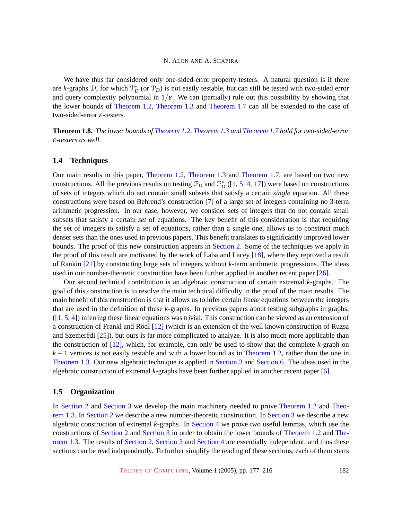We have thus far considered only one-sided-error property-testers. A natural question is if there are *k*-graphs  $D$ , for which  $\mathcal{P}_D^*$  (or  $\mathcal{P}_D$ ) is not easily testable, but can still be tested with two-sided error and query complexity polynomial in  $1/\varepsilon$ . We can (partially) rule out this possibility by showing that the lower bounds of [Theorem 1.2,](#page-3-0) [Theorem 1.3](#page-3-1) and [Theorem 1.7](#page-4-0) can all be extended to the case of two-sided-error ε-testers.

<span id="page-5-0"></span>**Theorem 1.8.** *The lower bounds of [Theorem 1.2,](#page-3-0) [Theorem 1.3](#page-3-1) and [Theorem 1.7](#page-4-0) hold for two-sided-error* ε*-testers as well.*

## <span id="page-5-1"></span>**1.4 Techniques**

Our main results in this paper, [Theorem 1.2,](#page-3-0) [Theorem 1.3](#page-3-1) and [Theorem 1.7,](#page-4-0) are based on two new constructions. All the previous results on testing  $\mathcal{P}_D$  and  $\mathcal{P}_D^*$  ([\[1,](#page-36-3) [5,](#page-36-2) [4,](#page-36-4) [17\]](#page-37-4)) were based on constructions of sets of integers which do not contain small subsets that satisfy a certain *single* equation. All these constructions were based on Behrend's construction [\[7\]](#page-36-5) of a large set of integers containing no 3-term arithmetic progression. In our case, however, we consider sets of integers that do not contain small subsets that satisfy a certain *set* of equations. The key benefit of this consideration is that requiring the set of integers to satisfy a set of equations, rather than a single one, allows us to construct much denser sets than the ones used in previous papers. This benefit translates to significantly improved lower bounds. The proof of this new construction appears in Section [2. Some of the techniques we apply in](#page-6-0) the proof of this result are motivated by the work of Laba and Lacey [\[18\]](#page-37-8), where they reproved a result of Rankin [\[21\]](#page-37-9) by constructing large sets of integers without *k*-term arithmetic progressions. The ideas used in our number-theoretic construction have been further applied in another recent paper [\[26\]](#page-38-5).

Our second technical contribution is an algebraic construction of certain extremal *k*-graphs. The goal of this construction is to resolve the main technical difficulty in the proof of the main results. The main benefit of this construction is that it allows us to infer certain linear equations between the integers that are used in the definition of these *k*-graphs. In previous papers about testing subgraphs in graphs, ([\[1,](#page-36-3) [5,](#page-36-2) [4\]](#page-36-4)) inferring these linear equations was trivial. This construction can be viewed as an extension of a construction of Frankl and Rödl [[12\]](#page-37-2) (which is an extension of the well known construction of Ruzsa and Szemerédi  $[25]$  $[25]$ ), but ours is far more complicated to analyze. It is also much more applicable than the construction of [\[12\]](#page-37-2), which, for example, can only be used to show that the complete *k*-graph on  $k+1$  vertices is not easily testable and with a lower bound as in [Theorem 1.2,](#page-3-0) rather than the one in [Theorem 1.3.](#page-3-1) Our new algebraic technique is applied in Section [3](#page-15-0) and [Section](#page-15-0) [6. The ideas used in the](#page-15-0) algebraic construction of extremal *k*-graphs have been further applied in another recent paper [\[6\]](#page-36-6).

## <span id="page-5-2"></span>**1.5 Organization**

In Section [2](#page-6-0) and [Section](#page-6-0) [3](#page-15-0) [we develop the main machinery needed to prove](#page-6-0) [Theorem 1.2](#page-3-0) and [Theo](#page-3-1)rem 1.3. In Section [2](#page-6-0) [we describe a new number-theoretic construction. In](#page-3-1) Section [3](#page-15-0) [we describe a new](#page-15-0) algebraic construction of extremal *k*-graphs. In Section [4](#page-20-0) [we prove two useful lemmas, which use the](#page-20-0) constructions of Section [2](#page-6-0) and [Section](#page-6-0) [3](#page-15-0) [in order to obtain the lower bounds of](#page-6-0) [Theorem 1.2](#page-3-0) and [The](#page-3-1)[orem 1.3. The results of](#page-3-1) Section [2,](#page-6-0) Section [3](#page-15-0) and Section [4](#page-20-0) [are essentially independent, and thus these](#page-6-0) sections can be read independently. To further simplify the reading of these sections, each of them starts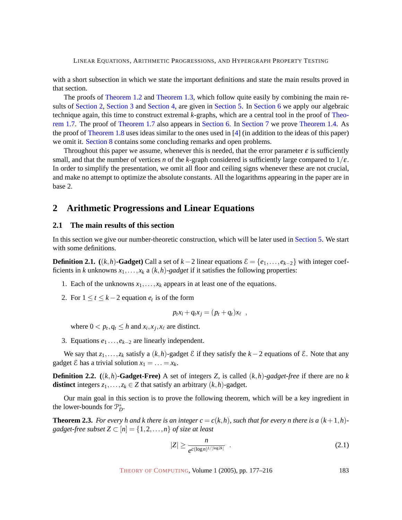with a short subsection in which we state the important definitions and state the main results proved in that section.

The proofs of [Theorem 1.2](#page-3-0) and [Theorem 1.3,](#page-3-1) which follow quite easily by combining the main results of Section [2,](#page-6-0) Section [3](#page-15-0) and Section [4, are given in](#page-6-0) Section [5.](#page-24-0) In Section [6](#page-26-1) [we apply our algebraic](#page-6-0) technique again, this time to construct extremal *k*-graphs, which are a central tool in the proof of [Theo](#page-4-0)[rem 1.7. The proof of](#page-4-0) [Theorem 1.7](#page-4-0) also appears in Section [6.](#page-26-1) In Section [7](#page-33-0) we prove [Theorem 1.4. As](#page-26-1) the proof of [Theorem 1.8](#page-5-0) uses ideas similar to the ones used in [\[4\]](#page-36-4) (in addition to the ideas of this paper) we omit it. Section [8](#page-35-0) [contains some concluding remarks and open problems.](#page-35-0)

Throughout this paper we assume, whenever this is needed, that the error parameter  $\varepsilon$  is sufficiently small, and that the number of vertices *n* of the *k*-graph considered is sufficiently large compared to  $1/\varepsilon$ . In order to simplify the presentation, we omit all floor and ceiling signs whenever these are not crucial, and make no attempt to optimize the absolute constants. All the logarithms appearing in the paper are in base 2.

# <span id="page-6-0"></span>**2 Arithmetic Progressions and Linear Equations**

## **2.1 The main results of this section**

In this section we give our number-theoretic construction, which will be later used in Section [5. We start](#page-24-0) with some definitions.

**Definition 2.1.** ((*k*,*h*)**-Gadget**) Call a set of *k*−2 linear equations  $\mathcal{E} = \{e_1, \ldots, e_{k-2}\}$  with integer coefficients in *k* unknowns  $x_1, \ldots, x_k$  a  $(k, h)$ -gadget if it satisfies the following properties:

- 1. Each of the unknowns  $x_1, \ldots, x_k$  appears in at least one of the equations.
- 2. For  $1 \le t \le k-2$  equation  $e_t$  is of the form

$$
p_t x_i + q_t x_j = (p_t + q_t) x_\ell \enspace,
$$

where  $0 < p_t, q_t \leq h$  and  $x_i, x_j, x_\ell$  are distinct.

3. Equations *e*<sup>1</sup> ...,*ek*−<sup>2</sup> are linearly independent.

We say that  $z_1, \ldots, z_k$  satisfy a  $(k, h)$ -gadget  $\mathcal E$  if they satisfy the  $k - 2$  equations of  $\mathcal E$ . Note that any gadget  $\&$  has a trivial solution  $x_1 = \ldots = x_k$ .

**Definition 2.2.**  $((k,h)$ **-Gadget-Free**) A set of integers *Z*, is called  $(k,h)$ *-gadget-free* if there are no *k* **distinct** integers  $z_1, \ldots, z_k \in Z$  that satisfy an arbitrary  $(k, h)$ -gadget.

Our main goal in this section is to prove the following theorem, which will be a key ingredient in the lower-bounds for  $\mathcal{P}_D^*$ .

<span id="page-6-1"></span>**Theorem 2.3.** For every h and k there is an integer  $c = c(k, h)$ , such that for every n there is a  $(k+1, h)$ *gadget-free subset*  $Z \subset [n] = \{1, 2, ..., n\}$  *of size at least* 

<span id="page-6-2"></span>
$$
|Z| \ge \frac{n}{e^{c(\log n)^{1/\lfloor \log 2k \rfloor}}} \quad . \tag{2.1}
$$

THEORY OF C[OMPUTING](http://dx.doi.org/10.4086/toc), Volume 1 (2005), pp. 177–216 183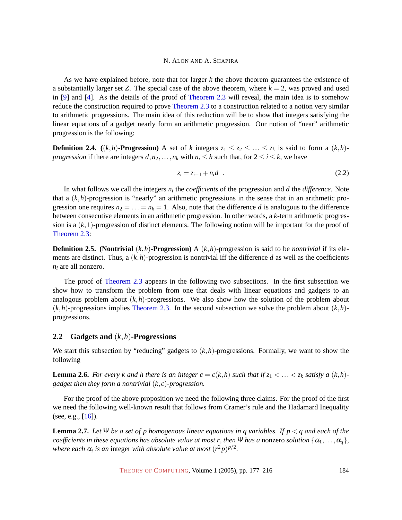As we have explained before, note that for larger *k* the above theorem guarantees the existence of a substantially larger set *Z*. The special case of the above theorem, where  $k = 2$ , was proved and used in [\[9\]](#page-37-10) and [\[4\]](#page-36-4). As the details of the proof of [Theorem 2.3](#page-6-1) will reveal, the main idea is to somehow reduce the construction required to prove [Theorem 2.3](#page-6-1) to a construction related to a notion very similar to arithmetic progressions. The main idea of this reduction will be to show that integers satisfying the linear equations of a gadget nearly form an arithmetic progression. Our notion of "near" arithmetic progression is the following:

<span id="page-7-3"></span>**Definition 2.4.** ((*k*,*h*)**-Progression**) A set of *k* integers  $z_1 \leq z_2 \leq \ldots \leq z_k$  is said to form a  $(k,h)$ *progression* if there are integers  $d, n_2, \ldots, n_k$  with  $n_i \leq h$  such that, for  $2 \leq i \leq k$ , we have

$$
z_i = z_{i-1} + n_i d \t\t(2.2)
$$

In what follows we call the integers  $n_i$  the *coefficients* of the progression and *d* the *difference*. Note that a  $(k, h)$ -progression is "nearly" an arithmetic progressions in the sense that in an arithmetic progression one requires  $n_2 = \ldots = n_k = 1$ . Also, note that the difference *d* is analogous to the difference between consecutive elements in an arithmetic progression. In other words, a *k*-term arithmetic progression is a (*k*,1)-progression of distinct elements. The following notion will be important for the proof of [Theorem 2.3:](#page-6-1)

**Definition 2.5. (Nontrivial**  $(k, h)$ **-Progression)** A  $(k, h)$ -progression is said to be *nontrivial* if its elements are distinct. Thus, a  $(k, h)$ -progression is nontrivial iff the difference *d* as well as the coefficients *n<sup>i</sup>* are all nonzero.

The proof of [Theorem 2.3](#page-6-1) appears in the following two subsections. In the first subsection we show how to transform the problem from one that deals with linear equations and gadgets to an analogous problem about  $(k, h)$ -progressions. We also show how the solution of the problem about  $(k, h)$ -progressions implies [Theorem 2.3.](#page-6-1) In the second subsection we solve the problem about  $(k, h)$ progressions.

## **2.2 Gadgets and** (*k*,*h*)**-Progressions**

We start this subsection by "reducing" gadgets to  $(k, h)$ -progressions. Formally, we want to show the following

<span id="page-7-1"></span>**Lemma 2.6.** For every k and h there is an integer  $c = c(k,h)$  such that if  $z_1 < \ldots < z_k$  satisfy a  $(k,h)$ *gadget then they form a nontrivial* (*k*,*c*)*-progression.*

For the proof of the above proposition we need the following three claims. For the proof of the first we need the following well-known result that follows from Cramer's rule and the Hadamard Inequality (see, e.g.,  $[16]$ ).

<span id="page-7-2"></span><span id="page-7-0"></span>**Lemma 2.7.** Let  $\Psi$  be a set of p homogenous linear equations in q variables. If  $p < q$  and each of the *coefficients in these equations has absolute value at most r, then* Ψ *has a* nonzero *solution*  $\{\alpha_1, \dots, \alpha_q\}$ *, where each*  $\alpha_i$  *is an* integer *with absolute value at most*  $(r^2p)^{p/2}$ *.*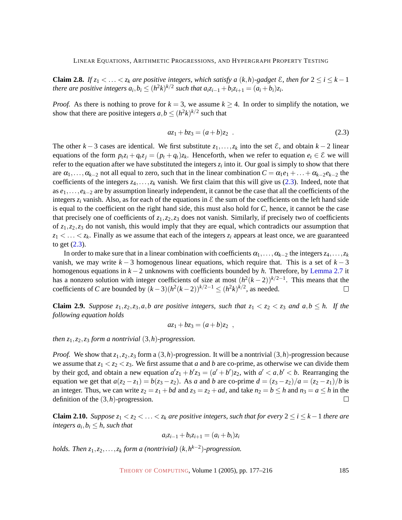**Claim 2.8.** *If*  $z_1 < \ldots < z_k$  are positive integers, which satisfy a  $(k, h)$ -gadget  $\mathcal{E}$ , then for  $2 \le i \le k - 1$ there are positive integers  $a_i, b_i \leq (h^2k)^{k/2}$  such that  $a_i z_{i-1} + b_i z_{i+1} = (a_i + b_i) z_i$ .

<span id="page-8-0"></span>*Proof.* As there is nothing to prove for  $k = 3$ , we assume  $k \ge 4$ . In order to simplify the notation, we show that there are positive integers  $a, b \leq (h^2 k)^{k/2}$  such that

$$
az_1 + bz_3 = (a+b)z_2 \tag{2.3}
$$

The other  $k - 3$  cases are identical. We first substitute  $z_1, \ldots, z_k$  into the set  $\mathcal{E}$ , and obtain  $k - 2$  linear equations of the form  $p_t z_i + q_t z_j = (p_t + q_t) z_k$ . Henceforth, when we refer to equation  $e_t \in \mathcal{E}$  we will refer to the equation after we have substituted the integers  $z_i$  into it. Our goal is simply to show that there are  $\alpha_1, \ldots, \alpha_{k-2}$  not all equal to zero, such that in the linear combination  $C = \alpha_1 e_1 + \ldots + \alpha_{k-2} e_{k-2}$  the coefficients of the integers  $z_4, \ldots, z_k$  vanish. We first claim that this will give us [\(2.3\)](#page-8-0). Indeed, note that as *e*1,...,*ek*−<sup>2</sup> are by assumption linearly independent, it cannot be the case that all the coefficients of the integers  $z_i$  vanish. Also, as for each of the equations in  $\mathcal E$  the sum of the coefficients on the left hand side is equal to the coefficient on the right hand side, this must also hold for *C*, hence, it cannot be the case that precisely one of coefficients of  $z_1$ ,  $z_2$ ,  $z_3$  does not vanish. Similarly, if precisely two of coefficients of *z*1,*z*2,*z*<sup>3</sup> do not vanish, this would imply that they are equal, which contradicts our assumption that  $z_1 \leq \ldots \leq z_k$ . Finally as we assume that each of the integers  $z_i$  appears at least once, we are guaranteed to get [\(2.3\)](#page-8-0).

In order to make sure that in a linear combination with coefficients  $\alpha_1, \ldots, \alpha_{k-2}$  the integers  $z_4, \ldots, z_k$ vanish, we may write  $k - 3$  homogenous linear equations, which require that. This is a set of  $k - 3$ homogenous equations in *k* −2 unknowns with coefficients bounded by *h*. Therefore, by [Lemma 2.7](#page-7-0) it has a nonzero solution with integer coefficients of size at most  $(h^2(k-2))^{k/2-1}$ . This means that the coefficients of *C* are bounded by  $(k-3)(h^2(k-2))^{k/2-1} \leq (h^2k)^{k/2}$ , as needed.  $\Box$ 

<span id="page-8-1"></span>**Claim 2.9.** *Suppose*  $z_1, z_2, z_3, a, b$  are positive integers, such that  $z_1 < z_2 < z_3$  and  $a, b \le h$ . If the *following equation holds*

$$
az_1+bz_3=(a+b)z_2,
$$

*then z*1,*z*2,*z*<sup>3</sup> *form a nontrivial* (3,*h*)*-progression.*

*Proof.* We show that *z*1,*z*2,*z*<sup>3</sup> form a (3,*h*)-progression. It will be a nontrivial (3,*h*)-progression because we assume that  $z_1 < z_2 < z_3$ . We first assume that *a* and *b* are co-prime, as otherwise we can divide them by their gcd, and obtain a new equation  $a'z_1 + b'z_3 = (a' + b')z_2$ , with  $a' < a, b' < b$ . Rearranging the equation we get that  $a(z_2 - z_1) = b(z_3 - z_2)$ . As *a* and *b* are co-prime  $d = (z_3 - z_2)/a = (z_2 - z_1)/b$  is an integer. Thus, we can write  $z_2 = z_1 + bd$  and  $z_3 = z_2 + ad$ , and take  $n_2 = b \le h$  and  $n_3 = a \le h$  in the definition of the (3,*h*)-progression.  $\Box$ 

<span id="page-8-2"></span>**Claim 2.10.** Suppose  $z_1 < z_2 < \ldots < z_k$  are positive integers, such that for every  $2 \le i \le k-1$  there are *integers*  $a_i, b_i \leq h$ *, such that* 

$$
a_i z_{i-1} + b_i z_{i+1} = (a_i + b_i) z_i
$$

*holds. Then z*1,*z*2,...,*z<sup>k</sup> form a (nontrivial)* (*k*,*h k*−2 )*-progression.*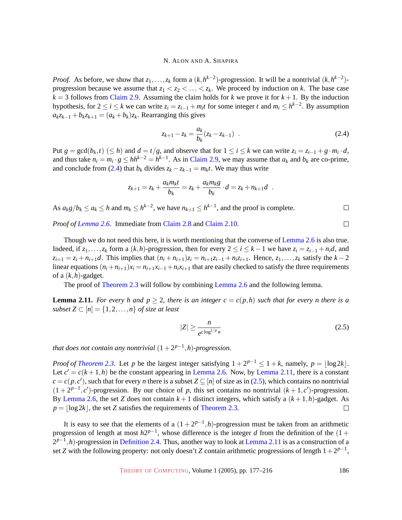*Proof.* As before, we show that  $z_1, \ldots, z_k$  form a  $(k, h^{k-2})$ -progression. It will be a nontrivial  $(k, h^{k-2})$ progression because we assume that  $z_1 < z_2 < \ldots < z_k$ . We proceed by induction on *k*. The base case  $k = 3$  follows from [Claim 2.9.](#page-8-1) Assuming the claim holds for *k* we prove it for  $k + 1$ . By the induction hypothesis, for  $2 \le i \le k$  we can write  $z_i = z_{i-1} + m_i t$  for some integer *t* and  $m_i \le h^{k-2}$ . By assumption  $a_k z_{k-1} + b_k z_{k+1} = (a_k + b_k) z_k$ . Rearranging this gives

$$
z_{k+1} - z_k = \frac{a_k}{b_k} (z_k - z_{k-1}) \quad . \tag{2.4}
$$

<span id="page-9-0"></span>Put  $g = \gcd(b_k, t) \ (\leq h)$  and  $d = t/g$ , and observe that for  $1 \leq i \leq k$  we can write  $z_i = z_{i-1} + g \cdot m_i \cdot d$ , and thus take  $n_i = m_i \cdot g \le hh^{k-2} = h^{k-1}$ . As in [Claim 2.9,](#page-8-1) we may assume that  $a_k$  and  $b_k$  are co-prime, and conclude from [\(2.4\)](#page-9-0) that  $b_k$  divides  $z_k - z_{k-1} = m_k t$ . We may thus write

$$
z_{k+1} = z_k + \frac{a_k m_k t}{b_k} = z_k + \frac{a_k m_k g}{b_k} \cdot d = z_k + n_{k+1} d \; .
$$

As  $a_k g/b_k \le a_k \le h$  and  $m_k \le h^{k-2}$ , we have  $n_{k+1} \le h^{k-1}$ , and the proof is complete.

*Proof of [Lemma 2.6.](#page-7-1)* Immediate from [Claim 2.8](#page-7-2) and [Claim 2.10.](#page-8-2)

Though we do not need this here, it is worth mentioning that the converse of [Lemma 2.6](#page-7-1) is also true. Indeed, if  $z_1, \ldots, z_k$  form a  $(k, h)$ -progression, then for every  $2 \le i \le k - 1$  we have  $z_i = z_{i-1} + n_i d$ , and  $z_{i+1} = z_i + n_{i+1}d$ . This implies that  $(n_i + n_{i+1})z_i = n_{i+1}z_{i-1} + n_i z_{i+1}$ . Hence,  $z_1, \ldots, z_k$  satisfy the  $k-2$ linear equations  $(n_i + n_{i+1})x_i = n_{i+1}x_{i-1} + n_i x_{i+1}$  that are easily checked to satisfy the three requirements of a (*k*,*h*)-gadget.

The proof of [Theorem 2.3](#page-6-1) will follow by combining [Lemma 2.6](#page-7-1) and the following lemma.

<span id="page-9-1"></span>**Lemma 2.11.** *For every h and*  $p \ge 2$ *, there is an integer*  $c = c(p,h)$  *such that for every n there is a subset*  $Z \subset [n] = \{1, 2, ..., n\}$  *of size at least* 

<span id="page-9-2"></span>
$$
|Z| \ge \frac{n}{e^{c \log^{1/p} n}} \tag{2.5}
$$

*that does not contain any nontrivial*  $(1+2^{p-1},h)$ *-progression.* 

*Proof of [Theorem 2.3.](#page-6-1)* Let *p* be the largest integer satisfying  $1 + 2^{p-1} \leq 1 + k$ , namely,  $p = |\log 2k|$ . Let  $c' = c(k+1,h)$  be the constant appearing in [Lemma 2.6.](#page-7-1) Now, by [Lemma 2.11,](#page-9-1) there is a constant  $c = c(p, c')$ , such that for every *n* there is a subset  $Z \subseteq [n]$  of size as in [\(2.5\)](#page-9-2), which contains no nontrivial  $(1 + 2^{p-1}, c')$ -progression. By our choice of *p*, this set contains no nontrivial  $(k + 1, c')$ -progression. By [Lemma 2.6,](#page-7-1) the set *Z* does not contain  $k+1$  distinct integers, which satisfy a  $(k+1,h)$ -gadget. As  $p = \log 2k$ , the set *Z* satisfies the requirements of [Theorem 2.3.](#page-6-1)  $\Box$ 

It is easy to see that the elements of a  $(1+2^{p-1},h)$ -progression must be taken from an arithmetic progression of length at most  $h2^{p-1}$ , whose difference is the integer *d* from the definition of the (1 + 2<sup>*p*−1</sup>,*h*)-progression in [Definition 2.4.](#page-7-3) Thus, another way to look at [Lemma 2.11](#page-9-1) is as a construction of a set *Z* with the following property: not only doesn't *Z* contain arithmetic progressions of length  $1+2^{p-1}$ ,

THEORY OF C[OMPUTING](http://dx.doi.org/10.4086/toc), Volume 1 (2005), pp. 177–216 186

 $\Box$ 

 $\Box$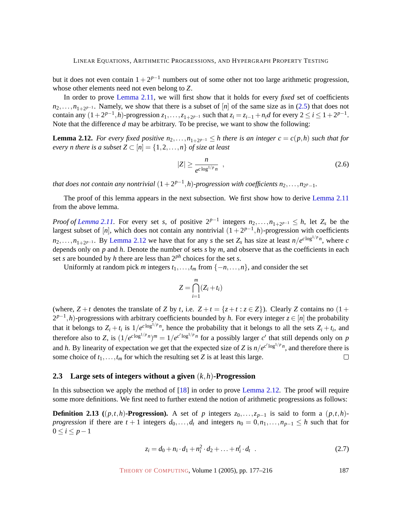but it does not even contain  $1 + 2^{p-1}$  numbers out of some other not too large arithmetic progression, whose other elements need not even belong to *Z*.

In order to prove [Lemma 2.11,](#page-9-1) we will first show that it holds for every *fixed* set of coefficients  $n_2, \ldots, n_{1+2^{p-1}}$ . Namely, we show that there is a subset of [*n*] of the same size as in [\(2.5\)](#page-9-2) that does not contain any  $(1+2^{p-1},h)$ -progression  $z_1,\ldots,z_{1+2^{p-1}}$  such that  $z_i = z_{i-1} + n_i d$  for every  $2 \le i \le 1+2^{p-1}$ . Note that the difference *d* may be arbitrary. To be precise, we want to show the following:

<span id="page-10-0"></span>**Lemma 2.12.** For every fixed positive  $n_2, \ldots, n_{1+2^{p-1}} \leq h$  there is an integer  $c = c(p,h)$  such that for *every n there is a subset*  $Z \subset [n] = \{1, 2, ..., n\}$  *of size at least* 

$$
|Z| \ge \frac{n}{e^{c \log^{1/p} n}} \quad , \tag{2.6}
$$

*that does not contain any nontrivial*  $(1+2^{p-1},h)$ *-progression with coefficients*  $n_2,\ldots,n_{2^p-1}$ *.* 

The proof of this lemma appears in the next subsection. We first show how to derive [Lemma 2.11](#page-9-1) from the above lemma.

*Proof of Lemma 2.11*. For every set *s*, of positive  $2^{p-1}$  integers  $n_2, \ldots, n_{1+2^{p-1}} \leq h$ , let  $Z_s$  be the largest subset of [*n*], which does not contain any nontrivial  $(1 + 2^{p-1}, h)$ -progression with coefficients  $n_2, \ldots, n_{1+2^{p-1}}$ . By [Lemma 2.12](#page-10-0) we have that for any *s* the set  $Z_s$  has size at least  $n/e^{c \log^{1/p} n}$ , where *c* depends only on *p* and *h*. Denote the number of sets *s* by *m*, and observe that as the coefficients in each set *s* are bounded by *h* there are less than  $2^{ph}$  choices for the set *s*.

Uniformly at random pick *m* integers  $t_1, \ldots, t_m$  from  $\{-n, \ldots, n\}$ , and consider the set

$$
Z = \bigcap_{i=1}^{m} (Z_i + t_i)
$$

(where,  $Z + t$  denotes the translate of *Z* by *t*, i.e.  $Z + t = \{z + t : z \in Z\}$ ). Clearly *Z* contains no  $(1 +$ 2<sup>*p*−1</sup>,*h*)-progressions with arbitrary coefficients bounded by *h*. For every integer *z* ∈ [*n*] the probability that it belongs to  $Z_i + t_i$  is  $1/e^{c \log^{1/p} n}$ , hence the probability that it belongs to all the sets  $Z_i + t_i$ , and therefore also to *Z*, is  $(1/e^{c \log^{1/p} n})^m = 1/e^{c' \log^{1/p} n}$  for a possibly larger *c'* that still depends only on *p* and *h*. By linearity of expectation we get that the expected size of *Z* is  $n/e^{c' \log^{1/p} n}$ , and therefore there is some choice of  $t_1, \ldots, t_m$  for which the resulting set *Z* is at least this large.  $\Box$ 

#### <span id="page-10-2"></span>**2.3 Large sets of integers without a given** (*k*,*h*)**-Progression**

In this subsection we apply the method of [\[18\]](#page-37-8) in order to prove [Lemma 2.12.](#page-10-0) The proof will require some more definitions. We first need to further extend the notion of arithmetic progressions as follows:

<span id="page-10-1"></span>**Definition 2.13** (( $p$ ,*t*,*h*)**-Progression).** A set of *p* integers  $z_0$ ,..., $z_{p-1}$  is said to form a ( $p$ ,*t*,*h*)*progression* if there are  $t + 1$  integers  $d_0, \ldots, d_t$  and integers  $n_0 = 0, n_1, \ldots, n_{p-1} \leq h$  such that for 0 ≤ *i* ≤ *p*−1

$$
z_i = d_0 + n_i \cdot d_1 + n_i^2 \cdot d_2 + \ldots + n_i^t \cdot d_t \quad . \tag{2.7}
$$

THEORY OF C[OMPUTING](http://dx.doi.org/10.4086/toc), Volume 1 (2005), pp. 177–216 187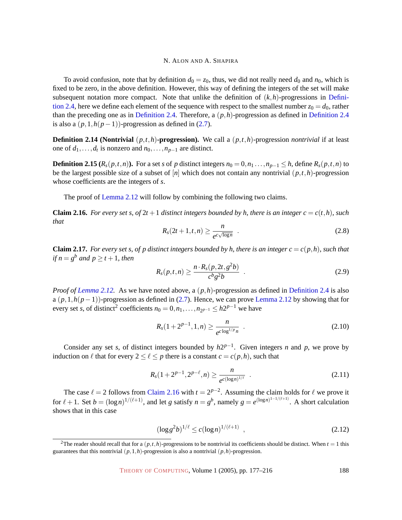To avoid confusion, note that by definition  $d_0 = z_0$ , thus, we did not really need  $d_0$  and  $n_0$ , which is fixed to be zero, in the above definition. However, this way of defining the integers of the set will make subsequent notation more compact. Note that unlike the definition of  $(k, h)$ -progressions in [Defini](#page-7-3)[tion 2.4,](#page-7-3) here we define each element of the sequence with respect to the smallest number  $z_0 = d_0$ , rather than the preceding one as in [Definition 2.4.](#page-7-3) Therefore, a (*p*,*h*)-progression as defined in [Definition 2.4](#page-7-3) is also a  $(p,1,h(p-1))$ -progression as defined in  $(2.7)$ .

**Definition 2.14 (Nontrivial**  $(p, t, h)$ **-progression).** We call a  $(p, t, h)$ -progression *nontrivial* if at least one of  $d_1, \ldots, d_t$  is nonzero and  $n_0, \ldots, n_{p-1}$  are distinct.

**Definition 2.15** ( $R_s(p,t,n)$ ). For a set s of p distinct integers  $n_0 = 0, n_1 \dots, n_{p-1} \leq h$ , define  $R_s(p,t,n)$  to be the largest possible size of a subset of [*n*] which does not contain any nontrivial (*p*,*t*,*h*)-progression whose coefficients are the integers of *s*.

The proof of [Lemma 2.12](#page-10-0) will follow by combining the following two claims.

<span id="page-11-5"></span><span id="page-11-0"></span>**Claim 2.16.** For every set s, of  $2t + 1$  distinct integers bounded by h, there is an integer  $c = c(t, h)$ , such *that*

$$
R_s(2t+1,t,n) \ge \frac{n}{e^{c\sqrt{\log n}}} \quad . \tag{2.8}
$$

<span id="page-11-1"></span>**Claim 2.17.** For every set s, of p distinct integers bounded by h, there is an integer  $c = c(p,h)$ , such that *if*  $n = g^b$  and  $p \ge t + 1$ *, then* 

$$
R_s(p,t,n) \ge \frac{n \cdot R_s(p, 2t, g^2 b)}{c^b g^2 b} \quad . \tag{2.9}
$$

*Proof of [Lemma 2.12.](#page-10-0)* As we have noted above, a (*p*,*h*)-progression as defined in [Definition 2.4](#page-7-3) is also a  $(p,1,h(p-1))$ -progression as defined in [\(2.7\)](#page-10-1). Hence, we can prove [Lemma 2.12](#page-10-0) by showing that for every set *s*, of distinct<sup>2</sup> coefficients  $n_0 = 0, n_1, \ldots, n_{2^{p-1}} \le h2^{p-1}$  we have

<span id="page-11-4"></span>
$$
R_s(1+2^{p-1},1,n) \ge \frac{n}{e^{c\log^{1/p}n}} \quad . \tag{2.10}
$$

<span id="page-11-2"></span>Consider any set *s*, of distinct integers bounded by  $h2^{p-1}$ . Given integers *n* and *p*, we prove by induction on  $\ell$  that for every  $2 \leq \ell \leq p$  there is a constant  $c = c(p, h)$ , such that

$$
R_s(1+2^{p-1}, 2^{p-\ell}, n) \ge \frac{n}{e^{c(\log n)^{1/\ell}}} \quad . \tag{2.11}
$$

<span id="page-11-3"></span>The case  $\ell = 2$  follows from [Claim 2.16](#page-11-0) with  $t = 2^{p-2}$ . Assuming the claim holds for  $\ell$  we prove it for  $\ell + 1$ . Set  $b = (\log n)^{1/(\ell+1)}$ , and let *g* satisfy  $n = g^b$ , namely  $g = e^{(\log n)^{1-1/(\ell+1)}}$ . A short calculation shows that in this case

$$
(\log g^2 b)^{1/\ell} \le c (\log n)^{1/(\ell+1)} \quad , \tag{2.12}
$$

<sup>&</sup>lt;sup>2</sup>The reader should recall that for a  $(p,t,h)$ -progressions to be nontrivial its coefficients should be distinct. When  $t = 1$  this guarantees that this nontrivial  $(p,1,h)$ -progression is also a nontrivial  $(p,h)$ -progression.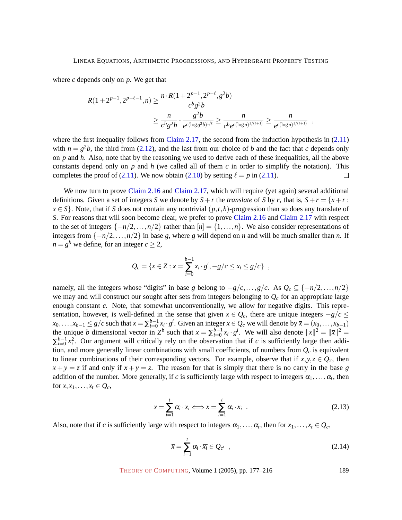where *c* depends only on *p*. We get that

$$
R(1+2^{p-1}, 2^{p-\ell-1}, n) \ge \frac{n \cdot R(1+2^{p-1}, 2^{p-\ell}, g^2 b)}{c^b g^2 b}
$$
  
 
$$
\ge \frac{n}{c^b g^2 b} \cdot \frac{g^2 b}{e^{c(\log g^2 b)^{1/\ell}}} \ge \frac{n}{c^b e^{c(\log n)^{1/(\ell+1)}}} \ge \frac{n}{e^{c(\log n)^{1/(\ell+1)}}},
$$

where the first inequality follows from [Claim 2.17,](#page-11-1) the second from the induction hypothesis in [\(2.11\)](#page-11-2) with  $n = g^2b$ , the third from [\(2.12\)](#page-11-3), and the last from our choice of *b* and the fact that *c* depends only on *p* and *h*. Also, note that by the reasoning we used to derive each of these inequalities, all the above constants depend only on *p* and *h* (we called all of them *c* in order to simplify the notation). This completes the proof of [\(2.11\)](#page-11-2). We now obtain [\(2.10\)](#page-11-4) by setting  $\ell = p$  in (2.11).  $\Box$ 

We now turn to prove [Claim 2.16](#page-11-0) and [Claim 2.17,](#page-11-1) which will require (yet again) several additional definitions. Given a set of integers *S* we denote by  $S + r$  the *translate* of *S* by *r*, that is,  $S + r = \{x + r :$  $x \in S$ . Note, that if *S* does not contain any nontrivial  $(p, t, h)$ -progression than so does any translate of *S*. For reasons that will soon become clear, we prefer to prove [Claim 2.16](#page-11-0) and [Claim 2.17](#page-11-1) with respect to the set of integers  $\{-n/2,\ldots,n/2\}$  rather than  $[n] = \{1,\ldots,n\}$ . We also consider representations of integers from {−*n*/2,...,*n*/2} in base *g*, where *g* will depend on *n* and will be much smaller than *n*. If  $n = g^b$  we define, for an integer  $c \geq 2$ ,

$$
Q_c = \{x \in Z : x = \sum_{i=0}^{b-1} x_i \cdot g^i, -g/c \le x_i \le g/c\},\;
$$

namely, all the integers whose "digits" in base *g* belong to  $-g/c$ ,...,*g*/*c*. As  $Q_c \subseteq \{-n/2, ..., n/2\}$ we may and will construct our sought after sets from integers belonging to *Q<sup>c</sup>* for an appropriate large enough constant *c*. Note, that somewhat unconventionally, we allow for negative digits. This representation, however, is well-defined in the sense that given  $x \in Q_c$ , there are unique integers  $-g/c \le$  $x_0, \ldots, x_{b-1} \le g/c$  such that  $x = \sum_{i=0}^{b-1} x_i \cdot g^i$ . Given an integer  $x \in Q_c$  we will denote by  $\bar{x} = (x_0, \ldots, x_{b-1})$ the unique *b* dimensional vector in  $Z^b$  such that  $x = \sum_{i=0}^{b-1} x_i \cdot g^i$ . We will also denote  $||x||^2 = ||\overline{x}||^2 =$  $\sum_{i=0}^{b-1} x_i^2$ . Our argument will critically rely on the observation that if *c* is sufficiently large then addition, and more generally linear combinations with small coefficients, of numbers from  $Q_c$  is equivalent to linear combinations of their corresponding vectors. For example, observe that if  $x, y, z \in Q_2$ , then  $x + y = z$  if and only if  $\bar{x} + \bar{y} = \bar{z}$ . The reason for that is simply that there is no carry in the base *g* addition of the number. More generally, if *c* is sufficiently large with respect to integers  $\alpha_1, \ldots, \alpha_t$ , then for  $x, x_1, \ldots, x_t \in Q_c$ ,

$$
x = \sum_{i=1}^{t} \alpha_i \cdot x_i \Longleftrightarrow \overline{x} = \sum_{i=1}^{t} \alpha_i \cdot \overline{x_i} \quad .
$$
 (2.13)

<span id="page-12-1"></span><span id="page-12-0"></span>Also, note that if *c* is sufficiently large with respect to integers  $\alpha_1, \dots, \alpha_t$ , then for  $x_1, \dots, x_t \in Q_c$ ,

$$
\bar{x} = \sum_{i=1}^{t} \alpha_i \cdot \bar{x}_i \in Q_{c'} , \qquad (2.14)
$$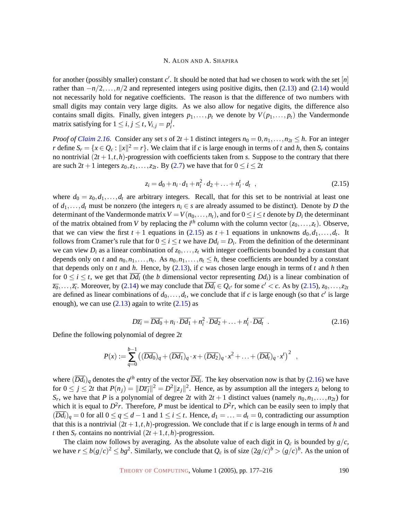for another (possibly smaller) constant  $c'$ . It should be noted that had we chosen to work with the set  $[n]$ rather than −*n*/2,...,*n*/2 and represented integers using positive digits, then [\(2.13\)](#page-12-0) and [\(2.14\)](#page-12-1) would not necessarily hold for negative coefficients. The reason is that the difference of two numbers with small digits may contain very large digits. As we also allow for negative digits, the difference also contains small digits. Finally, given integers  $p_1, \ldots, p_t$  we denote by  $V(p_1, \ldots, p_t)$  the Vandermonde matrix satisfying for  $1 \le i, j \le t, V_{i,j} = p_i^j$ *i* .

*Proof of [Claim 2.16.](#page-11-0)* Consider any set *s* of  $2t + 1$  distinct integers  $n_0 = 0, n_1, \ldots, n_{2t} \leq h$ . For an integer *r* define  $S_r = \{x \in Q_c : ||x||^2 = r\}$ . We claim that if *c* is large enough in terms of *t* and *h*, then  $S_r$  contains no nontrivial  $(2t + 1, t, h)$ -progression with coefficients taken from *s*. Suppose to the contrary that there are such  $2t + 1$  integers  $z_0, z_1, \ldots, z_{2t}$ . By [\(2.7\)](#page-10-1) we have that for  $0 \le i \le 2t$ 

$$
z_i = d_0 + n_i \cdot d_1 + n_i^2 \cdot d_2 + \ldots + n_i^t \cdot d_t \quad , \tag{2.15}
$$

<span id="page-13-0"></span>where  $d_0 = z_0, d_1, \ldots, d_t$  are arbitrary integers. Recall, that for this set to be nontrivial at least one of  $d_1, \ldots, d_t$  must be nonzero (the integers  $n_i \in s$  are already assumed to be distinct). Denote by *D* the determinant of the Vandermonde matrix  $V = V(n_0, \ldots, n_t)$ , and for  $0 \leq i \leq t$  denote by  $D_i$  the determinant of the matrix obtained from *V* by replacing the *i*<sup>th</sup> column with the column vector  $(z_0, \ldots, z_t)$ . Observe, that we can view the first  $t + 1$  equations in [\(2.15\)](#page-13-0) as  $t + 1$  equations in unknowns  $d_0, d_1, \ldots, d_t$ . It follows from Cramer's rule that for  $0 \le i \le t$  we have  $Dd_i = D_i$ . From the definition of the determinant we can view  $D_i$  as a linear combination of  $z_0, \ldots, z_t$  with integer coefficients bounded by a constant that depends only on *t* and  $n_0, n_1, \ldots, n_t$ . As  $n_0, n_1, \ldots, n_t \leq h$ , these coefficients are bounded by a constant that depends only on *t* and *h*. Hence, by [\(2.13\)](#page-12-0), if *c* was chosen large enough in terms of *t* and *h* then for  $0 \le i \le t$ , we get that  $\overline{Dd_i}$  (the *b* dimensional vector representing  $Dd_i$ ) is a linear combination of  $\overline{z_0}, \ldots, \overline{z_t}$ . Moreover, by [\(2.14\)](#page-12-1) we may conclude that  $\overline{Dd_i} \in Q_{c'}$  for some  $c' < c$ . As by [\(2.15\)](#page-13-0),  $z_0, \ldots, z_{2t}$ are defined as linear combinations of  $d_0, \ldots, d_t$ , we conclude that if *c* is large enough (so that *c*' is large enough), we can use  $(2.13)$  again to write  $(2.15)$  as

$$
D\overline{z_i} = \overline{Dd_0} + n_i \cdot \overline{Dd_1} + n_i^2 \cdot \overline{Dd_2} + \ldots + n_i^t \cdot \overline{Dd_t} \quad . \tag{2.16}
$$

<span id="page-13-1"></span>Define the following polynomial of degree 2*t*

$$
P(x) := \sum_{q=0}^{b-1} \left( (\overline{Dd_0})_q + (\overline{Dd_1})_q \cdot x + (\overline{Dd_2})_q \cdot x^2 + \ldots + (\overline{Dd_t})_q \cdot x^t \right)^2 ,
$$

where  $(\overline{Dd_i})_q$  denotes the  $q^{th}$  entry of the vector  $\overline{Dd_i}$ . The key observation now is that by [\(2.16\)](#page-13-1) we have for  $0 \le j \le 2t$  that  $P(n_j) = ||D\overline{z_j}||^2 = D^2 ||z_j||^2$ . Hence, as by assumption all the integers  $z_i$  belong to *S<sub>r</sub>*, we have that *P* is a polynomial of degree 2*t* with  $2t + 1$  distinct values (namely  $n_0, n_1, \ldots, n_{2t}$ ) for which it is equal to  $D^2r$ . Therefore, P must be identical to  $D^2r$ , which can be easily seen to imply that  $(\overline{Dd_i})_q = 0$  for all  $0 \le q \le d - 1$  and  $1 \le i \le t$ . Hence,  $d_1 = \ldots = d_t = 0$ , contradicting our assumption that this is a nontrivial  $(2t + 1, t, h)$ -progression. We conclude that if *c* is large enough in terms of *h* and *t* then  $S_r$  contains no nontrivial  $(2t + 1, t, h)$ -progression.

The claim now follows by averaging. As the absolute value of each digit in  $Q_c$  is bounded by  $g/c$ , we have  $r \le b(g/c)^2 \le bg^2$ . Similarly, we conclude that  $Q_c$  is of size  $(2g/c)^b > (g/c)^b$ . As the union of

THEORY OF C[OMPUTING](http://dx.doi.org/10.4086/toc), Volume 1 (2005), pp. 177-216 190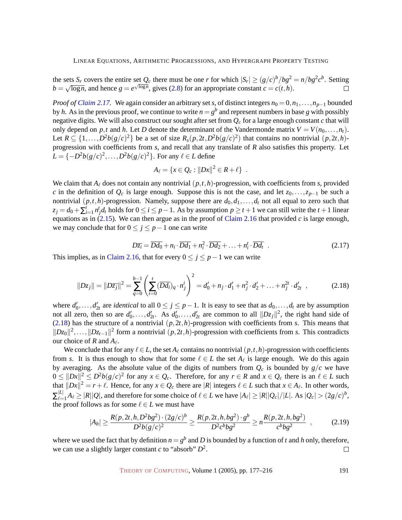the sets  $S_r$  covers the entire set  $Q_c$  there must be one *r* for which  $|S_r| \ge (g/c)^b / bg^2 = n / bg^2 c^b$ . Setting  $b = \sqrt{\log n}$ , and hence  $g = e^{\sqrt{\log n}}$ , gives [\(2.8\)](#page-11-5) for an appropriate constant  $c = c(t, h)$ .  $\Box$ 

*Proof of [Claim 2.17.](#page-11-1)* We again consider an arbitrary set *s*, of distinct integers  $n_0 = 0, n_1, \ldots, n_{p-1}$  bounded by *h*. As in the previous proof, we continue to write  $n = g^b$  and represent numbers in base *g* with possibly negative digits. We will also construct our sought after set from *Q<sup>c</sup>* for a large enough constant *c* that will only depend on *p*,*t* and *h*. Let *D* denote the determinant of the Vandermonde matrix  $V = V(n_0, \ldots, n_t)$ . Let  $R \subseteq \{1, ..., D^2b(g/c)^2\}$  be a set of size  $R_s(p, 2t, D^2b(g/c)^2)$  that contains no nontrivial  $(p, 2t, h)$ progression with coefficients from *s*, and recall that any translate of *R* also satisfies this property. Let *L* = { $-D<sup>2</sup>b(g/c)<sup>2</sup>$ ,...,*D*<sup>2</sup>*b*(*g*/*c*)<sup>2</sup>}. For any  $ℓ ∈ L$  define

$$
A_{\ell} = \{x \in Q_c : ||Dx||^2 \in R + \ell\} .
$$

We claim that  $A_\ell$  does not contain any nontrivial  $(p,t,h)$ -progression, with coefficients from *s*, provided *c* in the definition of  $Q_c$  is large enough. Suppose this is not the case, and let  $z_0, \ldots, z_{p-1}$  be such a nontrivial  $(p,t,h)$ -progression. Namely, suppose there are  $d_0, d_1, \ldots, d_t$  not all equal to zero such that  $z_j = d_0 + \sum_{i=1}^t n_j^t d_t$  holds for  $0 \le i \le p-1$ . As by assumption  $p \ge t+1$  we can still write the  $t+1$  linear equations as in  $(2.15)$ . We can then argue as in the proof of [Claim 2.16](#page-11-0) that provided *c* is large enough, we may conclude that for  $0 \le j \le p-1$  one can write

$$
D\overline{z_i} = \overline{Dd_0} + n_i \cdot \overline{Dd_1} + n_i^2 \cdot \overline{Dd_2} + \dots + n_i^t \cdot \overline{Dd_t} \quad . \tag{2.17}
$$

<span id="page-14-0"></span>This implies, as in [Claim 2.16,](#page-11-0) that for every  $0 \le j \le p-1$  we can write

$$
||Dz_j|| = ||D\overline{z_j}||^2 = \sum_{q=0}^{b-1} \left( \sum_{i=0}^{t} (\overline{Dd_i})_q \cdot n_j^i \right)^2 = d'_0 + n_j \cdot d'_1 + n_j^2 \cdot d'_2 + \dots + n_j^{2t} \cdot d'_{2t} , \qquad (2.18)
$$

where  $d'_0, \ldots, d'_{2t}$  are *identical* to all  $0 \le j \le p-1$ . It is easy to see that as  $d_0, \ldots, d_t$  are by assumption not all zero, then so are  $d'_0, \ldots, d'_{2t}$ . As  $d'_0, \ldots, d'_{2t}$  are common to all  $||Dz_j||^2$ , the right hand side of [\(2.18\)](#page-14-0) has the structure of a nontrivial  $(p, 2t, h)$ -progression with coefficients from *s*. This means that  $||Dz_0||^2$ ,...,  $||Dz_{t-1}||^2$  form a nontrivial (*p*, 2*t*, *h*)-progression with coefficients from *s*. This contradicts our choice of *R* and  $A_\ell$ .

We conclude that for any  $\ell \in L$ , the set  $A_\ell$  contains no nontrivial  $(p, t, h)$ -progression with coefficients from *s*. It is thus enough to show that for some  $\ell \in L$  the set  $A_{\ell}$  is large enough. We do this again by averaging. As the absolute value of the digits of numbers from  $Q_c$  is bounded by  $g/c$  we have  $0 \le ||Dx||^2 \le D^2b(g/c)^2$  for any  $x \in Q_c$ . Therefore, for any  $r \in R$  and  $x \in Q_c$  there is an  $\ell \in L$  such that  $||Dx||^2 = r + \ell$ . Hence, for any  $x \in Q_c$  there are  $|R|$  integers  $\ell \in L$  such that  $x \in A_\ell$ . In other words,  $\Sigma_{\ell=}^{|L|}$  $\mathbb{E}_{\ell=1}^{|L|} A_{\ell} \geq |R||Q|$ , and therefore for some choice of  $\ell \in L$  we have  $|A_{\ell}| \geq |R||Q_c|/|L|$ . As  $|Q_c| > (2g/c)^b$ , the proof follows as for some  $\ell \in L$  we must have

$$
|A_b| \ge \frac{R(p, 2t, h, D^2bg^2) \cdot (2g/c)^b}{D^2b(g/c)^2} \ge \frac{R(p, 2t, h, bg^2) \cdot g^b}{D^2c^bbg^2} \ge n\frac{R(p, 2t, h, bg^2)}{c^bbg^2} ,\qquad (2.19)
$$

where we used the fact that by definition  $n = g^b$  and *D* is bounded by a function of *t* and *h* only, therefore, we can use a slightly larger constant *c* to "absorb" *D* 2 .  $\Box$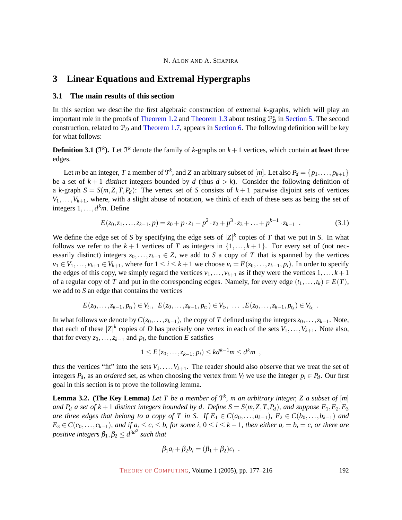# <span id="page-15-0"></span>**3 Linear Equations and Extremal Hypergraphs**

## **3.1 The main results of this section**

In this section we describe the first algebraic construction of extremal *k*-graphs, which will play an important role in the proofs of [Theorem 1.2](#page-3-0) and [Theorem 1.3](#page-3-1) about testing  $\mathcal{P}_D^*$  in Section [5. The second](#page-24-0) construction, related to  $\mathcal{P}_D$  and [Theorem 1.7,](#page-4-0) appears in Section [6. The following definition will be key](#page-26-1) for what follows:

**Definition 3.1** ( $\mathcal{T}^k$ ). Let  $\mathcal{T}^k$  denote the family of *k*-graphs on  $k+1$  vertices, which contain **at least** three edges.

Let *m* be an integer, *T* a member of  $\mathcal{T}^k$ , and *Z* an arbitrary subset of  $[m]$ . Let also  $P_d = \{p_1, \ldots, p_{k+1}\}\$ be a set of  $k+1$  *distinct* integers bounded by *d* (thus  $d > k$ ). Consider the following definition of a *k*-graph  $S = S(m, Z, T, P_d)$ : The vertex set of *S* consists of  $k+1$  pairwise disjoint sets of vertices  $V_1, \ldots, V_{k+1}$ , where, with a slight abuse of notation, we think of each of these sets as being the set of integers  $1, \ldots, d^k m$ . Define

<span id="page-15-2"></span>
$$
E(z_0, z_1, \dots, z_{k-1}, p) = z_0 + p \cdot z_1 + p^2 \cdot z_2 + p^3 \cdot z_3 + \dots + p^{k-1} \cdot z_{k-1} \tag{3.1}
$$

We define the edge set of *S* by specifying the edge sets of  $|Z|^k$  copies of *T* that we put in *S*. In what follows we refer to the  $k+1$  vertices of *T* as integers in  $\{1,\ldots,k+1\}$ . For every set of (not necessarily distinct) integers  $z_0, \ldots, z_{k-1} \in \mathbb{Z}$ , we add to *S* a copy of *T* that is spanned by the vertices  $v_1 \in V_1, \ldots, v_{k+1} \in V_{k+1}$ , where for  $1 \leq i \leq k+1$  we choose  $v_i = E(z_0, \ldots, z_{k-1}, p_i)$ . In order to specify the edges of this copy, we simply regard the vertices  $v_1, \ldots, v_{k+1}$  as if they were the vertices  $1, \ldots, k+1$ of a regular copy of *T* and put in the corresponding edges. Namely, for every edge  $(t_1, \ldots, t_k) \in E(T)$ , we add to *S* an edge that contains the vertices

$$
E(z_0,\ldots,z_{k-1},p_{t_1})\in V_{t_1},\ E(z_0,\ldots,z_{k-1},p_{t_2})\in V_{t_2},\ \ldots\ ,E(z_0,\ldots,z_{k-1},p_{t_k})\in V_{t_k}.
$$

In what follows we denote by  $C(z_0, \ldots, z_{k-1})$ , the copy of *T* defined using the integers  $z_0, \ldots, z_{k-1}$ . Note, that each of these  $|Z|^k$  copies of *D* has precisely one vertex in each of the sets  $V_1, \ldots, V_{k+1}$ . Note also, that for every  $z_0$ , ..., $z_{k-1}$  and  $p_i$ , the function *E* satisfies

$$
1 \leq E(z_0,\ldots,z_{k-1},p_i) \leq kd^{k-1}m \leq d^k m ,
$$

thus the vertices "fit" into the sets  $V_1, \ldots, V_{k+1}$ . The reader should also observe that we treat the set of integers  $P_d$ , as an *ordered* set, as when choosing the vertex from  $V_i$  we use the integer  $p_i \in P_d$ . Our first goal in this section is to prove the following lemma.

<span id="page-15-1"></span>**Lemma 3.2.** (The Key Lemma) Let T be a member of  $\mathcal{T}^k$ , m an arbitrary integer, Z a subset of  $[m]$ *and*  $P_d$  *a set of*  $k+1$  *distinct integers bounded by d. Define*  $S = S(m, Z, T, P_d)$ *, and suppose*  $E_1, E_2, E_3$ *are three edges that belong to a copy of T in S. If*  $E_1 \in C(a_0, \ldots, a_{k-1})$ *,*  $E_2 \in C(b_0, \ldots, b_{k-1})$  *and*  $E_3 \in C(c_0,\ldots,c_{k-1})$ , and if  $a_i \le c_i \le b_i$  for some i,  $0 \le i \le k-1$ , then either  $a_i = b_i = c_i$  or there are  $\emph{positive integers } \beta_1, \beta_2 \leq d^{3d^2} \emph{ such that }$ 

$$
\beta_1a_i+\beta_2b_i=(\beta_1+\beta_2)c_i.
$$

THEORY OF C[OMPUTING](http://dx.doi.org/10.4086/toc), Volume 1 (2005), pp. 177-216 192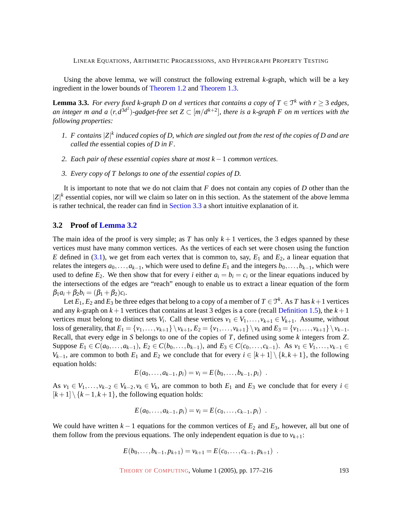Using the above lemma, we will construct the following extremal *k*-graph, which will be a key ingredient in the lower bounds of [Theorem 1.2](#page-3-0) and [Theorem 1.3.](#page-3-1)

<span id="page-16-0"></span>**Lemma 3.3.** *For every fixed k-graph D on d vertices that contains a copy of T*  $\in$   $\mathbb{T}^k$  *with r*  $\geq$  3 *edges,* an integer m and a  $(r, d^{3d^2})$ -gadget-free set  $Z \subset [m/d^{k+2}]$ , there is a k-graph F on m vertices with the *following properties:*

- *1. F contains* |*Z*| *k induced copies of D, which are singled out from the rest of the copies of D and are called the* essential copies *of D in F.*
- *2. Each pair of these essential copies share at most k* −1 *common vertices.*
- *3. Every copy of T belongs to one of the essential copies of D.*

It is important to note that we do not claim that *F* does not contain any copies of *D* other than the  $|Z|^k$  essential copies, nor will we claim so later on in this section. As the statement of the above lemma is rather technical, the reader can find in Section [3.3](#page-18-0) [a short intuitive explanation of it.](#page-18-0)

## **3.2 Proof of [Lemma 3.2](#page-15-1)**

The main idea of the proof is very simple; as *T* has only  $k+1$  vertices, the 3 edges spanned by these vertices must have many common vertices. As the vertices of each set were chosen using the function *E* defined in [\(3.1\)](#page-15-2), we get from each vertex that is common to, say,  $E_1$  and  $E_2$ , a linear equation that relates the integers  $a_0, \ldots, a_{k-1}$ , which were used to define  $E_1$  and the integers  $b_0, \ldots, b_{k-1}$ , which were used to define  $E_2$ . We then show that for every *i* either  $a_i = b_i = c_i$  or the linear equations induced by the intersections of the edges are "reach" enough to enable us to extract a linear equation of the form  $\beta_1 a_i + \beta_2 b_i = (\beta_1 + \beta_2)c_i.$ 

Let  $E_1, E_2$  and  $E_3$  be three edges that belong to a copy of a member of  $T \in \mathfrak{T}^k$ . As *T* has  $k+1$  vertices and any  $k$ -graph on  $k+1$  vertices that contains at least 3 edges is a core (recall [Definition 1.5\)](#page-4-1), the  $k+1$ vertices must belong to distinct sets  $V_i$ . Call these vertices  $v_1 \in V_1, \ldots, v_{k+1} \in V_{k+1}$ . Assume, without loss of generality, that  $E_1 = \{v_1, ..., v_{k+1}\}\setminus v_{k+1}, E_2 = \{v_1, ..., v_{k+1}\}\setminus v_k$  and  $E_3 = \{v_1, ..., v_{k+1}\}\setminus v_{k-1}$ . Recall, that every edge in *S* belongs to one of the copies of *T*, defined using some *k* integers from *Z*. Suppose  $E_1 \in C(a_0, \ldots, a_{k-1}), E_2 \in C(b_0, \ldots, b_{k-1}),$  and  $E_3 \in C(c_0, \ldots, c_{k-1}).$  As  $v_1 \in V_1, \ldots, v_{k-1} \in C(b_0, \ldots, b_k).$ *V*<sub>*k*−1</sub>, are common to both  $E_1$  and  $E_2$  we conclude that for every  $i \in [k+1] \setminus \{k, k+1\}$ , the following equation holds:

$$
E(a_0,...,a_{k-1},p_i)=v_i=E(b_0,...,b_{k-1},p_i) .
$$

As  $v_1 \in V_1, \ldots, v_{k-2} \in V_{k-2}, v_k \in V_k$ , are common to both  $E_1$  and  $E_3$  we conclude that for every  $i \in$  $[k+1] \setminus \{k-1,k+1\}$ , the following equation holds:

$$
E(a_0,...,a_{k-1},p_i) = v_i = E(c_0,...,c_{k-1},p_i) .
$$

We could have written  $k-1$  equations for the common vertices of  $E_2$  and  $E_3$ , however, all but one of them follow from the previous equations. The only independent equation is due to  $v_{k+1}$ :

$$
E(b_0,\ldots,b_{k-1},p_{k+1})=v_{k+1}=E(c_0,\ldots,c_{k-1},p_{k+1})\enspace.
$$

THEORY OF C[OMPUTING](http://dx.doi.org/10.4086/toc), Volume 1 (2005), pp. 177–216 193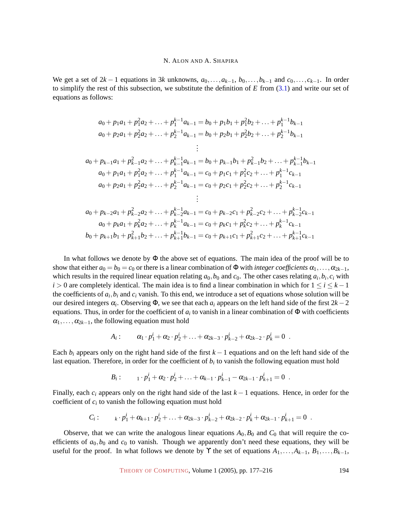We get a set of  $2k - 1$  equations in  $3k$  unknowns,  $a_0, \ldots, a_{k-1}, b_0, \ldots, b_{k-1}$  and  $c_0, \ldots, c_{k-1}$ . In order to simplify the rest of this subsection, we substitute the definition of *E* from [\(3.1\)](#page-15-2) and write our set of equations as follows:

$$
a_0 + p_1a_1 + p_1^2a_2 + \ldots + p_1^{k-1}a_{k-1} = b_0 + p_1b_1 + p_1^2b_2 + \ldots + p_1^{k-1}b_{k-1}
$$
  
\n
$$
a_0 + p_2a_1 + p_2^2a_2 + \ldots + p_2^{k-1}a_{k-1} = b_0 + p_2b_1 + p_2^2b_2 + \ldots + p_2^{k-1}b_{k-1}
$$
  
\n
$$
\vdots
$$
  
\n
$$
a_0 + p_{k-1}a_1 + p_{k-1}^2a_2 + \ldots + p_{k-1}^{k-1}a_{k-1} = b_0 + p_{k-1}b_1 + p_{k-1}^2b_2 + \ldots + p_{k-1}^{k-1}b_{k-1}
$$
  
\n
$$
a_0 + p_1a_1 + p_1^2a_2 + \ldots + p_1^{k-1}a_{k-1} = c_0 + p_1c_1 + p_1^2c_2 + \ldots + p_1^{k-1}c_{k-1}
$$
  
\n
$$
a_0 + p_2a_1 + p_2^2a_2 + \ldots + p_2^{k-1}a_{k-1} = c_0 + p_2c_1 + p_2^2c_2 + \ldots + p_2^{k-1}c_{k-1}
$$
  
\n
$$
\vdots
$$
  
\n
$$
a_0 + p_{k-2}a_1 + p_{k-2}^2a_2 + \ldots + p_{k-2}^{k-1}a_{k-1} = c_0 + p_{k-2}c_1 + p_{k-2}^2c_2 + \ldots + p_{k-2}^{k-1}c_{k-1}
$$
  
\n
$$
a_0 + p_{k}a_1 + p_k^2a_2 + \ldots + p_k^{k-1}a_{k-1} = c_0 + p_kc_1 + p_k^2c_2 + \ldots + p_k^{k-1}c_{k-1}
$$
  
\n
$$
b_0 + p_{k+1}b_1 + p_{k+1}^2b_2 + \ldots + p_{k+1}^{k-1}b_{k-1} = c_0 + p_{k+1}c_1 + p_{k+1}^2c_2 + \ldots + p_{k+1
$$

In what follows we denote by  $\Phi$  the above set of equations. The main idea of the proof will be to show that either  $a_0 = b_0 = c_0$  or there is a linear combination of  $\Phi$  with *integer coefficients*  $\alpha_1, \ldots, \alpha_{2k-1}$ , which results in the required linear equation relating  $a_0$ ,  $b_0$  and  $c_0$ . The other cases relating  $a_i$ ,  $b_i$ ,  $c_i$  with *i* > 0 are completely identical. The main idea is to find a linear combination in which for  $1 \le i \le k - 1$ the coefficients of  $a_i$ ,  $b_i$  and  $c_i$  vanish. To this end, we introduce a set of equations whose solution will be our desired integers  $\alpha_i$ . Observing  $\Phi$ , we see that each  $a_i$  appears on the left hand side of the first 2*k* − 2 equations. Thus, in order for the coefficient of  $a_i$  to vanish in a linear combination of  $\Phi$  with coefficients  $\alpha_1, \ldots, \alpha_{2k-1}$ , the following equation must hold

$$
A_i: \qquad \alpha_1 \cdot p_1^i + \alpha_2 \cdot p_2^i + \ldots + \alpha_{2k-3} \cdot p_{k-2}^i + \alpha_{2k-2} \cdot p_k^i = 0 \; .
$$

Each  $b_i$  appears only on the right hand side of the first  $k-1$  equations and on the left hand side of the last equation. Therefore, in order for the coefficient of  $b_i$  to vanish the following equation must hold

$$
B_i: \t i_1 \cdot p_1^i + \alpha_2 \cdot p_2^i + \ldots + \alpha_{k-1} \cdot p_{k-1}^i - \alpha_{2k-1} \cdot p_{k+1}^i = 0.
$$

Finally, each *c<sup>i</sup>* appears only on the right hand side of the last *k* −1 equations. Hence, in order for the coefficient of  $c_i$  to vanish the following equation must hold

$$
C_i: \qquad k \cdot p_1^i + \alpha_{k+1} \cdot p_2^i + \ldots + \alpha_{2k-3} \cdot p_{k-2}^i + \alpha_{2k-2} \cdot p_k^i + \alpha_{2k-1} \cdot p_{k+1}^i = 0 \; .
$$

Observe, that we can write the analogous linear equations  $A_0$ ,  $B_0$  and  $C_0$  that will require the coefficients of  $a_0$ ,  $b_0$  and  $c_0$  to vanish. Though we apparently don't need these equations, they will be useful for the proof. In what follows we denote by  $\Upsilon$  the set of equations  $A_1, \ldots, A_{k-1}, B_1, \ldots, B_{k-1}$ ,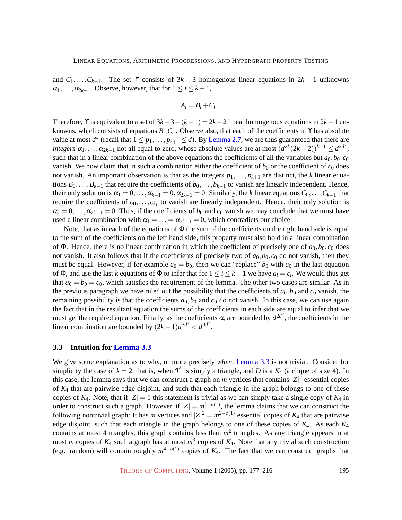and  $C_1, \ldots, C_{k-1}$ . The set Y consists of  $3k-3$  homogenous linear equations in  $2k-1$  unknowns  $\alpha_1, \ldots, \alpha_{2k-1}$ . Observe, however, that for  $1 \leq i \leq k-1$ ,

$$
A_i=B_i+C_i.
$$

Therefore,  $\Upsilon$  is equivalent to a set of  $3k-3-(k-1) = 2k-2$  linear homogenous equations in  $2k-1$  unknowns, which consists of equations  $B_i, C_i$ . Observe also, that each of the coefficients in  $\Upsilon$  has absolute value at most  $d^k$  (recall that  $1 \leq p_1, \ldots, p_{k+1} \leq d$ ). By [Lemma 2.7,](#page-7-0) we are thus guaranteed that there are *integers*  $\alpha_1, \ldots, \alpha_{2k-1}$  not all equal to zero, whose absolute values are at most  $(d^{2k}(2k-2))^{k-1} \leq d^{2d^2}$ , such that in a linear combination of the above equations the coefficients of all the variables but  $a_0, b_0, c_0$ vanish. We now claim that in such a combination either the coefficient of  $b_0$  or the coefficient of  $c_0$  does not vanish. An important observation is that as the integers  $p_1, \ldots, p_{k+1}$  are distinct, the *k* linear equations  $B_0$ ,..., $B_{k-1}$  that require the coefficients of  $b_0$ ,..., $b_{k-1}$  to vanish are linearly independent. Hence, their only solution is  $\alpha_1 = 0, \ldots, \alpha_{k-1} = 0, \alpha_{2k-1} = 0$ . Similarly, the *k* linear equations  $C_0, \ldots, C_{k-1}$  that require the coefficients of  $c_0, \ldots, c_{k_1}$  to vanish are linearly independent. Hence, their only solution is  $\alpha_k = 0, \ldots, \alpha_{2k-1} = 0$ . Thus, if the coefficients of *b*<sub>0</sub> and *c*<sub>0</sub> vanish we may conclude that we must have used a linear combination with  $\alpha_1 = \ldots = \alpha_{2k-1} = 0$ , which contradicts our choice.

Note, that as in each of the equations of  $\Phi$  the sum of the coefficients on the right hand side is equal to the sum of the coefficients on the left hand side, this property must also hold in a linear combination of Φ. Hence, there is no linear combination in which the coefficient of precisely one of  $a_0, b_0, c_0$  does not vanish. It also follows that if the coefficients of precisely two of  $a_0, b_0, c_0$  do not vanish, then they must be equal. However, if for example  $a_0 = b_0$ , then we can "replace"  $b_0$  with  $a_0$  in the last equation of  $\Phi$ , and use the last *k* equations of  $\Phi$  to infer that for  $1 \le i \le k-1$  we have  $a_i = c_i$ . We would thus get that  $a_0 = b_0 = c_0$ , which satisfies the requirement of the lemma. The other two cases are similar. As in the previous paragraph we have ruled out the possibility that the coefficients of  $a_0$ ,  $b_0$  and  $c_0$  vanish, the remaining possibility is that the coefficients  $a_0$ ,  $b_0$  and  $c_0$  do not vanish. In this case, we can use again the fact that in the resultant equation the sums of the coefficients in each side are equal to infer that we must get the required equation. Finally, as the coefficients  $\alpha_i$  are bounded by  $d^{2d^2}$ , the coefficients in the linear combination are bounded by  $(2k-1)d^{2d^2} < d^{3d^2}$ .

## <span id="page-18-0"></span>**3.3 Intuition for [Lemma 3.3](#page-16-0)**

We give some explanation as to why, or more precisely *when*, [Lemma 3.3](#page-16-0) is not trivial. Consider for simplicity the case of  $k = 2$ , that is, when  $\mathcal{T}^k$  is simply a triangle, and *D* is a  $K_4$  (a clique of size 4). In this case, the lemma says that we can construct a graph on *m* vertices that contains  $|Z|^2$  essential copies of *K*<sup>4</sup> that are pairwise edge disjoint, and such that each triangle in the graph belongs to one of these copies of  $K_4$ . Note, that if  $|Z| = 1$  this statement is trivial as we can simply take a single copy of  $K_4$  in order to construct such a graph. However, if  $|Z| = m^{1-o(1)}$ , the lemma claims that we can construct the following nontrivial graph: It has *m* vertices and  $|Z|^2 = m^{2-o(1)}$  essential copies of  $K_4$  that are pairwise edge disjoint, such that each triangle in the graph belongs to one of these copies of *K*4. As each *K*<sup>4</sup> contains at most 4 triangles, this graph contains less than  $m<sup>2</sup>$  triangles. As any triangle appears in at most *m* copies of *K*<sup>4</sup> such a graph has at most *m* 3 copies of *K*4. Note that any trivial such construction (e.g. random) will contain roughly  $m^{4-o(1)}$  copies of  $K_4$ . The fact that we can construct graphs that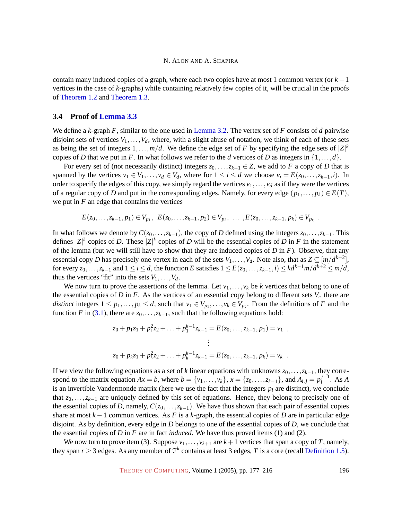contain many induced copies of a graph, where each two copies have at most 1 common vertex (or *k*−1 vertices in the case of *k*-graphs) while containing relatively few copies of it, will be crucial in the proofs of [Theorem 1.2](#page-3-0) and [Theorem 1.3.](#page-3-1)

## **3.4 Proof of [Lemma 3.3](#page-16-0)**

We define a *k*-graph *F*, similar to the one used in [Lemma 3.2.](#page-15-1) The vertex set of *F* consists of *d* pairwise disjoint sets of vertices  $V_1, \ldots, V_d$ , where, with a slight abuse of notation, we think of each of these sets as being the set of integers  $1, \ldots, m/d$ . We define the edge set of *F* by specifying the edge sets of  $|Z|^k$ copies of *D* that we put in *F*. In what follows we refer to the *d* vertices of *D* as integers in  $\{1,\ldots,d\}$ .

For every set of (not necessarily distinct) integers  $z_0, \ldots, z_{k-1} \in Z$ , we add to *F* a copy of *D* that is spanned by the vertices  $v_1 \in V_1, \ldots, v_d \in V_d$ , where for  $1 \leq i \leq d$  we choose  $v_i = E(z_0, \ldots, z_{k-1}, i)$ . In order to specify the edges of this copy, we simply regard the vertices  $v_1, \ldots, v_d$  as if they were the vertices of a regular copy of *D* and put in the corresponding edges. Namely, for every edge  $(p_1,..., p_k) \in E(T)$ , we put in  $F$  an edge that contains the vertices

$$
E(z_0,\ldots,z_{k-1},p_1) \in V_{p_1},\ \ E(z_0,\ldots,z_{k-1},p_2) \in V_{p_2},\ \ldots\ ,E(z_0,\ldots,z_{k-1},p_k) \in V_{p_k}
$$

In what follows we denote by  $C(z_0,...,z_{k-1})$ , the copy of *D* defined using the integers  $z_0,...,z_{k-1}$ . This defines  $|Z|^k$  copies of *D*. These  $|Z|^k$  copies of *D* will be the essential copies of *D* in *F* in the statement of the lemma (but we will still have to show that they are induced copies of *D* in *F*). Observe, that any essential copy *D* has precisely one vertex in each of the sets  $V_1, \ldots, V_d$ . Note also, that as  $Z \subseteq [m/d^{k+2}]$ , for every  $z_0, \ldots, z_{k-1}$  and  $1 \le i \le d$ , the function E satisfies  $1 \le E(z_0, \ldots, z_{k-1}, i) \le kd^{k-1}m/d^{k+2} \le m/d$ , thus the vertices "fit" into the sets  $V_1, \ldots, V_d$ .

We now turn to prove the assertions of the lemma. Let  $v_1, \ldots, v_k$  be *k* vertices that belong to one of the essential copies of  $D$  in  $F$ . As the vertices of an essential copy belong to different sets  $V_i$ , there are *distinct* integers  $1 \leq p_1, \ldots, p_k \leq d$ , such that  $v_1 \in V_{p_1}, \ldots, v_k \in V_{p_k}$ . From the definitions of *F* and the function *E* in [\(3.1\)](#page-15-2), there are  $z_0$ ,..., $z_{k-1}$ , such that the following equations hold:

$$
z_0 + p_1 z_1 + p_1^2 z_2 + \ldots + p_1^{k-1} z_{k-1} = E(z_0, \ldots, z_{k-1}, p_1) = v_1 ,
$$
  
\n
$$
\vdots
$$
  
\n
$$
z_0 + p_k z_1 + p_k^2 z_2 + \ldots + p_k^{k-1} z_{k-1} = E(z_0, \ldots, z_{k-1}, p_k) = v_k .
$$

If we view the following equations as a set of *k* linear equations with unknowns *z*0,...,*zk*−1, they correspond to the matrix equation  $Ax = b$ , where  $b = \{v_1, \ldots, v_k\}$ ,  $x = \{z_0, \ldots, z_{k-1}\}$ , and  $A_{i,j} = p_i^{j-1}$  $i^{j-1}$ . As *A* is an invertible Vandermonde matrix (here we use the fact that the integers  $p_i$  are distinct), we conclude that *z*0,...,*zk*−<sup>1</sup> are uniquely defined by this set of equations. Hence, they belong to precisely one of the essential copies of *D*, namely,  $C(z_0, \ldots, z_{k-1})$ . We have thus shown that each pair of essential copies share at most  $k - 1$  common vertices. As *F* is a *k*-graph, the essential copies of *D* are in particular edge disjoint. As by definition, every edge in *D* belongs to one of the essential copies of *D*, we conclude that the essential copies of *D* in *F* are in fact *induced*. We have thus proved items (1) and (2).

We now turn to prove item (3). Suppose  $v_1, \ldots, v_{k+1}$  are  $k+1$  vertices that span a copy of *T*, namely, they span  $r \geq 3$  edges. As any member of  $\mathcal{T}^k$  contains at least 3 edges, T is a core (recall [Definition 1.5\)](#page-4-1).

THEORY OF C[OMPUTING](http://dx.doi.org/10.4086/toc), Volume 1 (2005), pp. 177–216 196

.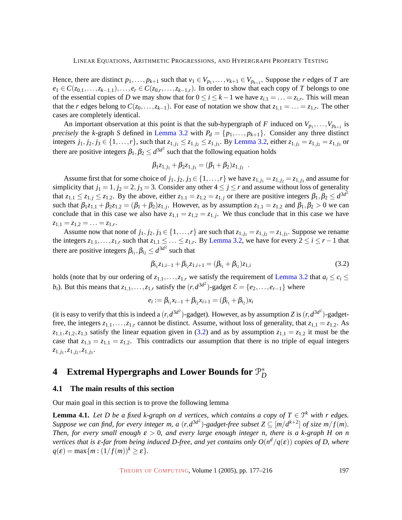Hence, there are distinct  $p_1, \ldots, p_{k+1}$  such that  $v_1 \in V_{p_1}, \ldots, v_{k+1} \in V_{p_{k+1}}$ . Suppose the *r* edges of *T* are  $e_1 \in C(z_{0,1}, \ldots, z_{k-1,1}), \ldots, e_r \in C(z_{0,r}, \ldots, z_{k-1,r}).$  In order to show that each copy of *T* belongs to one of the essential copies of *D* we may show that for  $0 \le i \le k-1$  we have  $z_{i,1} = \ldots = z_{i,r}$ . This will mean that the *r* edges belong to  $C(z_0, \ldots, z_{k-1})$ . For ease of notation we show that  $z_{1,1} = \ldots = z_{1,r}$ . The other cases are completely identical.

An important observation at this point is that the sub-hypergraph of *F* induced on  $V_{p_1}, \ldots, V_{p_{k+1}}$  is *precisely* the *k*-graph *S* defined in [Lemma 3.2](#page-15-1) with  $P_d = \{p_1, \ldots, p_{k+1}\}$ . Consider any three distinct integers  $j_1, j_2, j_3 \in \{1, ..., r\}$ , such that  $z_{1,j_1} \le z_{1,j_2} \le z_{1,j_3}$ . By [Lemma 3.2,](#page-15-1) either  $z_{1,j_1} = z_{1,j_2} = z_{1,j_3}$  or there are positive integers  $\beta_1, \beta_2 \leq d^{3d^2}$  such that the following equation holds

$$
\beta_1 z_{1,j_1} + \beta_2 z_{1,j_3} = (\beta_1 + \beta_2) z_{1,j_2} .
$$

Assume first that for some choice of  $j_1, j_2, j_3 \in \{1, \ldots, r\}$  we have  $z_{1,j_1} = z_{1,j_2} = z_{1,j_3}$  and assume for simplicity that  $j_1 = 1$ ,  $j_2 = 2$ ,  $j_3 = 3$ . Consider any other  $4 \le j \le r$  and assume without loss of generality that  $z_{1,1} \leq z_{1,j} \leq z_{1,2}$ . By the above, either  $z_{1,1} = z_{1,2} = z_{1,j}$  or there are positive integers  $\beta_1, \beta_2 \leq d^{3d^2}$ such that  $\beta_1 z_{1,1} + \beta_2 z_{1,2} = (\beta_1 + \beta_2) z_{1,j}$ . However, as by assumption  $z_{1,1} = z_{1,2}$  and  $\beta_1, \beta_2 > 0$  we can conclude that in this case we also have  $z_{1,1} = z_{1,2} = z_{1,j}$ . We thus conclude that in this case we have  $z_{1,1} = z_{1,2} = \ldots = z_{1,r}.$ 

Assume now that none of  $j_1, j_2, j_3 \in \{1, \ldots, r\}$  are such that  $z_{1,j_1} = z_{1,j_2} = z_{1,j_3}$ . Suppose we rename the integers  $z_{1,1},...,z_{1,r}$  such that  $z_{1,1} \leq ... \leq z_{1,r}$ . By [Lemma 3.2,](#page-15-1) we have for every  $2 \leq i \leq r-1$  that there are positive integers  $\beta_{i_1}, \beta_{i_2} \leq d^{3d^2}$  such that

<span id="page-20-1"></span>
$$
\beta_{i_1}z_{1,i-1} + \beta_{i_2}z_{1,i+1} = (\beta_{i_1} + \beta_{i_2})z_{1,i}
$$
\n(3.2)

holds (note that by our ordering of  $z_{1,1},\ldots,z_{1,r}$  we satisfy the requirement of [Lemma 3.2](#page-15-1) that  $a_i \leq c_i \leq$ *b*<sup>*i*</sup>). But this means that  $z_{1,1},...,z_{1,r}$  satisfy the  $(r, d^{3d^2})$ -gadget  $\mathcal{E} = \{e_2,...,e_{r-1}\}$  where

$$
e_i := \beta_{i_1} x_{i-1} + \beta_{i_2} x_{i+1} = (\beta_{i_1} + \beta_{i_2}) x_i
$$

(it is easy to verify that this is indeed a  $(r, d^{3d^2})$ -gadget). However, as by assumption *Z* is  $(r, d^{3d^2})$ -gadgetfree, the integers  $z_{1,1},...,z_{1,r}$  cannot be distinct. Assume, without loss of generality, that  $z_{1,1} = z_{1,2}$ . As  $z_{1,1}, z_{1,2}, z_{1,3}$  satisfy the linear equation given in [\(3.2\)](#page-20-1) and as by assumption  $z_{1,1} = z_{1,2}$  it must be the case that  $z_{1,3} = z_{1,1} = z_{1,2}$ . This contradicts our assumption that there is no triple of equal integers  $z_{1,j_1}, z_{1,j_2}, z_{1,j_3}.$ 

#### <span id="page-20-0"></span>**4 Extremal Hypergraphs and Lower Bounds for** P ∗ *D*

## **4.1 The main results of this section**

Our main goal in this section is to prove the following lemma

<span id="page-20-2"></span>**Lemma 4.1.** Let D be a fixed k-graph on d vertices, which contains a copy of  $T \in \mathcal{T}^k$  with r edges. Suppose we can find, for every integer m, a  $(r, d^{3d^2})$ -gadget-free subset  $Z \subseteq [m/d^{k+2}]$  of size  $m/f(m)$ . *Then, for every small enough*  $\varepsilon > 0$ , and every large enough integer n, there is a k-graph H on n *vertices that is* ε*-far from being induced D-free, and yet contains only O*(*n <sup>d</sup>*/*q*(ε)) *copies of D, where*  $q(\varepsilon) = \max\{m : (1/f(m))^k \geq \varepsilon\}.$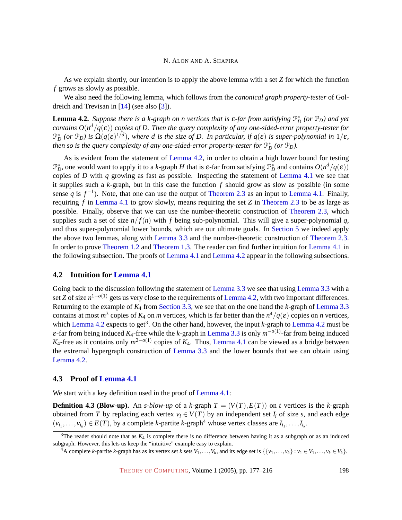As we explain shortly, our intention is to apply the above lemma with a set *Z* for which the function *f* grows as slowly as possible.

We also need the following lemma, which follows from the *canonical graph property-tester* of Goldreich and Trevisan in [\[14\]](#page-37-12) (see also [\[3\]](#page-36-0)).

<span id="page-21-0"></span>**Lemma 4.2.** *Suppose there is a k-graph on n vertices that is*  $\varepsilon$ *-far from satisfying*  $\mathbb{P}_D^*$  (or  $\mathbb{P}_D$ ) and yet *contains O*(*n <sup>d</sup>*/*q*(ε)) *copies of D. Then the query complexity of any one-sided-error property-tester for*  $\mathcal{P}_D^*$  (or  $\mathcal{P}_D$ ) is  $\Omega(q(\varepsilon)^{1/d})$ , where d is the size of D. In particular, if  $q(\varepsilon)$  is super-polynomial in  $1/\varepsilon$ , *then so is the query complexity of any one-sided-error property-tester for*  $\mathbb{P}_D^*$  (or  $\mathbb{P}_D$ ).

As is evident from the statement of [Lemma 4.2,](#page-21-0) in order to obtain a high lower bound for testing  $\mathcal{P}_D^*$ , one would want to apply it to a *k*-graph *H* that is ε-far from satisfying  $\mathcal{P}_D^*$  and contains  $O(n^d/q(\epsilon))$ copies of *D* with *q* growing as fast as possible. Inspecting the statement of [Lemma 4.1](#page-20-2) we see that it supplies such a *k*-graph, but in this case the function *f* should grow as slow as possible (in some sense *q* is  $f^{-1}$ ). Note, that one can use the output of [Theorem 2.3](#page-6-1) as an input to [Lemma 4.1.](#page-20-2) Finally, requiring *f* in [Lemma 4.1](#page-20-2) to grow slowly, means requiring the set *Z* in [Theorem 2.3](#page-6-1) to be as large as possible. Finally, observe that we can use the number-theoretic construction of [Theorem 2.3,](#page-6-1) which supplies such a set of size  $n/f(n)$  with f being sub-polynomial. This will give a super-polynomial q, and thus super-polynomial lower bounds, which are our ultimate goals. In Section [5](#page-24-0) [we indeed apply](#page-24-0) the above two lemmas, along with [Lemma 3.3](#page-16-0) and the number-theoretic construction of [Theorem 2.3.](#page-6-1) In order to prove [Theorem 1.2](#page-3-0) and [Theorem 1.3.](#page-3-1) The reader can find further intuition for [Lemma 4.1](#page-20-2) in the following subsection. The proofs of [Lemma 4.1](#page-20-2) and [Lemma 4.2](#page-21-0) appear in the following subsections.

## **4.2 Intuition for [Lemma 4.1](#page-20-2)**

Going back to the discussion following the statement of [Lemma 3.3](#page-16-0) we see that using [Lemma 3.3](#page-16-0) with a set *Z* of size *n*<sup>1−*o*(1)</sup> gets us very close to the requirements of [Lemma 4.2,](#page-21-0) with two important differences. Returning to the example of *K*<sup>4</sup> from Section [3.3, we see that on the one hand the](#page-18-0) *k*-graph of [Lemma 3.3](#page-16-0) contains at most  $m^3$  copies of  $K_4$  on  $m$  vertices, which is far better than the  $n^4/q(\epsilon)$  copies on  $n$  vertices, which [Lemma 4.2](#page-21-0) expects to get<sup>3</sup>. On the other hand, however, the input *k*-graph to Lemma 4.2 must be  $\varepsilon$ -far from being induced  $K_4$ -free while the *k*-graph in [Lemma 3.3](#page-16-0) is only  $m^{-o(1)}$ -far from being induced *K*<sub>4</sub>-free as it contains only  $m^{2-o(1)}$  copies of *K*<sub>4</sub>. Thus, [Lemma 4.1](#page-20-2) can be viewed as a bridge between the extremal hypergraph construction of [Lemma 3.3](#page-16-0) and the lower bounds that we can obtain using [Lemma 4.2.](#page-21-0)

## **4.3 Proof of [Lemma 4.1](#page-20-2)**

We start with a key definition used in the proof of [Lemma 4.1:](#page-20-2)

**Definition 4.3 (Blow-up).** An *s-blow-up* of a *k*-graph  $T = (V(T), E(T))$  on *t* vertices is the *k*-graph obtained from *T* by replacing each vertex  $v_i \in V(T)$  by an independent set  $I_i$  of size *s*, and each edge  $(v_{i_1}, \ldots, v_{i_k}) \in E(T)$ , by a complete *k*-partite *k*-graph<sup>4</sup> whose vertex classes are  $I_{i_1}, \ldots, I_{i_k}$ .

 $3$ The reader should note that as  $K_4$  is complete there is no difference between having it as a subgraph or as an induced subgraph. However, this lets us keep the "intuitive" example easy to explain.

<sup>&</sup>lt;sup>4</sup>A complete *k*-partite *k*-graph has as its vertex set *k* sets  $V_1, \ldots, V_k$ , and its edge set is  $\{\{v_1, \ldots, v_k\} : v_1 \in V_1, \ldots, v_k \in V_k\}$ .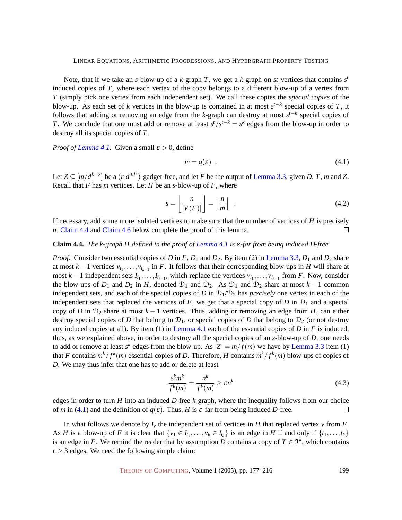Note, that if we take an *s*-blow-up of a *k*-graph *T*, we get a *k*-graph on *st* vertices that contains *s t* induced copies of *T*, where each vertex of the copy belongs to a different blow-up of a vertex from *T* (simply pick one vertex from each independent set). We call these copies the *special copies* of the blow-up. As each set of *k* vertices in the blow-up is contained in at most  $s^{t-k}$  special copies of *T*, it follows that adding or removing an edge from the *k*-graph can destroy at most *s t*−*k* special copies of *T*. We conclude that one must add or remove at least  $s^{t}/s^{t-k} = s^{k}$  edges from the blow-up in order to destroy all its special copies of *T*.

*Proof of [Lemma 4.1.](#page-20-2)* Given a small  $\varepsilon > 0$ , define

<span id="page-22-3"></span><span id="page-22-1"></span>
$$
m = q(\varepsilon) \tag{4.1}
$$

Let  $Z \subseteq [m/d^{k+2}]$  be a  $(r, d^{3d^2})$ -gadget-free, and let *F* be the output of [Lemma 3.3,](#page-16-0) given *D*, *T*, *m* and *Z*. Recall that *F* has *m* vertices. Let *H* be an *s*-blow-up of *F*, where

$$
s = \left\lfloor \frac{n}{|V(F)|} \right\rfloor = \left\lfloor \frac{n}{m} \right\rfloor \tag{4.2}
$$

If necessary, add some more isolated vertices to make sure that the number of vertices of *H* is precisely *n*. [Claim 4.4](#page-22-0) and [Claim 4.6](#page-23-0) below complete the proof of this lemma.  $\Box$ 

## <span id="page-22-0"></span>**Claim 4.4.** *The k-graph H defined in the proof of [Lemma 4.1](#page-20-2) is* ε*-far from being induced D-free.*

*Proof.* Consider two essential copies of *D* in *F*,  $D_1$  and  $D_2$ . By item (2) in [Lemma 3.3,](#page-16-0)  $D_1$  and  $D_2$  share at most  $k-1$  vertices  $v_{i_1}, \ldots, v_{i_{k-1}}$  in *F*. It follows that their corresponding blow-ups in *H* will share at most *k* − 1 independent sets  $I_{i_1},...,I_{i_{k-1}}$ , which replace the vertices  $v_{i_1},...,v_{i_{k-1}}$  from *F*. Now, consider the blow-ups of  $D_1$  and  $D_2$  in *H*, denoted  $D_1$  and  $D_2$ . As  $D_1$  and  $D_2$  share at most  $k-1$  common independent sets, and each of the special copies of *D* in  $\mathcal{D}_1/\mathcal{D}_2$  has *precisely* one vertex in each of the independent sets that replaced the vertices of  $F$ , we get that a special copy of  $D$  in  $\mathcal{D}_1$  and a special copy of *D* in  $D_2$  share at most  $k-1$  vertices. Thus, adding or removing an edge from *H*, can either destroy special copies of *D* that belong to  $\mathcal{D}_1$ , or special copies of *D* that belong to  $\mathcal{D}_2$  (or not destroy any induced copies at all). By item (1) in [Lemma 4.1](#page-20-2) each of the essential copies of *D* in *F* is induced, thus, as we explained above, in order to destroy all the special copies of an *s*-blow-up of *D*, one needs to add or remove at least  $s^k$  edges from the blow-up. As  $|Z| = m/f(m)$  we have by [Lemma 3.3](#page-16-0) item (1) that *F* contains  $m^k/f^k(m)$  essential copies of *D*. Therefore, *H* contains  $m^k/f^k(m)$  blow-ups of copies of *D*. We may thus infer that one has to add or delete at least

$$
\frac{s^k m^k}{f^k(m)} = \frac{n^k}{f^k(m)} \ge \varepsilon n^k \tag{4.3}
$$

edges in order to turn *H* into an induced *D*-free *k*-graph, where the inequality follows from our choice of *m* in [\(4.1\)](#page-22-1) and the definition of  $q(\varepsilon)$ . Thus, *H* is  $\varepsilon$ -far from being induced *D*-free.  $\Box$ 

<span id="page-22-2"></span>In what follows we denote by  $I_v$  the independent set of vertices in *H* that replaced vertex *v* from *F*. As *H* is a blow-up of *F* it is clear that  $\{v_1 \in I_{t_1}, \ldots, v_k \in I_{t_k}\}$  is an edge in *H* if and only if  $\{t_1, \ldots, t_k\}$ is an edge in *F*. We remind the reader that by assumption *D* contains a copy of  $T \in \mathcal{T}^k$ , which contains  $r \geq 3$  edges. We need the following simple claim: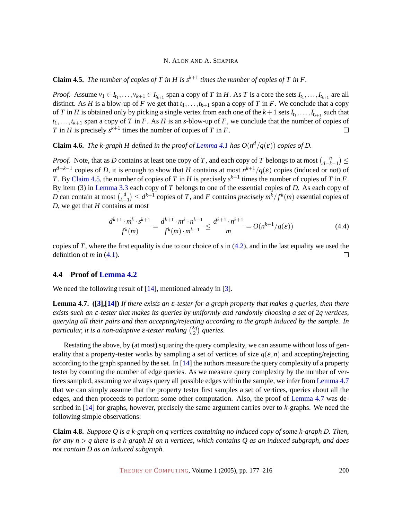**Claim 4.5.** *The number of copies of T in H is*  $s^{k+1}$  *times the number of copies of T in F.* 

*Proof.* Assume  $v_1 \in I_{t_1}, \ldots, v_{k+1} \in I_{t_{k+1}}$  span a copy of T in H. As T is a core the sets  $I_{t_1}, \ldots, I_{t_{k+1}}$  are all distinct. As *H* is a blow-up of *F* we get that  $t_1, \ldots, t_{k+1}$  span a copy of *T* in *F*. We conclude that a copy of *T* in *H* is obtained only by picking a single vertex from each one of the  $k+1$  sets  $I_{t_1}, \ldots, I_{t_{k+1}}$  such that  $t_1, \ldots, t_{k+1}$  span a copy of *T* in *F*. As *H* is an *s*-blow-up of *F*, we conclude that the number of copies of *T* in *H* is precisely  $s^{k+1}$  times the number of copies of *T* in *F*.  $\Box$ 

<span id="page-23-0"></span>**Claim 4.6.** *The k-graph H defined in the proof of [Lemma 4.1](#page-20-2) has*  $O(n^d/q(\varepsilon))$  *copies of D.* 

*Proof.* Note, that as *D* contains at least one copy of *T*, and each copy of *T* belongs to at most  $\binom{n}{d-k}$  $\binom{n}{d-k-1}$ *n*<sup>*d*−*k*−1</sup> copies of *D*, it is enough to show that *H* contains at most  $n^{k+1}/q(\varepsilon)$  copies (induced or not) of *T*. By [Claim 4.5,](#page-22-2) the number of copies of *T* in *H* is precisely  $s^{k+1}$  times the number of copies of *T* in *F*. By item (3) in [Lemma 3.3](#page-16-0) each copy of *T* belongs to one of the essential copies of *D*. As each copy of *D* can contain at most  $\begin{pmatrix} d \\ k+1 \end{pmatrix}$  $\binom{d}{k+1} \leq d^{k+1}$  copies of *T*, and *F* contains *precisely*  $m^k/f^k(m)$  essential copies of *D*, we get that *H* contains at most

$$
\frac{d^{k+1} \cdot m^k \cdot s^{k+1}}{f^k(m)} = \frac{d^{k+1} \cdot m^k \cdot n^{k+1}}{f^k(m) \cdot m^{k+1}} \le \frac{d^{k+1} \cdot n^{k+1}}{m} = O(n^{k+1}/q(\varepsilon))
$$
(4.4)

copies of *T*, where the first equality is due to our choice of *s* in [\(4.2\)](#page-22-3), and in the last equality we used the definition of  $m$  in  $(4.1)$ .  $\Box$ 

## <span id="page-23-3"></span>**4.4 Proof of [Lemma 4.2](#page-21-0)**

<span id="page-23-1"></span>We need the following result of [\[14\]](#page-37-12), mentioned already in [\[3\]](#page-36-0).

**Lemma 4.7. ([\[3\]](#page-36-0),[\[14\]](#page-37-12))** *If there exists an* ε*-tester for a graph property that makes q queries, then there exists such an* ε*-tester that makes its queries by uniformly and randomly choosing a set of* 2*q vertices, querying all their pairs and then accepting/rejecting according to the graph induced by the sample. In particular, it is a non-adaptive* ε*-tester making* 2*q*  $\binom{2q}{2}$  queries.

Restating the above, by (at most) squaring the query complexity, we can assume without loss of generality that a property-tester works by sampling a set of vertices of size  $q(\varepsilon,n)$  and accepting/rejecting according to the graph spanned by the set. In [\[14\]](#page-37-12) the authors measure the query complexity of a property tester by counting the number of edge queries. As we measure query complexity by the number of vertices sampled, assuming we always query all possible edges within the sample, we infer from [Lemma 4.7](#page-23-1) that we can simply assume that the property tester first samples a set of vertices, queries about all the edges, and then proceeds to perform some other computation. Also, the proof of [Lemma 4.7](#page-23-1) was described in [\[14\]](#page-37-12) for graphs, however, precisely the same argument carries over to *k*-graphs. We need the following simple observations:

<span id="page-23-2"></span>**Claim 4.8.** *Suppose Q is a k-graph on q vertices containing no induced copy of some k-graph D. Then, for any n* > *q there is a k-graph H on n vertices, which contains Q as an induced subgraph, and does not contain D as an induced subgraph.*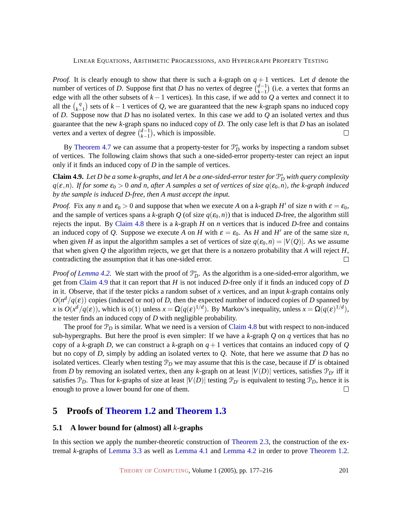*Proof.* It is clearly enough to show that there is such a *k*-graph on  $q + 1$  vertices. Let *d* denote the number of vertices of *D*. Suppose first that *D* has no vertex of degree  $\binom{d-1}{k-1}$  $\binom{d-1}{k-1}$  (i.e. a vertex that forms an edge with all the other subsets of  $k - 1$  vertices). In this case, if we add to  $Q$  a vertex and connect it to all the  $\binom{q}{k}$ *k*<sup>-4</sup><sub>*k*−1</sub></sub> sets of *k*−1 vertices of *Q*, we are guaranteed that the new *k*-graph spans no induced copy of *D*. Suppose now that *D* has no isolated vertex. In this case we add to *Q* an isolated vertex and thus guarantee that the new *k*-graph spans no induced copy of *D*. The only case left is that *D* has an isolated vertex and a vertex of degree  $\binom{d-1}{k-1}$  $\binom{d-1}{k-1}$ , which is impossible.  $\Box$ 

By [Theorem 4.7](#page-23-1) we can assume that a property-tester for  $\mathcal{P}_D^*$  works by inspecting a random subset of vertices. The following claim shows that such a one-sided-error property-tester can reject an input only if it finds an induced copy of *D* in the sample of vertices.

<span id="page-24-1"></span>**Claim 4.9.** Let D be a some k-graphs, and let A be a one-sided-error tester for  $\mathbb{P}_D^*$  with query complexity  $q(\varepsilon,n)$ *. If for some*  $\varepsilon_0 > 0$  *and n, after A samples a set of vertices of size*  $q(\varepsilon_0,n)$ *, the k-graph induced by the sample is induced D-free, then A must accept the input.*

*Proof.* Fix any *n* and  $\varepsilon_0 > 0$  and suppose that when we execute *A* on a *k*-graph *H'* of size *n* with  $\varepsilon = \varepsilon_0$ , and the sample of vertices spans a *k*-graph *Q* (of size  $q(\epsilon_0, n)$ ) that is induced *D*-free, the algorithm still rejects the input. By [Claim 4.8](#page-23-2) there is a *k*-graph *H* on *n* vertices that is induced *D*-free and contains an induced copy of *Q*. Suppose we execute *A* on *H* with  $\varepsilon = \varepsilon_0$ . As *H* and *H'* are of the same size *n*, when given *H* as input the algorithm samples a set of vertices of size  $q(\epsilon_0, n) = |V(Q)|$ . As we assume that when given  $O$  the algorithm rejects, we get that there is a nonzero probability that  $A$  will reject  $H$ , contradicting the assumption that it has one-sided error.  $\Box$ 

*Proof of [Lemma 4.2.](#page-21-0)* We start with the proof of  $\mathcal{P}_D^*$ . As the algorithm is a one-sided-error algorithm, we get from [Claim 4.9](#page-24-1) that it can report that *H* is not induced *D*-free only if it finds an induced copy of *D* in it. Observe, that if the tester picks a random subset of *x* vertices, and an input *k*-graph contains only  $O(n^d/q(\varepsilon))$  copies (induced or not) of *D*, then the expected number of induced copies of *D* spanned by *x* is  $O(x^d/q(\varepsilon))$ , which is  $o(1)$  unless  $x = \Omega(q(\varepsilon)^{1/d})$ . By Markov's inequality, unless  $x = \Omega(q(\varepsilon)^{1/d})$ , the tester finds an induced copy of *D* with negligible probability.

The proof for  $\mathcal{P}_D$  is similar. What we need is a version of [Claim 4.8](#page-23-2) but with respect to non-induced sub-hypergraphs. But here the proof is even simpler: If we have a *k*-graph *Q* on *q* vertices that has no copy of a *k*-graph *D*, we can construct a *k*-graph on  $q + 1$  vertices that contains an induced copy of *Q* but no copy of *D*, simply by adding an isolated vertex to *Q*. Note, that here we assume that *D* has no isolated vertices. Clearly when testing  $\mathcal{P}_D$  we may assume that this is the case, because if  $D'$  is obtained from *D* by removing an isolated vertex, then any *k*-graph on at least  $|V(D)|$  vertices, satisfies  $\mathcal{P}_{D'}$  iff it satisfies  $\mathcal{P}_D$ . Thus for *k*-graphs of size at least  $|V(D)|$  testing  $\mathcal{P}_{D'}$  is equivalent to testing  $\mathcal{P}_D$ , hence it is enough to prove a lower bound for one of them.  $\Box$ 

# <span id="page-24-0"></span>**5 Proofs of [Theorem 1.2](#page-3-0) and [Theorem 1.3](#page-3-1)**

## **5.1 A lower bound for (almost) all** *k***-graphs**

In this section we apply the number-theoretic construction of [Theorem 2.3,](#page-6-1) the construction of the extremal *k*-graphs of [Lemma 3.3](#page-16-0) as well as [Lemma 4.1](#page-20-2) and [Lemma 4.2](#page-21-0) in order to prove [Theorem 1.2.](#page-3-0)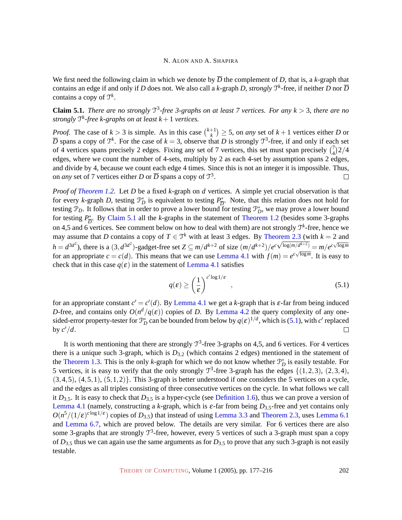We first need the following claim in which we denote by  $\overline{D}$  the complement of *D*, that is, a *k*-graph that contains an edge if and only if *D* does not. We also call a *k*-graph *D*, *strongly*  $\mathcal{T}^k$ -free, if neither *D* nor  $\overline{D}$ contains a copy of T *k* .

<span id="page-25-0"></span>**Claim 5.1.** *There are no strongly*  $T^3$ -free 3-graphs on at least 7 vertices. For any  $k > 3$ , there are no *strongly* T *k -free k-graphs on at least k* +1 *vertices.*

*Proof.* The case of  $k > 3$  is simple. As in this case  $\binom{k+1}{k}$  $\binom{+1}{k} \geq 5$ , on *any* set of  $k+1$  vertices either *D* or  $\overline{D}$  spans a copy of  $\mathcal{T}^k$ . For the case of  $k = 3$ , observe that *D* is strongly  $\mathcal{T}^3$ -free, if and only if each set of 4 vertices spans precisely 2 edges. Fixing any set of 7 vertices, this set must span precisely  $\binom{7}{4}$  $\binom{7}{4}$ 2/4 edges, where we count the number of 4-sets, multiply by 2 as each 4-set by assumption spans 2 edges, and divide by 4, because we count each edge 4 times. Since this is not an integer it is impossible. Thus, on *any* set of 7 vertices either *D* or  $\overline{D}$  spans a copy of  $\mathcal{T}^3$ .  $\Box$ 

*Proof of [Theorem 1.2.](#page-3-0)* Let *D* be a fixed *k*-graph on *d* vertices. A simple yet crucial observation is that for every *k*-graph *D*, testing  $\mathcal{P}_D^*$  is equivalent to testing  $P_D^*$  $\frac{\partial}{\partial D}$ . Note, that this relation does not hold for testing  $\mathcal{P}_D$ . It follows that in order to prove a lower bound for testing  $\mathcal{P}_D^*$ , we may prove a lower bound for testing  $P_{\overline{D}}^*$  $\n *D*$ . By [Claim 5.1](#page-25-0) all the *k*-graphs in the statement of [Theorem 1.2](#page-3-0) (besides some 3-graphs on 4,5 and 6 vertices. See comment below on how to deal with them) are not strongly T *k* -free, hence we may assume that *D* contains a copy of  $T \in \mathcal{T}^k$  with at least 3 edges. By [Theorem 2.3](#page-6-1) (with  $k = 2$  and  $h = d^{3d^2}$ ), there is a  $(3, d^{3d^2})$ -gadget-free set  $Z \subseteq m/d^{k+2}$  of size  $\left(\frac{m}{d^{k+2}}\right)$   $e^{c\sqrt{\log(m/d^{k+2})}} = m/e^{c\sqrt{\log m}}$ for an appropriate  $c = c(d)$ . This means that we can use [Lemma 4.1](#page-20-2) with  $f(m) = e^{c\sqrt{\log m}}$ . It is easy to check that in this case  $q(\varepsilon)$  in the statement of [Lemma 4.1](#page-20-2) satisfies

<span id="page-25-1"></span>
$$
q(\varepsilon) \ge \left(\frac{1}{\varepsilon}\right)^{c' \log 1/\varepsilon} , \qquad (5.1)
$$

for an appropriate constant  $c' = c'(d)$ . By [Lemma 4.1](#page-20-2) we get a *k*-graph that is  $\varepsilon$ -far from being induced *D*-free, and contains only  $O(n^d/q(\varepsilon))$  copies of *D*. By [Lemma 4.2](#page-21-0) the query complexity of any onesided-error property-tester for  $\mathcal{P}_D^*$  can be bounded from below by  $q(\varepsilon)^{1/d}$ , which is [\(5.1\)](#page-25-1), with *c*' replaced by  $c'/d$ .  $\Box$ 

It is worth mentioning that there are strongly  $\mathcal{T}^3$ -free 3-graphs on 4,5, and 6 vertices. For 4 vertices there is a unique such 3-graph, which is *D*3,<sup>2</sup> (which contains 2 edges) mentioned in the statement of the [Theorem 1.3.](#page-3-1) This is the only *k*-graph for which we do not know whether  $\mathcal{P}_D^*$  is easily testable. For 5 vertices, it is easy to verify that the only strongly  $\mathcal{T}^3$ -free 3-graph has the edges {(1,2,3), (2,3,4),  $(3,4,5)$ ,  $(4,5,1)$ ,  $(5,1,2)$ . This 3-graph is better understood if one considers the 5 vertices on a cycle, and the edges as all triples consisting of three consecutive vertices on the cycle. In what follows we call it  $D_{3,5}$ . It is easy to check that  $D_{3,5}$  is a hyper-cycle (see [Definition 1.6\)](#page-4-2), thus we can prove a version of [Lemma 4.1](#page-20-2) (namely, constructing a *k*-graph, which is  $\varepsilon$ -far from being  $D_{3,5}$ -free and yet contains only  $O(n^5/(1/\epsilon)^{c \log 1/\epsilon})$  copies of *D*<sub>3,5</sub>) that instead of using [Lemma 3.3](#page-16-0) and [Theorem 2.3,](#page-6-1) uses [Lemma 6.1](#page-27-0) and [Lemma 6.7,](#page-32-0) which are proved below. The details are very similar. For 6 vertices there are also some 3-graphs that are strongly  $T^3$ -free, however, every 5 vertices of such a 3-graph must span a copy of  $D_{3,5}$  thus we can again use the same arguments as for  $D_{3,5}$  to prove that any such 3-graph is not easily testable.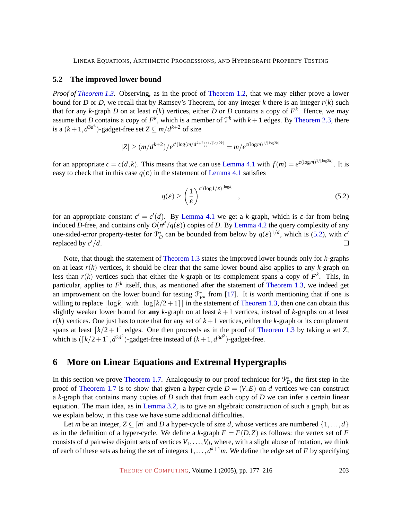## <span id="page-26-0"></span>**5.2 The improved lower bound**

*Proof of [Theorem 1.3.](#page-3-1)* Observing, as in the proof of [Theorem 1.2,](#page-3-0) that we may either prove a lower bound for *D* or  $\overline{D}$ , we recall that by Ramsey's Theorem, for any integer *k* there is an integer  $r(k)$  such that for any *k*-graph *D* on at least  $r(k)$  vertices, either *D* or  $\overline{D}$  contains a copy of  $F^k$ . Hence, we may assume that *D* contains a copy of  $F^k$ , which is a member of  $\mathcal{T}^k$  with  $k+1$  edges. By [Theorem 2.3,](#page-6-1) there is a  $(k+1, d^{3d^3})$ -gadget-free set  $Z \subseteq m/d^{k+2}$  of size

$$
|Z| \ge (m/d^{k+2})/e^{c'(\log(m/d^{k+2}))^{1/\lfloor \log 2k \rfloor}} = m/e^{c(\log m)^{1/\lfloor \log 2k \rfloor}}
$$

for an appropriate  $c = c(d, k)$ . This means that we can use [Lemma 4.1](#page-20-2) with  $f(m) = e^{c(\log m)^{1/[\log 2k]}}$ . It is easy to check that in this case  $q(\varepsilon)$  in the statement of [Lemma 4.1](#page-20-2) satisfies

<span id="page-26-2"></span>
$$
q(\varepsilon) \ge \left(\frac{1}{\varepsilon}\right)^{c'(\log 1/\varepsilon)^{\lfloor \log k \rfloor}}, \qquad (5.2)
$$

for an appropriate constant  $c' = c'(d)$ . By [Lemma 4.1](#page-20-2) we get a *k*-graph, which is  $\varepsilon$ -far from being induced *D*-free, and contains only  $O(n^d/q(\varepsilon))$  copies of *D*. By [Lemma 4.2](#page-21-0) the query complexity of any one-sided-error property-tester for  $\mathcal{P}_D^*$  can be bounded from below by  $q(\varepsilon)^{1/d}$ , which is [\(5.2\)](#page-26-2), with *c*<sup>'</sup> replaced by  $c'/d$ .

Note, that though the statement of [Theorem 1.3](#page-3-1) states the improved lower bounds only for *k*-graphs on at least  $r(k)$  vertices, it should be clear that the same lower bound also applies to any  $k$ -graph on less than  $r(k)$  vertices such that either the *k*-graph or its complement spans a copy of  $F<sup>k</sup>$ . This, in particular, applies to  $F<sup>k</sup>$  itself, thus, as mentioned after the statement of [Theorem 1.3,](#page-3-1) we indeed get an improvement on the lower bound for testing  $\mathcal{P}_{F^k}^*$  from [\[17\]](#page-37-4). It is worth mentioning that if one is willing to replace  $\lfloor \log k \rfloor$  with  $\lfloor \log \lfloor k/2+1 \rfloor \rfloor$  in the statement of [Theorem 1.3,](#page-3-1) then one can obtain this slightly weaker lower bound for **any**  $k$ -graph on at least  $k + 1$  vertices, instead of  $k$ -graphs on at least  $r(k)$  vertices. One just has to note that for any set of  $k+1$  vertices, either the *k*-graph or its complement spans at least  $\lceil k/2 + 1 \rceil$  edges. One then proceeds as in the proof of [Theorem 1.3](#page-3-1) by taking a set *Z*, which is  $([k/2+1], d^{3d^2})$ -gadget-free instead of  $(k+1, d^{3d^2})$ -gadget-free.

# <span id="page-26-1"></span>**6 More on Linear Equations and Extremal Hypergraphs**

In this section we prove [Theorem 1.7.](#page-4-0) Analogously to our proof technique for  $\mathcal{P}_D^*$ , the first step in the proof of [Theorem 1.7](#page-4-0) is to show that given a hyper-cycle  $D = (V, E)$  on *d* vertices we can construct a *k*-graph that contains many copies of *D* such that from each copy of *D* we can infer a certain linear equation. The main idea, as in [Lemma 3.2,](#page-15-1) is to give an algebraic construction of such a graph, but as we explain below, in this case we have some additional difficulties.

Let *m* be an integer,  $Z \subseteq [m]$  and *D* a hyper-cycle of size *d*, whose vertices are numbered  $\{1, \ldots, d\}$ as in the definition of a hyper-cycle. We define a  $k$ -graph  $F = F(D, Z)$  as follows: the vertex set of  $F$ consists of *d* pairwise disjoint sets of vertices  $V_1, \ldots, V_d$ , where, with a slight abuse of notation, we think of each of these sets as being the set of integers  $1, \ldots, d^{k+1}m$ . We define the edge set of *F* by specifying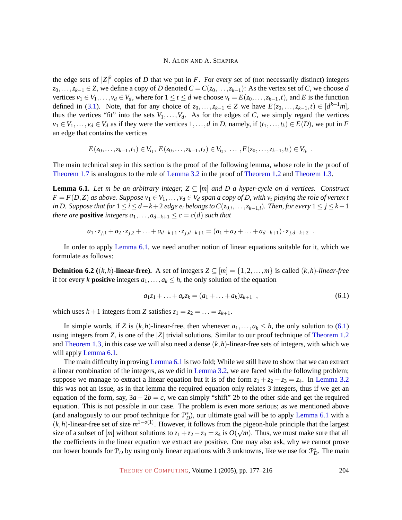the edge sets of  $|Z|^k$  copies of *D* that we put in *F*. For every set of (not necessarily distinct) integers *z*<sub>0</sub>,...,*z*<sub>*k*−1</sub> ∈ *Z*, we define a copy of *D* denoted  $C = C(z_0, ..., z_{k-1})$ : As the vertex set of *C*, we choose *d* vertices  $v_1 \in V_1, \ldots, v_d \in V_d$ , where for  $1 \le t \le d$  we choose  $v_t = E(z_0, \ldots, z_{k-1}, t)$ , and *E* is the function defined in [\(3.1\)](#page-15-2). Note, that for any choice of  $z_0, \ldots, z_{k-1} \in Z$  we have  $E(z_0, \ldots, z_{k-1}, t) \in [d^{k+1}m]$ , thus the vertices "fit" into the sets  $V_1, \ldots, V_d$ . As for the edges of *C*, we simply regard the vertices  $v_1 \in V_1, \ldots, v_d \in V_d$  as if they were the vertices  $1, \ldots, d$  in *D*, namely, if  $(t_1, \ldots, t_k) \in E(D)$ , we put in *F* an edge that contains the vertices

$$
E(z_0,\ldots,z_{k-1},t_1) \in V_{t_1}, E(z_0,\ldots,z_{k-1},t_2) \in V_{t_2}, \ldots, E(z_0,\ldots,z_{k-1},t_k) \in V_{t_k}.
$$

The main technical step in this section is the proof of the following lemma, whose role in the proof of [Theorem 1.7](#page-4-0) is analogous to the role of [Lemma 3.2](#page-15-1) in the proof of [Theorem 1.2](#page-3-0) and [Theorem 1.3.](#page-3-1)

<span id="page-27-0"></span>**Lemma 6.1.** *Let m be an arbitrary integer,*  $Z \subseteq [m]$  *and D a hyper-cycle on d vertices. Construct*  $F = F(D,Z)$  *as above. Suppose*  $v_1 \in V_1, \ldots, v_d \in V_d$  *span a copy of D, with*  $v_t$  *playing the role of vertex t in D. Suppose that for*  $1$  ≤ *i* ≤ *d* − *k* + 2 *edge e<sub>i</sub> belongs to*  $C(z_{0,i},\ldots,z_{k-1,i})$ *. Then, for every* 1 ≤ *j* ≤ *k* − 1 *there are* **positive** *integers*  $a_1, \ldots, a_{d-k+1} \leq c = c(d)$  *such that* 

$$
a_1 \cdot z_{j,1} + a_2 \cdot z_{j,2} + \ldots + a_{d-k+1} \cdot z_{j,d-k+1} = (a_1 + a_2 + \ldots + a_{d-k+1}) \cdot z_{j,d-k+2} .
$$

In order to apply [Lemma 6.1,](#page-27-0) we need another notion of linear equations suitable for it, which we formulate as follows:

**Definition 6.2** ((*k*,*h*)**-linear-free).** A set of integers  $Z \subseteq [m] = \{1, 2, ..., m\}$  is called (*k*,*h*)*-linear-free* if for every *k* **positive** integers  $a_1, \ldots, a_k \leq h$ , the only solution of the equation

<span id="page-27-1"></span>
$$
a_1z_1 + \ldots + a_kz_k = (a_1 + \ldots + a_k)z_{k+1} \quad , \tag{6.1}
$$

which uses  $k+1$  integers from *Z* satisfies  $z_1 = z_2 = \ldots = z_{k+1}$ .

In simple words, if *Z* is  $(k, h)$ -linear-free, then whenever  $a_1, \ldots, a_k \leq h$ , the only solution to [\(6.1\)](#page-27-1) using integers from *Z*, is one of the |*Z*| trivial solutions. Similar to our proof technique of [Theorem 1.2](#page-3-0) and [Theorem 1.3,](#page-3-1) in this case we will also need a dense (*k*,*h*)-linear-free sets of integers, with which we will apply [Lemma 6.1.](#page-27-0)

The main difficulty in proving [Lemma 6.1](#page-27-0) is two fold; While we still have to show that we can extract a linear combination of the integers, as we did in [Lemma 3.2,](#page-15-1) we are faced with the following problem; suppose we manage to extract a linear equation but it is of the form  $z_1 + z_2 - z_3 = z_4$ . In [Lemma 3.2](#page-15-1) this was not an issue, as in that lemma the required equation only relates 3 integers, thus if we get an equation of the form, say,  $3a-2b = c$ , we can simply "shift" 2*b* to the other side and get the required equation. This is not possible in our case. The problem is even more serious; as we mentioned above (and analogously to our proof technique for  $\mathcal{P}_D^*$ ), our ultimate goal will be to apply [Lemma 6.1](#page-27-0) with a  $(k, h)$ -linear-free set of size  $m^{1-o(1)}$ . However, it follows from the pigeon-hole principle that the largest size of a subset of  $[m]$  without solutions to  $z_1 + z_2 - z_3 = z_4$  is  $O(\sqrt{m})$ . Thus, we must make sure that all the coefficients in the linear equation we extract are positive. One may also ask, why we cannot prove our lower bounds for  $\mathcal{P}_D$  by using only linear equations with 3 unknowns, like we use for  $\mathcal{P}_D^*$ . The main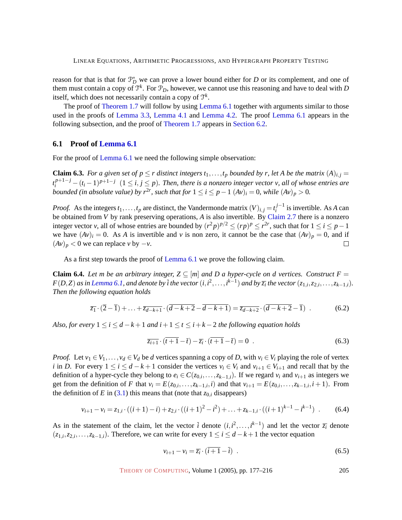reason for that is that for  $\mathcal{P}_D^*$  we can prove a lower bound either for *D* or its complement, and one of them must contain a copy of  $\mathfrak{T}^k$ . For  $\mathfrak{P}_D$ , however, we cannot use this reasoning and have to deal with  $D$ itself, which does not necessarily contain a copy of T *k* .

The proof of [Theorem 1.7](#page-4-0) will follow by using [Lemma 6.1](#page-27-0) together with arguments similar to those used in the proofs of [Lemma 3.3,](#page-16-0) [Lemma 4.1](#page-20-2) and [Lemma 4.2.](#page-21-0) The proof [Lemma 6.1](#page-27-0) appears in the following subsection, and the proof of [Theorem 1.7](#page-4-0) appears in [Section](#page-31-0) [6.2.](#page-31-0)

## **6.1 Proof of [Lemma 6.1](#page-27-0)**

<span id="page-28-4"></span>For the proof of [Lemma 6.1](#page-27-0) we need the following simple observation:

**Claim 6.3.** *For a given set of*  $p \le r$  *distinct integers*  $t_1, \ldots, t_p$  *bounded by r, let A be the matrix*  $(A)_{i,j} =$  $t_i^{p+1-j} - (t_i-1)^{p+1-j}$   $(1 \le i, j \le p)$ . Then, there is a nonzero integer vector v, all of whose entries are *bounded (in absolute value) by*  $r^{2r}$ *, such that for*  $1 \le i \le p-1$   $(Av)_i = 0$ *, while*  $(Av)_p > 0$ *.* 

*Proof.* As the integers  $t_1, \ldots, t_p$  are distinct, the Vandermonde matrix  $(V)_{i,j} = t_i^{j-1}$  $i^{J-1}$  is invertible. As *A* can be obtained from *V* by rank preserving operations, *A* is also invertible. By [Claim 2.7](#page-7-0) there is a nonzero integer vector *v*, all of whose entries are bounded by  $(r^2p)^{p/2} \le (rp)^p \le r^{2r}$ , such that for  $1 \le i \le p-1$ we have  $(Av)_i = 0$ . As *A* is invertible and *v* is non zero, it cannot be the case that  $(Av)_p = 0$ , and if  $(Av)_p < 0$  we can replace *v* by  $-v$ . П

As a first step towards the proof of [Lemma 6.1](#page-27-0) we prove the following claim.

**Claim 6.4.** *Let m be an arbitrary integer,*  $Z \subseteq [m]$  *and D a hyper-cycle on d vertices. Construct*  $F =$  $F(D,Z)$  as in [Lemma 6.1,](#page-27-0) and denote by  $\bar{i}$  the vector  $(i,i^2,\ldots,i^{k-1})$  and by  $\overline{z_i}$  the vector  $(z_{1,i},z_{2,i},\ldots,z_{k-1,i}).$ *Then the following equation holds*

$$
\overline{z_1} \cdot (\overline{2} - \overline{1}) + \ldots + \overline{z_{d-k+1}} \cdot (\overline{d-k+2} - \overline{d-k+1}) = \overline{z_{d-k+2}} \cdot (\overline{d-k+2} - \overline{1}) \tag{6.2}
$$

*Also, for every*  $1 \leq i \leq d - k + 1$  *and*  $i + 1 \leq t \leq i + k - 2$  *the following equation holds* 

<span id="page-28-3"></span><span id="page-28-0"></span>
$$
\overline{z_{i+1}} \cdot (\overline{t+1} - \overline{t}) - \overline{z_i} \cdot (\overline{t+1} - \overline{t}) = 0 \tag{6.3}
$$

*Proof.* Let  $v_1 \in V_1, \ldots, v_d \in V_d$  be *d* vertices spanning a copy of *D*, with  $v_i \in V_i$  playing the role of vertex *i* in *D*. For every  $1 \le i \le d - k + 1$  consider the vertices  $v_i \in V_i$  and  $v_{i+1} \in V_{i+1}$  and recall that by the definition of a hyper-cycle they belong to  $e_i \in C(z_{0,i},...,z_{k-1,i})$ . If we regard  $v_i$  and  $v_{i+1}$  as integers we get from the definition of F that  $v_i = E(z_{0,i},...,z_{k-1,i},i)$  and that  $v_{i+1} = E(z_{0,i},...,z_{k-1,i},i+1)$ . From the definition of *E* in [\(3.1\)](#page-15-2) this means that (note that  $z_{0,i}$  disappears)

$$
v_{i+1} - v_i = z_{1,i} \cdot ((i+1)-i) + z_{2,i} \cdot ((i+1)^2 - i^2) + \ldots + z_{k-1,i} \cdot ((i+1)^{k-1} - i^{k-1}) \quad . \tag{6.4}
$$

As in the statement of the claim, let the vector  $\bar{i}$  denote  $(i, i^2, \ldots, i^{k-1})$  and let the vector  $\bar{z}_i$  denote  $(z_{1,i}, z_{2,i}, \ldots, z_{k-1,i})$ . Therefore, we can write for every  $1 \le i \le d-k+1$  the vector equation

<span id="page-28-2"></span><span id="page-28-1"></span>
$$
v_{i+1} - v_i = \overline{z_i} \cdot (\overline{i+1} - \overline{i}) \tag{6.5}
$$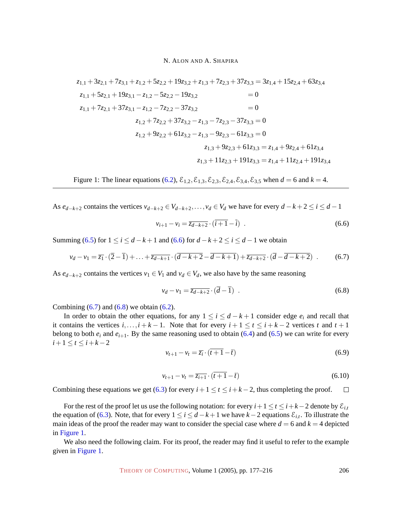$$
z_{1,1} + 3z_{2,1} + 7z_{3,1} + z_{1,2} + 5z_{2,2} + 19z_{3,2} + z_{1,3} + 7z_{2,3} + 37z_{3,3} = 3z_{1,4} + 15z_{2,4} + 63z_{3,4}
$$
  
\n
$$
z_{1,1} + 5z_{2,1} + 19z_{3,1} - z_{1,2} - 5z_{2,2} - 19z_{3,2} = 0
$$
  
\n
$$
z_{1,1} + 7z_{2,1} + 37z_{3,1} - z_{1,2} - 7z_{2,2} - 37z_{3,2} = 0
$$
  
\n
$$
z_{1,2} + 7z_{2,2} + 37z_{3,2} - z_{1,3} - 7z_{2,3} - 37z_{3,3} = 0
$$
  
\n
$$
z_{1,2} + 9z_{2,2} + 61z_{3,2} - z_{1,3} - 9z_{2,3} - 61z_{3,3} = 0
$$
  
\n
$$
z_{1,3} + 9z_{2,3} + 61z_{3,3} = z_{1,4} + 9z_{2,4} + 61z_{3,4}
$$
  
\n
$$
z_{1,3} + 11z_{2,3} + 191z_{3,3} = z_{1,4} + 11z_{2,4} + 191z_{3,4}
$$

<span id="page-29-3"></span>Figure 1: The linear equations [\(6.2\)](#page-28-0),  $\mathcal{E}_{1,2}, \mathcal{E}_{1,3}, \mathcal{E}_{2,3}, \mathcal{E}_{2,4}, \mathcal{E}_{3,4}, \mathcal{E}_{3,5}$  when  $d = 6$  and  $k = 4$ .

As  $e_{d-k+2}$  contains the vertices  $v_{d-k+2} \in V_{d-k+2}, \ldots, v_d \in V_d$  we have for every  $d-k+2 \le i \le d-1$ 

<span id="page-29-1"></span><span id="page-29-0"></span>
$$
v_{i+1} - v_i = \overline{z_{d-k+2}} \cdot (\overline{i+1} - \overline{i}) \tag{6.6}
$$

Summing [\(6.5\)](#page-28-1) for  $1 \le i \le d - k + 1$  and [\(6.6\)](#page-29-0) for  $d - k + 2 \le i \le d - 1$  we obtain

$$
v_d - v_1 = \overline{z_1} \cdot (\overline{2} - \overline{1}) + \ldots + \overline{z_{d-k+1}} \cdot (\overline{d - k + 2} - \overline{d - k + 1}) + \overline{z_{d-k+2}} \cdot (\overline{d} - \overline{d - k + 2}) \tag{6.7}
$$

As  $e_{d-k+2}$  contains the vertices  $v_1 \in V_1$  and  $v_d \in V_d$ , we also have by the same reasoning

<span id="page-29-2"></span>
$$
v_d - v_1 = \overline{z_{d-k+2}} \cdot (\overline{d} - \overline{1}) \tag{6.8}
$$

Combining  $(6.7)$  and  $(6.8)$  we obtain  $(6.2)$ .

In order to obtain the other equations, for any  $1 \leq i \leq d - k + 1$  consider edge  $e_i$  and recall that it contains the vertices  $i, \ldots, i + k - 1$ . Note that for every  $i + 1 \leq t \leq i + k - 2$  vertices  $t$  and  $t + 1$ belong to both  $e_i$  and  $e_{i+1}$ . By the same reasoning used to obtain [\(6.4\)](#page-28-2) and [\(6.5\)](#page-28-1) we can write for every  $i+1 \le t \le i+k-2$ 

$$
v_{t+1} - v_t = \overline{z_i} \cdot (\overline{t+1} - \overline{t}) \tag{6.9}
$$

$$
v_{t+1} - v_t = \overline{z_{t+1}} \cdot (\overline{t+1} - \overline{t}) \tag{6.10}
$$

Combining these equations we get [\(6.3\)](#page-28-3) for every  $i+1 \leq t \leq i+k-2$ , thus completing the proof.  $\Box$ 

For the rest of the proof let us use the following notation: for every  $i+1 \le t \le i+k-2$  denote by  $\mathcal{E}_{i,t}$ the equation of [\(6.3\)](#page-28-3). Note, that for every  $1 \le i \le d - k + 1$  we have  $k - 2$  equations  $\mathcal{E}_{i,t}$ . To illustrate the main ideas of the proof the reader may want to consider the special case where  $d = 6$  and  $k = 4$  depicted in [Figure 1.](#page-29-3)

<span id="page-29-4"></span>We also need the following claim. For its proof, the reader may find it useful to refer to the example given in [Figure 1.](#page-29-3)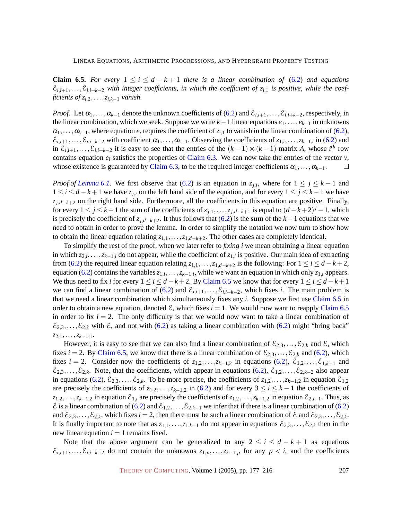**Claim 6.5.** *For every*  $1 \le i \le d - k + 1$  *there is a linear combination of* [\(6.2\)](#page-28-0) *and equations*  $\mathcal{E}_{i,i+1},\ldots,\mathcal{E}_{i,i+k-2}$  with integer coefficients, in which the coefficient of  $z_{i,1}$  is positive, while the coef*ficients of*  $z_{i,2}, \ldots, z_{i,k-1}$  *vanish.* 

*Proof.* Let  $\alpha_1, \ldots, \alpha_{k-1}$  denote the unknown coefficients of [\(6.2\)](#page-28-0) and  $\mathcal{E}_{i,i+1}, \ldots, \mathcal{E}_{i,i+k-2}$ , respectively, in the linear combination, which we seek. Suppose we write *k*−1 linear equations *e*1,...,*ek*−<sup>1</sup> in unknowns  $\alpha_1, \ldots, \alpha_{k-1}$ , where equation  $e_i$  requires the coefficient of  $z_{i,1}$  to vanish in the linear combination of [\(6.2\)](#page-28-0),  $\mathcal{E}_{i,i+1},\ldots,\mathcal{E}_{i,i+k-2}$  with coefficient  $\alpha_1,\ldots,\alpha_{k-1}$ . Observing the coefficients of  $z_{1,i},\ldots,z_{k-1,i}$  in [\(6.2\)](#page-28-0) and in  $\mathcal{E}_{i,i+1},\ldots,\mathcal{E}_{i,i+k-2}$  it is easy to see that the entries of the  $(k-1)\times(k-1)$  matrix *A*, whose *i*<sup>th</sup> row contains equation  $e_i$  satisfies the properties of [Claim 6.3.](#page-28-4) We can now take the entries of the vector  $v$ , whose existence is guaranteed by [Claim 6.3,](#page-28-4) to be the required integer coefficients  $\alpha_1, \ldots, \alpha_{k-1}$ .  $\Box$ 

*Proof of [Lemma 6.1.](#page-27-0)* We first observe that [\(6.2\)](#page-28-0) is an equation in  $z_{j,i}$ , where for  $1 \leq j \leq k-1$  and  $1 \leq i \leq d - k + 1$  we have  $z_{j,i}$  on the left hand side of the equation, and for every  $1 \leq j \leq k - 1$  we have *zj*,*d*−*k*+<sup>2</sup> on the right hand side. Furthermore, all the coefficients in this equation are positive. Finally, for every  $1 \le j \le k-1$  the sum of the coefficients of  $z_{j,1},...,z_{j,d-k+1}$  is equal to  $(d-k+2)^{j}-1$ , which is precisely the coefficient of  $z_j$ , $d$ − $k+2$ . It thus follows that [\(6.2\)](#page-28-0) is the **sum** of the  $k-1$  equations that we need to obtain in order to prove the lemma. In order to simplify the notation we now turn to show how to obtain the linear equation relating *z*1,1,...,*z*1,*d*−*k*+2. The other cases are completely identical.

To simplify the rest of the proof, when we later refer to *fixing i* we mean obtaining a linear equation in which  $z_{2,i},...,z_{k-1,i}$  do not appear, while the coefficient of  $z_{1,i}$  is positive. Our main idea of extracting from [\(6.2\)](#page-28-0) the required linear equation relating  $z_{1,1},\ldots,z_{1,d-k+2}$  is the following: For  $1 \le i \le d-k+2$ , equation [\(6.2\)](#page-28-0) contains the variables  $z_{1,i},...,z_{k-1,i}$ , while we want an equation in which only  $z_{1,i}$  appears. We thus need to fix *i* for every  $1 \le i \le d - k + 2$ . By [Claim 6.5](#page-29-4) we know that for every  $1 \le i \le d - k + 1$ we can find a linear combination of [\(6.2\)](#page-28-0) and  $\mathcal{E}_{i,i+1},\ldots,\mathcal{E}_{i,i+k-2}$ , which fixes *i*. The main problem is that we need a linear combination which simultaneously fixes any *i*. Suppose we first use [Claim 6.5](#page-29-4) in order to obtain a new equation, denoted  $\mathcal{E}$ , which fixes  $i = 1$ . We would now want to reapply [Claim 6.5](#page-29-4) in order to fix  $i = 2$ . The only difficulty is that we would now want to take a linear combination of  $\mathcal{E}_{2,3},\ldots,\mathcal{E}_{2,k}$  with  $\mathcal{E}$ , and not with [\(6.2\)](#page-28-0) as taking a linear combination with [\(6.2\)](#page-28-0) might "bring back" *z*2,1,...,*zk*−1,1.

However, it is easy to see that we can also find a linear combination of  $\mathcal{E}_{2,3},\ldots,\mathcal{E}_{2,k}$  and  $\mathcal{E}$ , which fixes *i* = 2. By [Claim 6.5,](#page-29-4) we know that there is a linear combination of  $\mathcal{E}_{2,3},...,\mathcal{E}_{2,k}$  and [\(6.2\)](#page-28-0), which fixes *i* = 2. Consider now the coefficients of  $z_{1,2},...,z_{k-1,2}$  in equations [\(6.2\)](#page-28-0),  $\mathcal{E}_{1,2},...,\mathcal{E}_{1,k-1}$  and  $\mathcal{E}_{2,3},\ldots,\mathcal{E}_{2,k}$ . Note, that the coefficients, which appear in equations [\(6.2\)](#page-28-0),  $\mathcal{E}_{1,2},\ldots,\mathcal{E}_{2,k-2}$  also appear in equations [\(6.2\)](#page-28-0),  $\mathcal{E}_{2,3},\ldots,\mathcal{E}_{2,k}$ . To be more precise, the coefficients of  $z_{1,2},\ldots,z_{k-1,2}$  in equation  $\mathcal{E}_{1,2}$ are precisely the coefficients of  $z_{1,2},...,z_{k-1,2}$  in [\(6.2\)](#page-28-0) and for every  $3 \le i \le k-1$  the coefficients of  $z_{1,2},...,z_{k-1,2}$  in equation  $\mathcal{E}_{1,i}$  are precisely the coefficients of  $z_{1,2},...,z_{k-1,2}$  in equation  $\mathcal{E}_{2,i-1}$ . Thus, as E is a linear combination of [\(6.2\)](#page-28-0) and  $\mathcal{E}_{1,2},\ldots,\mathcal{E}_{2,k-1}$  we infer that if there is a linear combination of [\(6.2\)](#page-28-0) and  $\mathcal{E}_{2,3},\ldots,\mathcal{E}_{2,k}$ , which fixes  $i=2$ , then there must be such a linear combination of  $\mathcal{E}$  and  $\mathcal{E}_{2,3},\ldots,\mathcal{E}_{2,k}$ . It is finally important to note that as  $z_{1,1},...,z_{1,k-1}$  do not appear in equations  $\mathcal{E}_{2,3},..., \mathcal{E}_{2,k}$  then in the new linear equation  $i = 1$  remains fixed.

Note that the above argument can be generalized to any  $2 \le i \le d - k + 1$  as equations  $\mathcal{E}_{i,i+1},\ldots,\mathcal{E}_{i,i+k-2}$  do not contain the unknowns  $z_{1,p},\ldots,z_{k-1,p}$  for any  $p < i$ , and the coefficients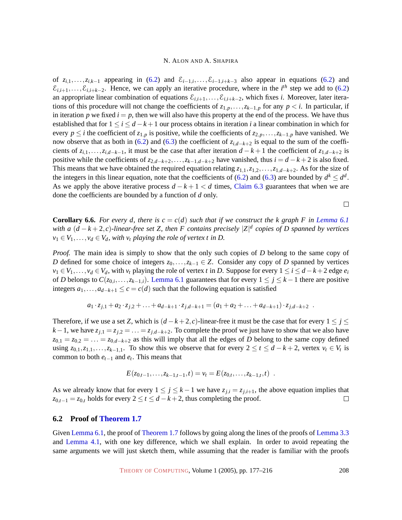of  $z_{i,1},\ldots,z_{i,k-1}$  appearing in [\(6.2\)](#page-28-0) and  $\mathcal{E}_{i-1,i},\ldots,\mathcal{E}_{i-1,i+k-3}$  also appear in equations [\(6.2\)](#page-28-0) and  $\mathcal{E}_{i,i+1},\ldots,\mathcal{E}_{i,i+k-2}$ . Hence, we can apply an iterative procedure, where in the *i*<sup>th</sup> step we add to [\(6.2\)](#page-28-0) an appropriate linear combination of equations  $\mathcal{E}_{i,i+1},\ldots,\mathcal{E}_{i,i+k-2}$ , which fixes *i*. Moreover, later iterations of this procedure will not change the coefficients of  $z_{1,p},...,z_{k-1,p}$  for any  $p < i$ . In particular, if in iteration  $p$  we fixed  $i = p$ , then we will also have this property at the end of the process. We have thus established that for  $1 \le i \le d - k + 1$  our process obtains in iteration *i* a linear combination in which for every  $p \leq i$  the coefficient of  $z_{1,p}$  is positive, while the coefficients of  $z_{2,p}, \ldots, z_{k-1,p}$  have vanished. We now observe that as both in [\(6.2\)](#page-28-0) and [\(6.3\)](#page-28-3) the coefficient of *zi*,*d*−*k*+<sup>2</sup> is equal to the sum of the coefficients of  $z_{i,1},\ldots,z_{i,d-k-1}$ , it must be the case that after iteration  $d-k+1$  the coefficient of  $z_{1,d-k+2}$  is positive while the coefficients of  $z_{2,d-k+2}, \ldots, z_{k-1,d-k+2}$  have vanished, thus  $i = d - k + 2$  is also fixed. This means that we have obtained the required equation relating *z*1,1,*z*1,2,...,*z*1,*d*−*k*+2. As for the size of the integers in this linear equation, note that the coefficients of [\(6.2\)](#page-28-0) and [\(6.3\)](#page-28-3) are bounded by  $d^k \leq d^d$ . As we apply the above iterative process *d* − *k* + 1 < *d* times, [Claim 6.3](#page-28-4) guarantees that when we are done the coefficients are bounded by a function of *d* only.

<span id="page-31-1"></span>**Corollary 6.6.** For every d, there is  $c = c(d)$  such that if we construct the k graph F in [Lemma 6.1](#page-27-0) *with a* (*d* − *k* + 2,*c*)*-linear-free set Z, then F contains precisely* |*Z*| *d copies of D spanned by vertices*  $v_1 \in V_1, \ldots, v_d \in V_d$ , with  $v_t$  playing the role of vertex t in D.

*Proof.* The main idea is simply to show that the only such copies of *D* belong to the same copy of *D* defined for some choice of integers  $z_0$ ,..., $z_k$ −1 ∈ *Z*. Consider any copy of *D* spanned by vertices  $v_1 \in V_1, \ldots, v_d \in V_d$ , with  $v_t$  playing the role of vertex *t* in *D*. Suppose for every  $1 \le i \le d - k + 2$  edge  $e_i$ of *D* belongs to  $C(z_{0,i},...,z_{k-1,i})$ . [Lemma 6.1](#page-27-0) guarantees that for every  $1 \leq j \leq k-1$  there are positive integers  $a_1$ ,..., $a_{d-k+1}$  ≤  $c = c(d)$  such that the following equation is satisfied

$$
a_1 \cdot z_{j,1} + a_2 \cdot z_{j,2} + \ldots + a_{d-k+1} \cdot z_{j,d-k+1} = (a_1 + a_2 + \ldots + a_{d-k+1}) \cdot z_{j,d-k+2} .
$$

Therefore, if we use a set *Z*, which is  $(d - k + 2, c)$ -linear-free it must be the case that for every  $1 \le j \le d$ *k*−1, we have  $z_{j,1} = z_{j,2} = \ldots = z_{j,d-k+2}$ . To complete the proof we just have to show that we also have  $z_{0,1} = z_{0,2} = \ldots = z_{0,d-k+2}$  as this will imply that all the edges of *D* belong to the same copy defined using  $z_{0,1}, z_{1,1},...,z_{k-1,1}$ . To show this we observe that for every  $2 \le t \le d-k+2$ , vertex  $v_t \in V_t$  is common to both  $e_{t-1}$  and  $e_t$ . This means that

$$
E(z_{0,t-1},\ldots,z_{k-1,t-1},t)=v_t=E(z_{0,t},\ldots,z_{k-1,t},t) .
$$

As we already know that for every  $1 \leq j \leq k-1$  we have  $z_{j,i} = z_{j,i+1}$ , the above equation implies that  $z_{0,t-1} = z_{0,t}$  holds for every  $2 \le t \le d - k + 2$ , thus completing the proof.  $\Box$ 

## <span id="page-31-0"></span>**6.2 Proof of [Theorem 1.7](#page-4-0)**

Given [Lemma 6.1,](#page-27-0) the proof of [Theorem 1.7](#page-4-0) follows by going along the lines of the proofs of [Lemma 3.3](#page-16-0) and [Lemma 4.1,](#page-20-2) with one key difference, which we shall explain. In order to avoid repeating the same arguments we will just sketch them, while assuming that the reader is familiar with the proofs

THEORY OF C[OMPUTING](http://dx.doi.org/10.4086/toc), Volume 1 (2005), pp. 177–216 208

 $\Box$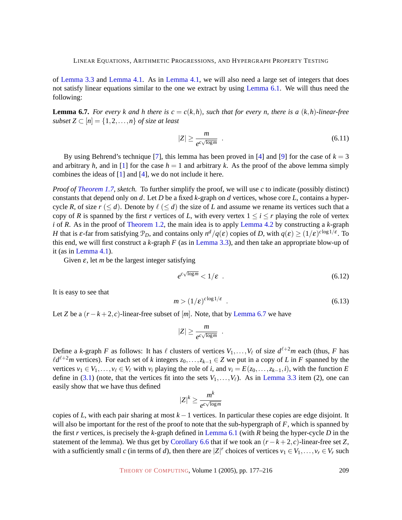of [Lemma 3.3](#page-16-0) and [Lemma 4.1.](#page-20-2) As in [Lemma 4.1,](#page-20-2) we will also need a large set of integers that does not satisfy linear equations similar to the one we extract by using [Lemma 6.1.](#page-27-0) We will thus need the following:

<span id="page-32-0"></span>**Lemma 6.7.** *For every k and h there is*  $c = c(k, h)$ *, such that for every n, there is a*  $(k, h)$ *-linear-free subset*  $Z \subset [n] = \{1, 2, ..., n\}$  *of size at least* 

<span id="page-32-3"></span>
$$
|Z| \ge \frac{m}{e^{c\sqrt{\log m}}} \quad . \tag{6.11}
$$

By using Behrend's technique [\[7\]](#page-36-5), this lemma has been proved in [\[4\]](#page-36-4) and [\[9\]](#page-37-10) for the case of  $k = 3$ and arbitrary *h*, and in [\[1\]](#page-36-3) for the case  $h = 1$  and arbitrary *k*. As the proof of the above lemma simply combines the ideas of [\[1\]](#page-36-3) and [\[4\]](#page-36-4), we do not include it here.

*Proof of [Theorem 1.7,](#page-4-0) sketch.* To further simplify the proof, we will use *c* to indicate (possibly distinct) constants that depend only on *d*. Let *D* be a fixed *k*-graph on *d* vertices, whose core *L*, contains a hypercycle *R*, of size  $r \le d$ . Denote by  $\ell \le d$  the size of *L* and assume we rename its vertices such that a copy of *R* is spanned by the first *r* vertices of *L*, with every vertex  $1 \le i \le r$  playing the role of vertex *i* of *R*. As in the proof of [Theorem 1.2,](#page-3-0) the main idea is to apply [Lemma 4.2](#page-21-0) by constructing a *k*-graph *H* that is  $\varepsilon$ -far from satisfying  $\mathcal{P}_D$ , and contains only  $n^d/q(\varepsilon)$  copies of *D*, with  $q(\varepsilon) \ge (1/\varepsilon)^{c \log 1/\varepsilon}$ . To this end, we will first construct a *k*-graph *F* (as in [Lemma 3.3\)](#page-16-0), and then take an appropriate blow-up of it (as in [Lemma 4.1\)](#page-20-2).

<span id="page-32-2"></span>Given  $\varepsilon$ , let *m* be the largest integer satisfying

<span id="page-32-1"></span>
$$
e^{c\sqrt{\log m}} < 1/\varepsilon \tag{6.12}
$$

It is easy to see that

$$
m > (1/\varepsilon)^{c \log 1/\varepsilon} \tag{6.13}
$$

Let *Z* be a  $(r - k + 2, c)$ -linear-free subset of [*m*]. Note, that by [Lemma 6.7](#page-32-0) we have

$$
|Z| \ge \frac{m}{e^{c\sqrt{\log m}}}
$$

.

Define a *k*-graph *F* as follows: It has  $\ell$  clusters of vertices  $V_1, \ldots, V_\ell$  of size  $d^{\ell+2}m$  each (thus, *F* has  $\ell d^{\ell+2}m$  vertices). For each set of *k* integers  $z_0, \ldots, z_{k-1} \in Z$  we put in a copy of *L* in *F* spanned by the vertices  $v_1 \in V_1, \ldots, v_\ell \in V_\ell$  with  $v_i$  playing the role of *i*, and  $v_i = E(z_0, \ldots, z_{k-1}, i)$ , with the function *E* define in [\(3.1\)](#page-15-2) (note, that the vertices fit into the sets  $V_1, \ldots, V_\ell$ ). As in [Lemma 3.3](#page-16-0) item (2), one can easily show that we have thus defined

$$
|Z|^k \geq \frac{m^k}{e^{c\sqrt{\log m}}}
$$

copies of *L*, with each pair sharing at most *k* −1 vertices. In particular these copies are edge disjoint. It will also be important for the rest of the proof to note that the sub-hypergraph of *F*, which is spanned by the first *r* vertices, is precisely the *k*-graph defined in [Lemma 6.1](#page-27-0) (with *R* being the hyper-cycle *D* in the statement of the lemma). We thus get by [Corollary 6.6](#page-31-1) that if we took an  $(r - k + 2, c)$ -linear-free set *Z*, with a sufficiently small *c* (in terms of *d*), then there are  $|Z|^r$  choices of vertices  $v_1 \in V_1, \ldots, v_r \in V_r$  such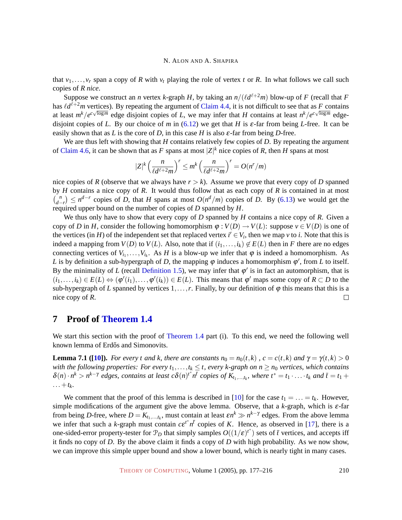that  $v_1, \ldots, v_r$  span a copy of *R* with  $v_t$  playing the role of vertex *t* or *R*. In what follows we call such copies of *R nice*.

Suppose we construct an *n* vertex *k*-graph *H*, by taking an  $n/(\ell d^{\ell+2}m)$  blow-up of *F* (recall that *F* has  $\ell d^{\ell+2}m$  vertices). By repeating the argument of [Claim 4.4,](#page-22-0) it is not difficult to see that as *F* contains at least  $m^k/e^{c\sqrt{\log m}}$  edge disjoint copies of *L*, we may infer that *H* contains at least  $n^k/e^{c\sqrt{\log m}}$  edgedisjoint copies of *L*. By our choice of *m* in [\(6.12\)](#page-32-1) we get that *H* is  $\varepsilon$ -far from being *L*-free. It can be easily shown that as *L* is the core of *D*, in this case *H* is also  $\varepsilon$ -far from being *D*-free.

We are thus left with showing that *H* contains relatively few copies of *D*. By repeating the argument of [Claim 4.6,](#page-23-0) it can be shown that as F spans at most  $|Z|^k$  nice copies of R, then H spans at most

$$
|Z|^k \left(\frac{n}{\ell d^{\ell+2}m}\right)^r \leq m^k \left(\frac{n}{\ell d^{\ell+2}m}\right)^r = O(n^r/m)
$$

nice copies of *R* (observe that we always have  $r > k$ ). Assume we prove that every copy of *D* spanned by *H* contains a nice copy of *R*. It would thus follow that as each copy of *R* is contained in at most  $\int_{a}^{b}$  $\binom{n}{d-r}$  ≤ *n*<sup>*d*−*r*</sup> copies of *D*, that *H* spans at most *O*(*n*<sup>*d*</sup>/*m*) copies of *D*. By [\(6.13\)](#page-32-2) we would get the required upper bound on the number of copies of *D* spanned by *H*.

We thus only have to show that every copy of *D* spanned by *H* contains a nice copy of *R*. Given a copy of *D* in *H*, consider the following homomorphism  $\varphi : V(D) \to V(L)$ : suppose  $v \in V(D)$  is one of the vertices (in *H*) of the independent set that replaced vertex  $i' \in V_i$ , then we map *v* to *i*. Note that this is indeed a mapping from  $V(D)$  to  $V(L)$ . Also, note that if  $(i_1, \ldots, i_k) \notin E(L)$  then in *F* there are no edges connecting vertices of  $V_{i_1}, \ldots, V_{i_k}$ . As *H* is a blow-up we infer that  $\varphi$  is indeed a homomorphism. As L is by definition a sub-hypergraph of D, the mapping  $\varphi$  induces a homomorphism  $\varphi'$ , from L to itself. By the minimality of *L* (recall [Definition 1.5\)](#page-4-1), we may infer that  $\varphi'$  is in fact an automorphism, that is  $(i_1,...,i_k) \in E(L) \Leftrightarrow (\varphi'(i_1),...,\varphi'(i_k)) \in E(L)$ . This means that  $\varphi'$  maps some copy of  $R \subset D$  to the sub-hypergraph of *L* spanned by vertices  $1, \ldots, r$ . Finally, by our definition of  $\varphi$  this means that this is a nice copy of *R*.  $\Box$ 

# <span id="page-33-0"></span>**7 Proof of [Theorem 1.4](#page-3-2)**

We start this section with the proof of [Theorem 1.4](#page-3-2) part (i). To this end, we need the following well known lemma of Erdős and Simonovits.

<span id="page-33-1"></span>**Lemma 7.1 ([\[10\]](#page-37-13)).** *For every t and k, there are constants*  $n_0 = n_0(t, k)$ ,  $c = c(t, k)$  *and*  $\gamma = \gamma(t, k) > 0$ *with the following properties: For every*  $t_1, \ldots, t_k \leq t$ , every  $k$ -graph on  $n \geq n_0$  vertices, which contains  $\delta(n) \cdot n^k > n^{k-\gamma}$  edges, contains at least  $c\delta(n)^{t^*}n^{\bar{t}}$  copies of  $K_{t_1,...,t_k}$ , where  $t^* = t_1 \cdot ... \cdot t_k$  and  $\bar{t} = t_1 +$  $\ldots + t_k$ 

We comment that the proof of this lemma is described in [\[10\]](#page-37-13) for the case  $t_1 = \ldots = t_k$ . However, simple modifications of the argument give the above lemma. Observe, that a *k*-graph, which is ε-far from being *D*-free, where  $D = K_{t_1,...,t_k}$ , must contain at least  $\varepsilon n^k \gg n^{k-\gamma}$  edges. From the above lemma we infer that such a *k*-graph must contain  $c \epsilon^{t*} n^{\bar{t}}$  copies of *K*. Hence, as observed in [\[17\]](#page-37-4), there is a one-sided-error property-tester for  $\mathcal{P}_D$  that simply samples  $O((1/\varepsilon)^{t^*})$  sets of  $\bar{t}$  vertices, and accepts iff it finds no copy of *D*. By the above claim it finds a copy of *D* with high probability. As we now show, we can improve this simple upper bound and show a lower bound, which is nearly tight in many cases.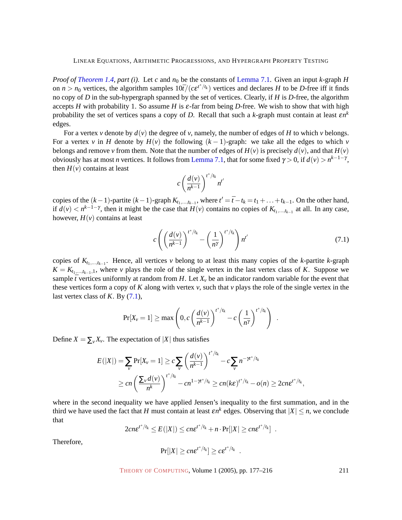*Proof of [Theorem 1.4,](#page-3-2) part (i).* Let *c* and *n*<sup>0</sup> be the constants of [Lemma 7.1.](#page-33-1) Given an input *k*-graph *H* on  $n > n_0$  vertices, the algorithm samples  $10\bar{t}/(c\epsilon^{t^*/t_k})$  vertices and declares *H* to be *D*-free iff it finds no copy of *D* in the sub-hypergraph spanned by the set of vertices. Clearly, if *H* is *D*-free, the algorithm accepts *H* with probability 1. So assume *H* is ε-far from being *D*-free. We wish to show that with high probability the set of vertices spans a copy of *D*. Recall that such a *k*-graph must contain at least ε*n k* edges.

For a vertex *v* denote by  $d(v)$  the degree of *v*, namely, the number of edges of *H* to which *v* belongs. For a vertex *v* in *H* denote by  $H(v)$  the following  $(k-1)$ -graph: we take all the edges to which *v* belongs and remove *v* from them. Note that the number of edges of  $H(v)$  is precisely  $d(v)$ , and that  $H(v)$ obviously has at most *n* vertices. It follows from [Lemma 7.1,](#page-33-1) that for some fixed  $\gamma > 0$ , if  $d(\nu) > n^{k-1-\gamma}$ , then  $H(v)$  contains at least

$$
c\left(\frac{d(v)}{n^{k-1}}\right)^{t^*/t_k} n^{t'}
$$

copies of the  $(k-1)$ -partite  $(k-1)$ -graph  $K_{t_1,...,t_{k-1}}$ , where  $t' = \overline{t} - t_k = t_1 + ... + t_{k-1}$ . On the other hand, if  $d(v) < n^{k-1-\gamma}$ , then it might be the case that  $H(v)$  contains no copies of  $K_{t_1,...,t_{k-1}}$  at all. In any case, however,  $H(v)$  contains at least

<span id="page-34-0"></span>
$$
c\left(\left(\frac{d(v)}{n^{k-1}}\right)^{t^*/t_k} - \left(\frac{1}{n^{\gamma}}\right)^{t^*/t_k}\right)n^{t'}\tag{7.1}
$$

.

copies of  $K_{t_1,\dots,t_{k-1}}$ . Hence, all vertices *v* belong to at least this many copies of the *k*-partite *k*-graph  $K = K_{t_1,...,t_{k-1},1}$ , where *v* plays the role of the single vertex in the last vertex class of *K*. Suppose we sample  $\bar{t}$  vertices uniformly at random from *H*. Let  $X_v$  be an indicator random variable for the event that these vertices form a copy of *K* along with vertex *v*, such that *v* plays the role of the single vertex in the last vertex class of *K*. By [\(7.1\)](#page-34-0),

$$
\Pr[X_{\nu} = 1] \ge \max\left(0, c\left(\frac{d(\nu)}{n^{k-1}}\right)^{t^*/t_k} - c\left(\frac{1}{n^{\gamma}}\right)^{t^*/t_k}\right)
$$

Define  $X = \sum_{v} X_v$ . The expectation of |X| thus satisfies

$$
E(|X|) = \sum_{v} \Pr[X_v = 1] \ge c \sum_{v} \left(\frac{d(v)}{n^{k-1}}\right)^{t^*/t_k} - c \sum_{v} n^{-\gamma t^*/t_k}
$$
  
 
$$
\ge cn \left(\frac{\sum_{v} d(v)}{n^k}\right)^{t^*/t_k} - cn^{1-\gamma t^*/t_k} \ge cn(ke)^{t^*/t_k} - o(n) \ge 2cn e^{t^*/t_k},
$$

where in the second inequality we have applied Jensen's inequality to the first summation, and in the third we have used the fact that *H* must contain at least  $\varepsilon n^k$  edges. Observing that  $|X| \le n$ , we conclude that

$$
2cne^{t^*/t_k} \leq E(|X|) \leq cn\epsilon^{t^*/t_k} + n\cdot Pr[|X| \geq cn\epsilon^{t^*/t_k}] \enspace .
$$

Therefore,

$$
Pr[|X| \ge c n \varepsilon^{t^* / t_k}] \ge c \varepsilon^{t^* / t_k}.
$$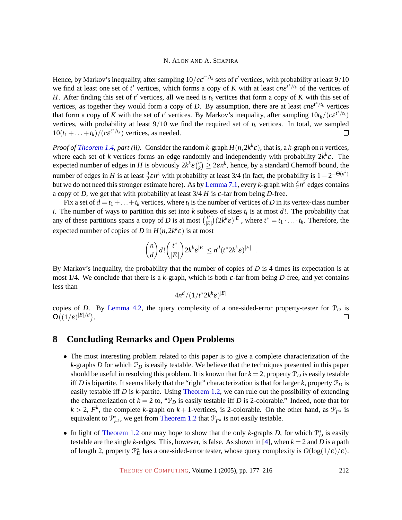Hence, by Markov's inequality, after sampling  $10/c e^{t^*/t_k}$  sets of  $t'$  vertices, with probability at least  $9/10$ we find at least one set of  $t'$  vertices, which forms a copy of *K* with at least  $cne^{t*/t_k}$  of the vertices of *H*. After finding this set of  $t'$  vertices, all we need is  $t_k$  vertices that form a copy of *K* with this set of vertices, as together they would form a copy of *D*. By assumption, there are at least  $cne^{t^*/t_k}$  vertices that form a copy of *K* with the set of *t'* vertices. By Markov's inequality, after sampling  $10t_k/(c\epsilon^{t^*/t_k})$ vertices, with probability at least  $9/10$  we find the required set of  $t_k$  vertices. In total, we sampled  $10(t_1 + \ldots + t_k)/(c e^{t^*/t_k})$  vertices, as needed.  $\Box$ 

*Proof of [Theorem 1.4,](#page-3-2) part (ii).* Consider the random *k*-graph  $H(n, 2k^k \varepsilon)$ , that is, a *k*-graph on *n* vertices, where each set of *k* vertices forms an edge randomly and independently with probability  $2k^k \varepsilon$ . The expected number of edges in *H* is obviously  $2k^k \varepsilon {n \choose k}$  $\left( \frac{n}{k} \right) \geq 2\varepsilon n^k$ , hence, by a standard Chernoff bound, the number of edges in *H* is at least  $\frac{3}{2} \varepsilon n^k$  with probability at least 3/4 (in fact, the probability is 1 - 2<sup>-O(n<sup>k</sup>)</sup> but we do not need this stronger estimate here). As by [Lemma 7.1,](#page-33-1) every *k*-graph with  $\frac{\varepsilon}{2}n^k$  edges contains a copy of *D*, we get that with probability at least 3/4 *H* is ε-far from being *D*-free.

Fix a set of  $d = t_1 + ... + t_k$  vertices, where  $t_i$  is the number of vertices of *D* in its vertex-class number *i*. The number of ways to partition this set into *k* subsets of sizes *t<sup>i</sup>* is at most *d*!. The probability that any of these partitions spans a copy of *D* is at most  $\binom{t^*}{E}$  $\binom{t^*}{|E|} (2k^k \varepsilon)^{|E|}$ , where  $t^* = t_1 \cdot \ldots \cdot t_k$ . Therefore, the expected number of copies of *D* in  $H(n, 2k^k \varepsilon)$  is at most

$$
\binom{n}{d}d!\binom{t^*}{|E|}2k^k\varepsilon^{|E|}\leq n^d(t^*2k^k\varepsilon)^{|E|}.
$$

By Markov's inequality, the probability that the number of copies of *D* is 4 times its expectation is at most 1/4. We conclude that there is a  $k$ -graph, which is both  $\varepsilon$ -far from being *D*-free, and yet contains less than

$$
4n^d/(1/t^*2k^k\varepsilon)^{|E|}
$$

copies of *D*. By [Lemma 4.2,](#page-21-0) the query complexity of a one-sided-error property-tester for  $\mathcal{P}_D$  is  $\Omega\bigl((1/\varepsilon)^{|E|/d}\bigr).$  $\Box$ 

# <span id="page-35-0"></span>**8 Concluding Remarks and Open Problems**

- The most interesting problem related to this paper is to give a complete characterization of the *k*-graphs *D* for which  $P<sub>D</sub>$  is easily testable. We believe that the techniques presented in this paper should be useful in resolving this problem. It is known that for  $k = 2$ , property  $\mathcal{P}_D$  is easily testable iff *D* is bipartite. It seems likely that the "right" characterization is that for larger *k*, property  $\mathcal{P}_D$  is easily testable iff *D* is *k*-partite. Using [Theorem 1.2,](#page-3-0) we can rule out the possibility of extending the characterization of  $k = 2$  to, " $\mathcal{P}_D$  is easily testable iff *D* is 2-colorable." Indeed, note that for  $k > 2$ ,  $F<sup>k</sup>$ , the complete *k*-graph on  $k + 1$ -vertices, is 2-colorable. On the other hand, as  $\mathcal{P}_{F<sup>k</sup>}$  is equivalent to  $\mathcal{P}_{F^k}^*$ , we get from [Theorem 1.2](#page-3-0) that  $\mathcal{P}_{F^k}$  is not easily testable.
- In light of [Theorem 1.2](#page-3-0) one may hope to show that the only *k*-graphs *D*, for which  $\mathcal{P}_D^*$  is easily testable are the single *k*-edges. This, however, is false. As shown in [\[4\]](#page-36-4), when *k* = 2 and *D* is a path of length 2, property  $\mathcal{P}_D^*$  has a one-sided-error tester, whose query complexity is  $O(\log(1/\epsilon)/\epsilon)$ .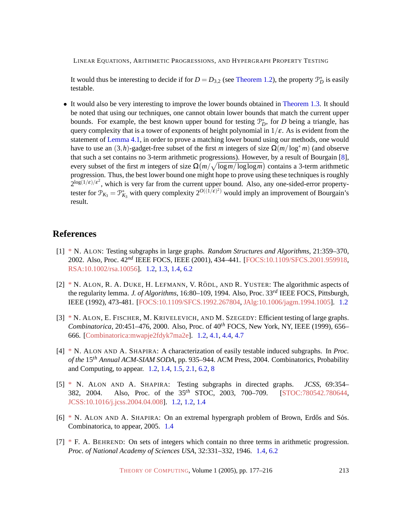It would thus be interesting to decide if for  $D = D_{3,2}$  (see [Theorem 1.2\)](#page-3-0), the property  $\mathcal{P}_D^*$  is easily testable.

• It would also be very interesting to improve the lower bounds obtained in [Theorem 1.3.](#page-3-1) It should be noted that using our techniques, one cannot obtain lower bounds that match the current upper bounds. For example, the best known upper bound for testing  $\mathcal{P}_D^*$ , for *D* being a triangle, has query complexity that is a tower of exponents of height polynomial in  $1/\varepsilon$ . As is evident from the statement of [Lemma 4.1,](#page-20-2) in order to prove a matching lower bound using our methods, one would have to use an  $(3,h)$ -gadget-free subset of the first *m* integers of size  $\Omega(m/\log^* m)$  (and observe that such a set contains no 3-term arithmetic progressions). However, by a result of Bourgain [\[8\]](#page-37-14), every subset of the first *m* integers of size  $\Omega(m/\sqrt{\log m/\log \log m})$  contains a 3-term arithmetic progression. Thus, the best lower bound one might hope to prove using these techniques is roughly  $2^{\log(1/\varepsilon)/\varepsilon^2}$ , which is very far from the current upper bound. Also, any one-sided-error propertytester for  $\mathcal{P}_{K_3} = \mathcal{P}_{K_3}^*$  with query complexity  $2^{O((1/\epsilon)^2)}$  would imply an improvement of Bourgain's result.

# **References**

- <span id="page-36-3"></span>[1] [\\*](http://theoryofcomputing.org/articles/main/v001/a009/bibliography.html#Al) N. ALON: Testing subgraphs in large graphs. *Random Structures and Algorithms*, 21:359–370, 2002. Also, Proc. 42*nd* IEEE FOCS, IEEE (2001), 434–441. [\[FOCS:10.1109/SFCS.2001.959918,](http://doi.ieeecomputersociety.org//10.1109/SFCS.2001.959918) [RSA:10.1002/rsa.10056\]](http://dx.doi.org/10.1002/rsa.10056). [1.2,](#page-2-0) [1.3,](#page-4-0) [1.4,](#page-5-1) [6.2](#page-32-3)
- <span id="page-36-1"></span> $[2]$  [\\*](http://theoryofcomputing.org/articles/main/v001/a009/bibliography.html#ADLRY) N. ALON, R. A. DUKE, H. LEFMANN, V. RÖDL, AND R. YUSTER: The algorithmic aspects of the regularity lemma. *J. of Algorithms*, 16:80–109, 1994. Also, Proc. 33*rd* IEEE FOCS, Pittsburgh, IEEE (1992), 473-481. [\[FOCS:10.1109/SFCS.1992.267804,](http://doi.ieeecomputersociety.org//10.1109/SFCS.1992.267804) [JAlg:10.1006/jagm.1994.1005\]](http://dx.doi.org/10.1006/jagm.1994.1005). [1.2](#page-2-1)
- <span id="page-36-0"></span>[3] [\\*](http://theoryofcomputing.org/articles/main/v001/a009/bibliography.html#AFKS) N. ALON, E. FISCHER, M. KRIVELEVICH, AND M. SZEGEDY: Efficient testing of large graphs. *Combinatorica*, 20:451–476, 2000. Also, Proc. of 40*th* FOCS, New York, NY, IEEE (1999), 656– 666. [\[Combinatorica:mwapje2fdyk7ma2e\]](http://springerlink.metapress.com/link.asp?id=mwapje2fdyk7ma2e). [1.2,](#page-2-1) [4.1,](#page-20-2) [4.4,](#page-23-3) [4.7](#page-23-1)
- <span id="page-36-4"></span>[4] [\\*](http://theoryofcomputing.org/articles/main/v001/a009/bibliography.html#ASSODA) N. ALON AND A. SHAPIRA: A characterization of easily testable induced subgraphs. In *Proc. of the* 15*th Annual ACM-SIAM SODA*, pp. 935–944. ACM Press, 2004. Combinatorics, Probability and Computing, to appear. [1.2,](#page-2-0) [1.4,](#page-5-1) [1.5,](#page-5-2) [2.1,](#page-6-2) [6.2,](#page-32-3) [8](#page-35-0)
- <span id="page-36-2"></span>[5] [\\*](http://theoryofcomputing.org/articles/main/v001/a009/bibliography.html#ASSTOC) N. ALON AND A. SHAPIRA: Testing subgraphs in directed graphs. *JCSS*, 69:354– 382, 2004. Also, Proc. of the 35*th* STOC, 2003, 700–709. [\[STOC:780542.780644,](http://portal.acm.org/citation.cfm?id=780542.780644) [JCSS:10.1016/j.jcss.2004.04.008\]](http://dx.doi.org/10.1016/j.jcss.2004.04.008). [1.2,](#page-2-1) [1.2,](#page-2-0) [1.4](#page-5-1)
- <span id="page-36-6"></span> $[6]$  [\\*](http://theoryofcomputing.org/articles/main/v001/a009/bibliography.html#ASTuran) N. ALON AND A. SHAPIRA: On an extremal hypergraph problem of Brown, Erdős and Sós. Combinatorica, to appear, 2005. [1.4](#page-5-1)
- <span id="page-36-5"></span>[7] [\\*](http://theoryofcomputing.org/articles/main/v001/a009/bibliography.html#Be) F. A. BEHREND: On sets of integers which contain no three terms in arithmetic progression. *Proc. of National Academy of Sciences USA*, 32:331–332, 1946. [1.4,](#page-5-1) [6.2](#page-32-3)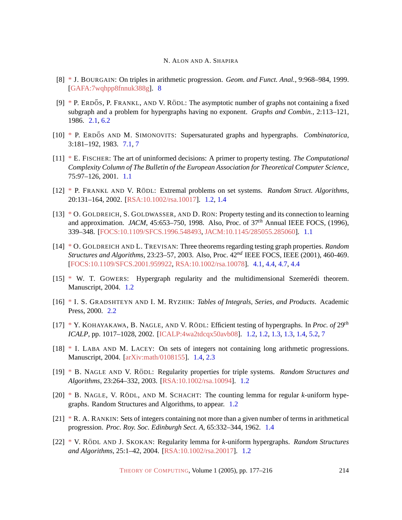- <span id="page-37-14"></span>[8] [\\*](http://theoryofcomputing.org/articles/main/v001/a009/bibliography.html#Bourgain) J. BOURGAIN: On triples in arithmetic progression. *Geom. and Funct. Anal.*, 9:968–984, 1999. [\[GAFA:7wqhpp8fnnuk388g\]](http://springerlink.metapress.com/link.asp?id=7wqhpp8fnnuk388g). [8](#page-35-0)
- <span id="page-37-10"></span> $[9]$  [\\*](http://theoryofcomputing.org/articles/main/v001/a009/bibliography.html#EFR) P. ERDŐS, P. FRANKL, AND V. RÖDL: The asymptotic number of graphs not containing a fixed subgraph and a problem for hypergraphs having no exponent. *Graphs and Combin.*, 2:113–121, 1986. [2.1,](#page-6-2) [6.2](#page-32-3)
- <span id="page-37-13"></span>[10] [\\*](http://theoryofcomputing.org/articles/main/v001/a009/bibliography.html#ES) P. ERDŐS AND M. SIMONOVITS: Supersaturated graphs and hypergraphs. *Combinatorica*, 3:181–192, 1983. [7.1,](#page-33-1) [7](#page-33-1)
- <span id="page-37-1"></span>[11] [\\*](http://theoryofcomputing.org/articles/main/v001/a009/bibliography.html#F) E. FISCHER: The art of uninformed decisions: A primer to property testing. *The Computational Complexity Column of The Bulletin of the European Association for Theoretical Computer Science*, 75:97–126, 2001. [1.1](#page-1-0)
- <span id="page-37-2"></span>[12] [\\*](http://theoryofcomputing.org/articles/main/v001/a009/bibliography.html#FR) P. FRANKL AND V. RÖDL: Extremal problems on set systems. *Random Struct. Algorithms*, 20:131–164, 2002. [\[RSA:10.1002/rsa.10017\]](http://dx.doi.org/10.1002/rsa.10017). [1.2,](#page-2-1) [1.4](#page-5-1)
- <span id="page-37-0"></span>[13] [\\*](http://theoryofcomputing.org/articles/main/v001/a009/bibliography.html#GGR) O. GOLDREICH, S. GOLDWASSER, AND D. RON: Property testing and its connection to learning and approximation. *JACM*, 45:653–750, 1998. Also, Proc. of 37*th* Annual IEEE FOCS, (1996), 339–348. [\[FOCS:10.1109/SFCS.1996.548493,](http://doi.ieeecomputersociety.org//10.1109/SFCS.1996.548493) [JACM:10.1145/285055.285060\]](http://doi.acm.org/10.1145/285055.285060). [1.1](#page-1-0)
- <span id="page-37-12"></span>[14] [\\*](http://theoryofcomputing.org/articles/main/v001/a009/bibliography.html#GT) O. GOLDREICH AND L. TREVISAN: Three theorems regarding testing graph properties. *Random Structures and Algorithms*, 23:23–57, 2003. Also, Proc. 42*nd* IEEE FOCS, IEEE (2001), 460-469. [\[FOCS:10.1109/SFCS.2001.959922,](http://doi.ieeecomputersociety.org//10.1109/SFCS.2001.959922) [RSA:10.1002/rsa.10078\]](http://dx.doi.org/10.1002/rsa.10078). [4.1,](#page-20-2) [4.4,](#page-23-3) [4.7,](#page-23-1) [4.4](#page-23-1)
- <span id="page-37-5"></span>[15] [\\*](http://theoryofcomputing.org/articles/main/v001/a009/bibliography.html#G2) W. T. GOWERS: Hypergraph regularity and the multidimensional Szemerédi theorem. Manuscript, 2004. [1.2](#page-2-1)
- <span id="page-37-11"></span>[16] [\\*](http://theoryofcomputing.org/articles/main/v001/a009/bibliography.html#GR) I. S. GRADSHTEYN AND I. M. RYZHIK: *Tables of Integrals, Series, and Products*. Academic Press, 2000. [2.2](#page-7-1)
- <span id="page-37-4"></span>[17] [\\*](http://theoryofcomputing.org/articles/main/v001/a009/bibliography.html#KNR) Y. KOHAYAKAWA, B. NAGLE, AND V. RÖDL: Efficient testing of hypergraphs. In *Proc. of* 29<sup>th</sup> *ICALP*, pp. 1017–1028, 2002. [\[ICALP:4wa2tdcqx50avb08\]](http://springerlink.metapress.com/link.asp?id=4wa2tdcqx50avb08). [1.2,](#page-2-1) [1.2,](#page-2-0) [1.3,](#page-3-1) [1.3,](#page-3-2) [1.4,](#page-5-1) [5.2,](#page-26-2) [7](#page-33-1)
- <span id="page-37-8"></span>[18] [\\*](http://theoryofcomputing.org/articles/main/v001/a009/bibliography.html#LL) I. LABA AND M. LACEY: On sets of integers not containing long arithmetic progressions. Manuscript, 2004. [\[arXiv:math/0108155\]](http://arxiv.org/abs/math/0108155). [1.4,](#page-5-1) [2.3](#page-10-2)
- <span id="page-37-3"></span>[19] [\\*](http://theoryofcomputing.org/articles/main/v001/a009/bibliography.html#NR) B. NAGLE AND V. RÖDL: Regularity properties for triple systems. *Random Structures and Algorithms*, 23:264–332, 2003. [\[RSA:10.1002/rsa.10094\]](http://dx.doi.org/10.1002/rsa.10094). [1.2](#page-2-1)
- <span id="page-37-7"></span>[20]  $*$  B. NAGLE, V. RÖDL, AND M. SCHACHT: The counting lemma for regular *k*-uniform hypegraphs. Random Structures and Algorithms, to appear. [1.2](#page-2-1)
- <span id="page-37-9"></span>[21] [\\*](http://theoryofcomputing.org/articles/main/v001/a009/bibliography.html#Rankin) R. A. RANKIN: Sets of integers containing not more than a given number of terms in arithmetical progression. *Proc. Roy. Soc. Edinburgh Sect. A*, 65:332–344, 1962. [1.4](#page-5-1)
- <span id="page-37-6"></span>[22] [\\*](http://theoryofcomputing.org/articles/main/v001/a009/bibliography.html#RSk) V. RÖDL AND J. SKOKAN: Regularity lemma for *k*-uniform hypergraphs. *Random Structures and Algorithms*, 25:1–42, 2004. [\[RSA:10.1002/rsa.20017\]](http://dx.doi.org/10.1002/rsa.20017). [1.2](#page-2-1)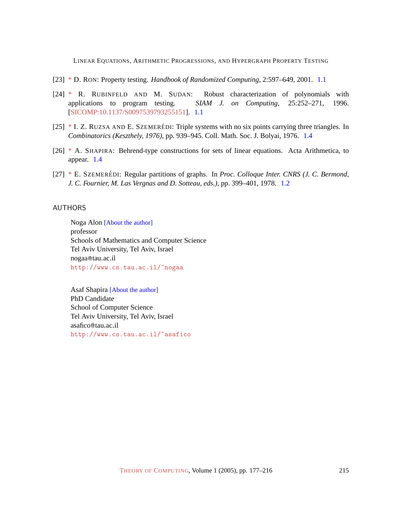- <span id="page-38-3"></span>[23] [\\*](http://theoryofcomputing.org/articles/main/v001/a009/bibliography.html#Ron) D. RON: Property testing. *Handbook of Randomized Computing*, 2:597–649, 2001. [1.1](#page-1-0)
- <span id="page-38-2"></span>[24] [\\*](http://theoryofcomputing.org/articles/main/v001/a009/bibliography.html#RS) R. RUBINFELD AND M. SUDAN: Robust characterization of polynomials with applications to program testing. *SIAM J. on Computing*, 25:252–271, 1996. [\[SICOMP:10.1137/S0097539793255151\]](http://dx.doi.org/10.1137/S0097539793255151). [1.1](#page-1-0)
- <span id="page-38-6"></span> $[25]$  [\\*](http://theoryofcomputing.org/articles/main/v001/a009/bibliography.html#RUSZ) I. Z. RUZSA AND E. SZEMERÉDI: Triple systems with no six points carrying three triangles. In *Combinatorics (Keszthely, 1976)*, pp. 939–945. Coll. Math. Soc. J. Bolyai, 1976. [1.4](#page-5-1)
- <span id="page-38-5"></span>[26] [\\*](http://theoryofcomputing.org/articles/main/v001/a009/bibliography.html#Sh) A. SHAPIRA: Behrend-type constructions for sets of linear equations. Acta Arithmetica, to appear. [1.4](#page-5-1)
- <span id="page-38-4"></span>[27] [\\*](http://theoryofcomputing.org/articles/main/v001/a009/bibliography.html#Sz) E. SZEMERÉDI: Regular partitions of graphs. In *Proc. Colloque Inter. CNRS (J. C. Bermond, J. C. Fournier, M. Las Vergnas and D. Sotteau, eds.)*, pp. 399–401, 1978. [1.2](#page-2-1)

## <span id="page-38-0"></span>AUTHORS

Noga Alon [\[About the author\]](#page-39-0) professor Schools of Mathematics and Computer Science Tel Aviv University, Tel Aviv, Israel nogaa@tau.ac.il <http://www.cs.tau.ac.il/~nogaa>

<span id="page-38-1"></span>Asaf Shapira [\[About the author\]](#page-39-1) PhD Candidate School of Computer Science Tel Aviv University, Tel Aviv, Israel asafico@tau.ac.il <http://www.cs.tau.ac.il/~asafico>